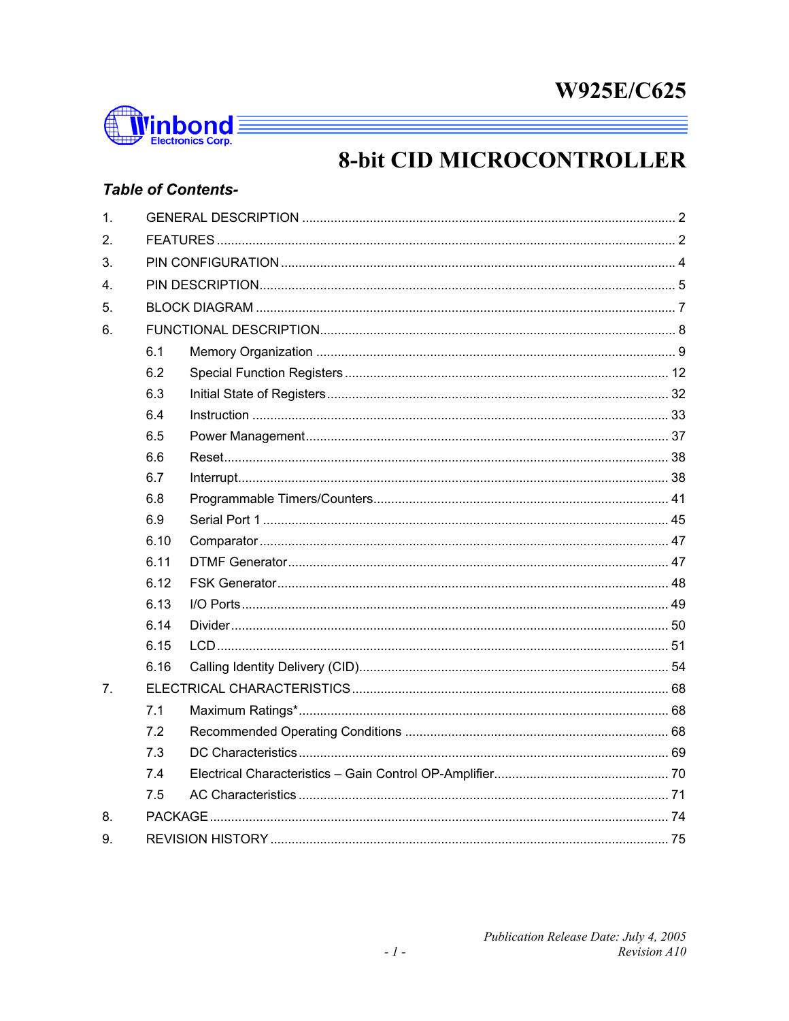

# **8-bit CID MICROCONTROLLER**

# **Table of Contents-**

| 6.1<br>6.2<br>6.3 |  |
|-------------------|--|
|                   |  |
|                   |  |
|                   |  |
|                   |  |
|                   |  |
|                   |  |
|                   |  |
|                   |  |
| 6.4               |  |
| 6.5               |  |
| 6.6               |  |
| 6.7               |  |
| 6.8               |  |
| 6.9               |  |
| 6.10              |  |
| 6.11              |  |
| 6.12              |  |
| 6.13              |  |
| 6.14              |  |
| 6.15              |  |
| 6.16              |  |
|                   |  |
| 7.1               |  |
| 7.2               |  |
| 7.3               |  |
| 7.4               |  |
| 7.5               |  |
|                   |  |
|                   |  |
|                   |  |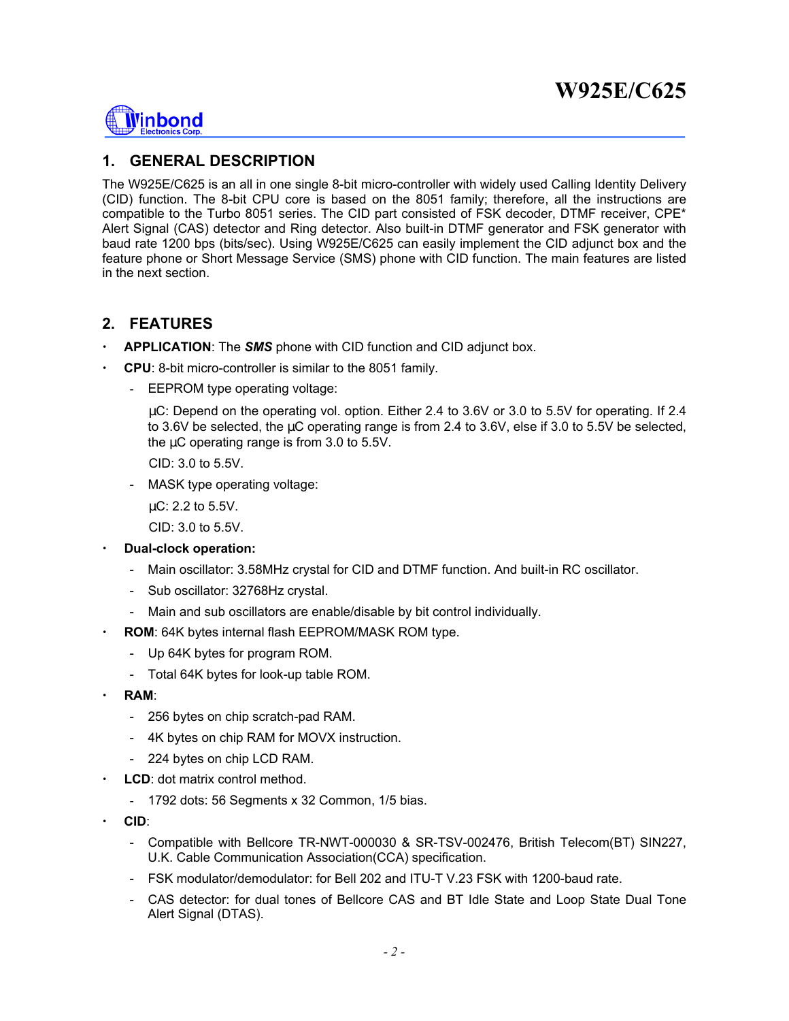

### **1. GENERAL DESCRIPTION**

The W925E/C625 is an all in one single 8-bit micro-controller with widely used Calling Identity Delivery (CID) function. The 8-bit CPU core is based on the 8051 family; therefore, all the instructions are compatible to the Turbo 8051 series. The CID part consisted of FSK decoder, DTMF receiver, CPE\* Alert Signal (CAS) detector and Ring detector. Also built-in DTMF generator and FSK generator with baud rate 1200 bps (bits/sec). Using W925E/C625 can easily implement the CID adjunct box and the feature phone or Short Message Service (SMS) phone with CID function. The main features are listed in the next section.

### **2. FEATURES**

- x **APPLICATION**: The *SMS* phone with CID function and CID adjunct box.
- x **CPU**: 8-bit micro-controller is similar to the 8051 family.
	- EEPROM type operating voltage:

 µC: Depend on the operating vol. option. Either 2.4 to 3.6V or 3.0 to 5.5V for operating. If 2.4 to 3.6V be selected, the µC operating range is from 2.4 to 3.6V, else if 3.0 to 5.5V be selected, the µC operating range is from 3.0 to 5.5V.

CID: 3.0 to 5.5V.

- MASK type operating voltage:

µC: 2.2 to 5.5V.

CID: 3.0 to 5.5V.

- x **Dual-clock operation:** 
	- Main oscillator: 3.58MHz crystal for CID and DTMF function. And built-in RC oscillator.
	- Sub oscillator: 32768Hz crystal.
	- Main and sub oscillators are enable/disable by bit control individually.
- **ROM**: 64K bytes internal flash EEPROM/MASK ROM type.
	- Up 64K bytes for program ROM.
	- Total 64K bytes for look-up table ROM.
- x **RAM**:
	- 256 bytes on chip scratch-pad RAM.
	- 4K bytes on chip RAM for MOVX instruction.
	- 224 bytes on chip LCD RAM.
- LCD: dot matrix control method.
	- 1792 dots: 56 Segments x 32 Common, 1/5 bias.
- x **CID**:
	- Compatible with Bellcore TR-NWT-000030 & SR-TSV-002476, British Telecom(BT) SIN227, U.K. Cable Communication Association(CCA) specification.
	- FSK modulator/demodulator: for Bell 202 and ITU-T V.23 FSK with 1200-baud rate.
	- CAS detector: for dual tones of Bellcore CAS and BT Idle State and Loop State Dual Tone Alert Signal (DTAS).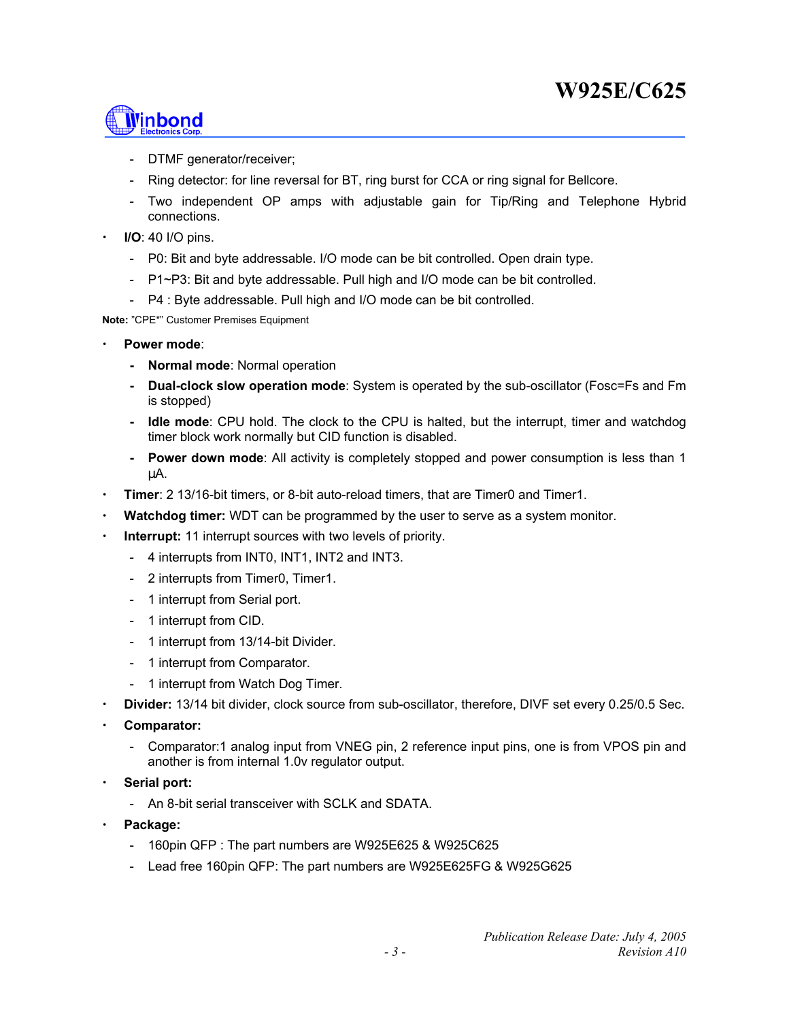

- DTMF generator/receiver;
- Ring detector: for line reversal for BT, ring burst for CCA or ring signal for Bellcore.
- Two independent OP amps with adjustable gain for Tip/Ring and Telephone Hybrid connections.
- x **I/O**: 40 I/O pins.
	- P0: Bit and byte addressable. I/O mode can be bit controlled. Open drain type.
	- P1~P3: Bit and byte addressable. Pull high and I/O mode can be bit controlled.
	- P4 : Byte addressable. Pull high and I/O mode can be bit controlled.

**Note:** "CPE\*" Customer Premises Equipment

- Power mode:
	- **Normal mode**: Normal operation
	- **Dual-clock slow operation mode**: System is operated by the sub-oscillator (Fosc=Fs and Fm is stopped)
	- **Idle mode**: CPU hold. The clock to the CPU is halted, but the interrupt, timer and watchdog timer block work normally but CID function is disabled.
	- **Power down mode**: All activity is completely stopped and power consumption is less than 1 µA.
- x **Timer**: 2 13/16-bit timers, or 8-bit auto-reload timers, that are Timer0 and Timer1.
- **Watchdog timer:** WDT can be programmed by the user to serve as a system monitor.
- **Interrupt:** 11 interrupt sources with two levels of priority.
	- 4 interrupts from INT0, INT1, INT2 and INT3.
	- 2 interrupts from Timer0, Timer1.
	- 1 interrupt from Serial port.
	- 1 interrupt from CID.
	- 1 interrupt from 13/14-bit Divider.
	- 1 interrupt from Comparator.
	- 1 interrupt from Watch Dog Timer.
- x **Divider:** 13/14 bit divider, clock source from sub-oscillator, therefore, DIVF set every 0.25/0.5 Sec.
- Comparator:
	- Comparator:1 analog input from VNEG pin, 2 reference input pins, one is from VPOS pin and another is from internal 1.0v regulator output.
- Serial port:
	- An 8-bit serial transceiver with SCLK and SDATA.
- Package:
	- 160pin QFP : The part numbers are W925E625 & W925C625
	- Lead free 160pin QFP: The part numbers are W925E625FG & W925G625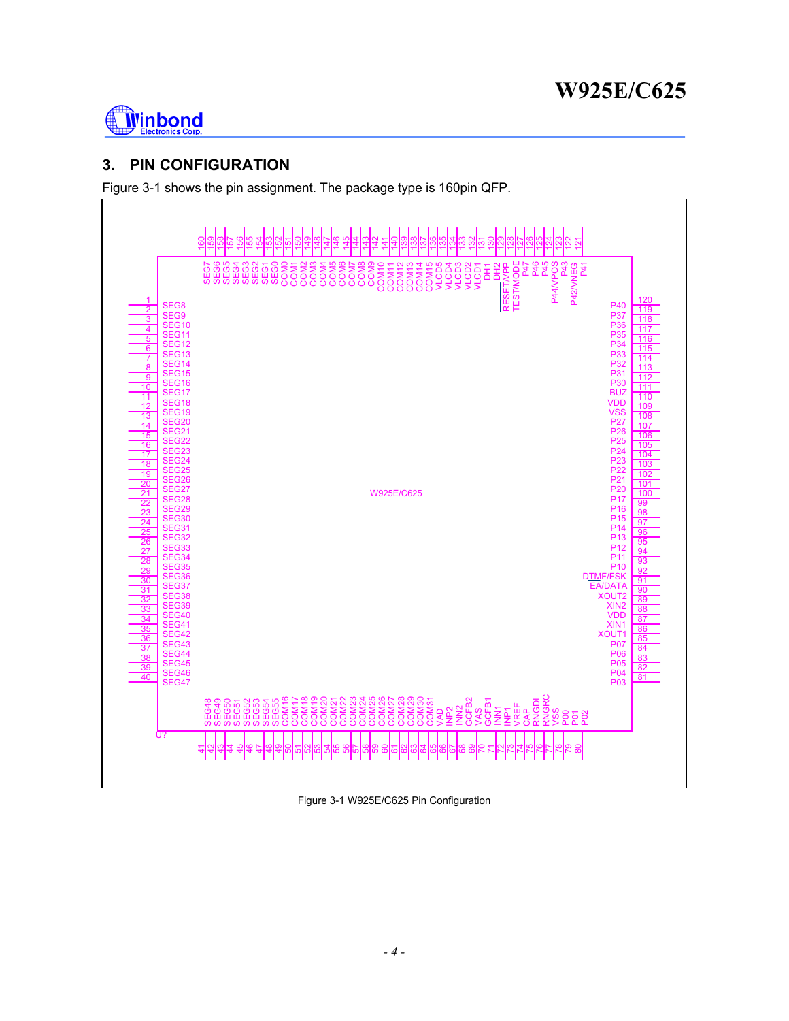

# **3. PIN CONFIGURATION**

Figure 3-1 shows the pin assignment. The package type is 160pin QFP.



Figure 3-1 W925E/C625 Pin Configuration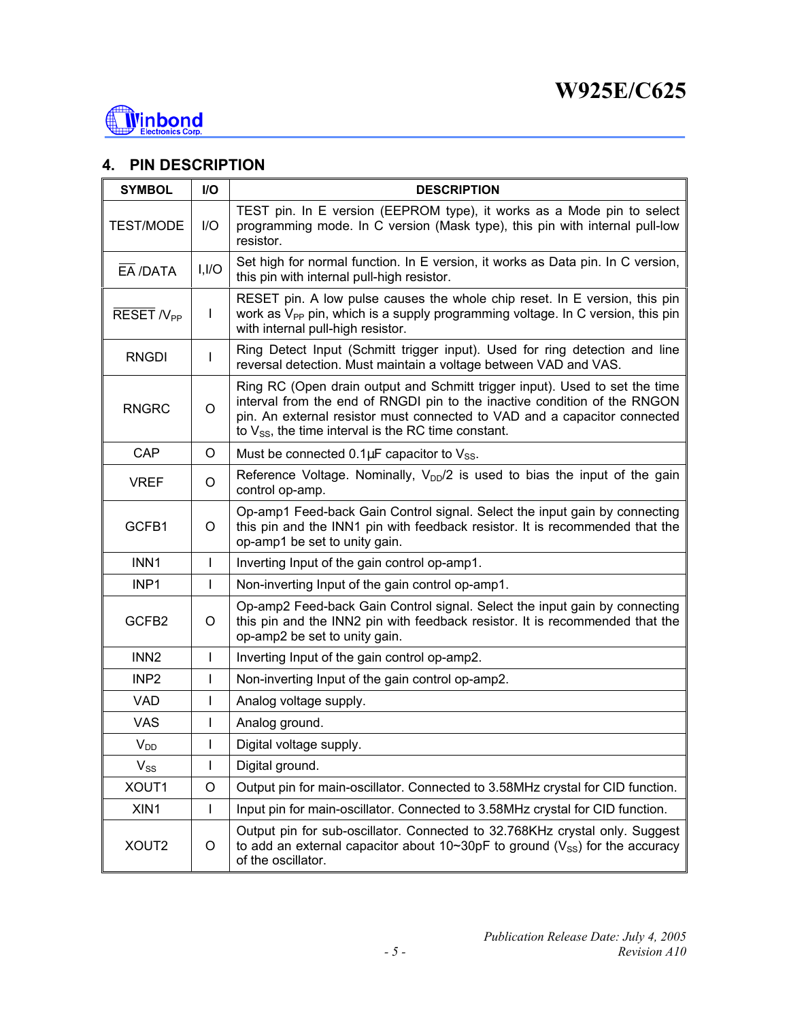

# **4. PIN DESCRIPTION**

| <b>SYMBOL</b>         | <b>I/O</b>  | <b>DESCRIPTION</b>                                                                                                                                                                                                                                                                                |
|-----------------------|-------------|---------------------------------------------------------------------------------------------------------------------------------------------------------------------------------------------------------------------------------------------------------------------------------------------------|
| <b>TEST/MODE</b>      | $IVO$       | TEST pin. In E version (EEPROM type), it works as a Mode pin to select<br>programming mode. In C version (Mask type), this pin with internal pull-low<br>resistor.                                                                                                                                |
| $E\overline{A}$ /DATA | I, I/O      | Set high for normal function. In E version, it works as Data pin. In C version,<br>this pin with internal pull-high resistor.                                                                                                                                                                     |
| RESET N <sub>PP</sub> | L           | RESET pin. A low pulse causes the whole chip reset. In E version, this pin<br>work as $V_{PP}$ pin, which is a supply programming voltage. In C version, this pin<br>with internal pull-high resistor.                                                                                            |
| <b>RNGDI</b>          | L           | Ring Detect Input (Schmitt trigger input). Used for ring detection and line<br>reversal detection. Must maintain a voltage between VAD and VAS.                                                                                                                                                   |
| <b>RNGRC</b>          | $\circ$     | Ring RC (Open drain output and Schmitt trigger input). Used to set the time<br>interval from the end of RNGDI pin to the inactive condition of the RNGON<br>pin. An external resistor must connected to VAD and a capacitor connected<br>to $V_{SS}$ , the time interval is the RC time constant. |
| CAP                   | O           | Must be connected $0.1 \mu$ F capacitor to $V_{SS}$ .                                                                                                                                                                                                                                             |
| <b>VREF</b>           | $\circ$     | Reference Voltage. Nominally, $V_{DD}/2$ is used to bias the input of the gain<br>control op-amp.                                                                                                                                                                                                 |
| GCFB1                 | O           | Op-amp1 Feed-back Gain Control signal. Select the input gain by connecting<br>this pin and the INN1 pin with feedback resistor. It is recommended that the<br>op-amp1 be set to unity gain.                                                                                                       |
| INN1                  | L           | Inverting Input of the gain control op-amp1.                                                                                                                                                                                                                                                      |
| INP <sub>1</sub>      | L           | Non-inverting Input of the gain control op-amp1.                                                                                                                                                                                                                                                  |
| GCFB2                 | O           | Op-amp2 Feed-back Gain Control signal. Select the input gain by connecting<br>this pin and the INN2 pin with feedback resistor. It is recommended that the<br>op-amp2 be set to unity gain.                                                                                                       |
| INN <sub>2</sub>      | L           | Inverting Input of the gain control op-amp2.                                                                                                                                                                                                                                                      |
| INP <sub>2</sub>      | L           | Non-inverting Input of the gain control op-amp2.                                                                                                                                                                                                                                                  |
| <b>VAD</b>            | L           | Analog voltage supply.                                                                                                                                                                                                                                                                            |
| <b>VAS</b>            | L           | Analog ground.                                                                                                                                                                                                                                                                                    |
| $V_{DD}$              | L           | Digital voltage supply.                                                                                                                                                                                                                                                                           |
| $V_{SS}$              | I           | Digital ground.                                                                                                                                                                                                                                                                                   |
| XOUT1                 | $\mathsf O$ | Output pin for main-oscillator. Connected to 3.58MHz crystal for CID function.                                                                                                                                                                                                                    |
| XIN1                  | L           | Input pin for main-oscillator. Connected to 3.58MHz crystal for CID function.                                                                                                                                                                                                                     |
| XOUT2                 | O           | Output pin for sub-oscillator. Connected to 32.768KHz crystal only. Suggest<br>to add an external capacitor about 10~30pF to ground ( $V_{SS}$ ) for the accuracy<br>of the oscillator.                                                                                                           |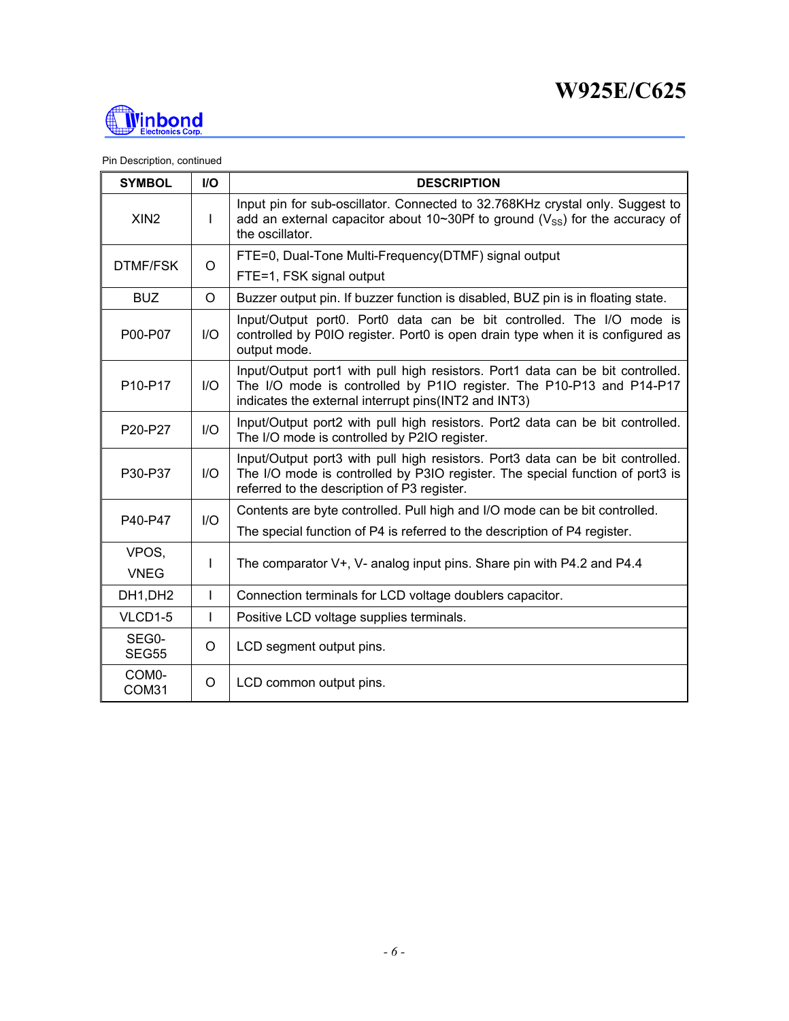

Pin Description, continued

| <b>SYMBOL</b>               | $II$    | <b>DESCRIPTION</b>                                                                                                                                                                                             |
|-----------------------------|---------|----------------------------------------------------------------------------------------------------------------------------------------------------------------------------------------------------------------|
| XIN <sub>2</sub>            | L       | Input pin for sub-oscillator. Connected to 32.768KHz crystal only. Suggest to<br>add an external capacitor about 10~30Pf to ground ( $V_{SS}$ ) for the accuracy of<br>the oscillator.                         |
| <b>DTMF/FSK</b>             | O       | FTE=0, Dual-Tone Multi-Frequency(DTMF) signal output                                                                                                                                                           |
|                             |         | FTE=1, FSK signal output                                                                                                                                                                                       |
| <b>BUZ</b>                  | $\circ$ | Buzzer output pin. If buzzer function is disabled, BUZ pin is in floating state.                                                                                                                               |
| P00-P07                     | I/O     | Input/Output port0. Port0 data can be bit controlled. The I/O mode is<br>controlled by P0IO register. Port0 is open drain type when it is configured as<br>output mode.                                        |
| P10-P17                     | $II$    | Input/Output port1 with pull high resistors. Port1 data can be bit controlled.<br>The I/O mode is controlled by P1IO register. The P10-P13 and P14-P17<br>indicates the external interrupt pins(INT2 and INT3) |
| P20-P27                     | 1/O     | Input/Output port2 with pull high resistors. Port2 data can be bit controlled.<br>The I/O mode is controlled by P2IO register.                                                                                 |
| P30-P37                     | 1/O     | Input/Output port3 with pull high resistors. Port3 data can be bit controlled.<br>The I/O mode is controlled by P3IO register. The special function of port3 is<br>referred to the description of P3 register. |
| P40-P47                     | 1/O     | Contents are byte controlled. Pull high and I/O mode can be bit controlled.                                                                                                                                    |
|                             |         | The special function of P4 is referred to the description of P4 register.                                                                                                                                      |
| VPOS,                       | L       | The comparator V+, V- analog input pins. Share pin with P4.2 and P4.4                                                                                                                                          |
| <b>VNEG</b>                 |         |                                                                                                                                                                                                                |
| DH1, DH2                    | L       | Connection terminals for LCD voltage doublers capacitor.                                                                                                                                                       |
| VLCD1-5                     | L       | Positive LCD voltage supplies terminals.                                                                                                                                                                       |
| SEG0-<br><b>SEG55</b>       | $\circ$ | LCD segment output pins.                                                                                                                                                                                       |
| COM <sub>0</sub> -<br>COM31 | O       | LCD common output pins.                                                                                                                                                                                        |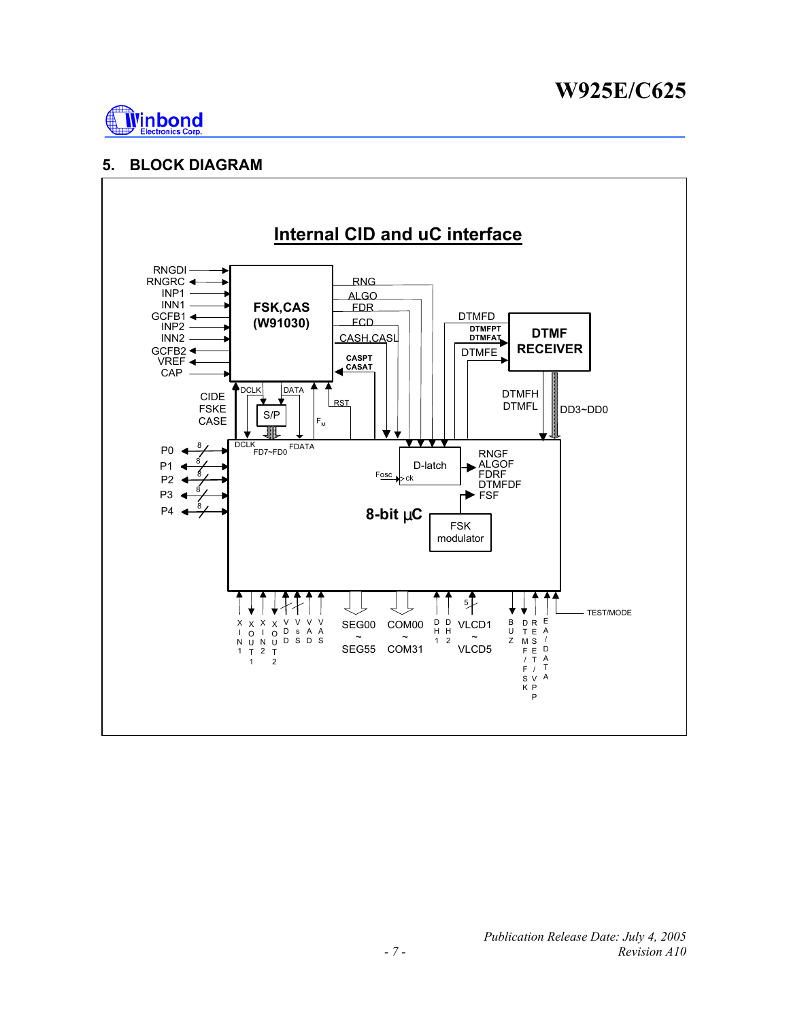

### **5. BLOCK DIAGRAM**

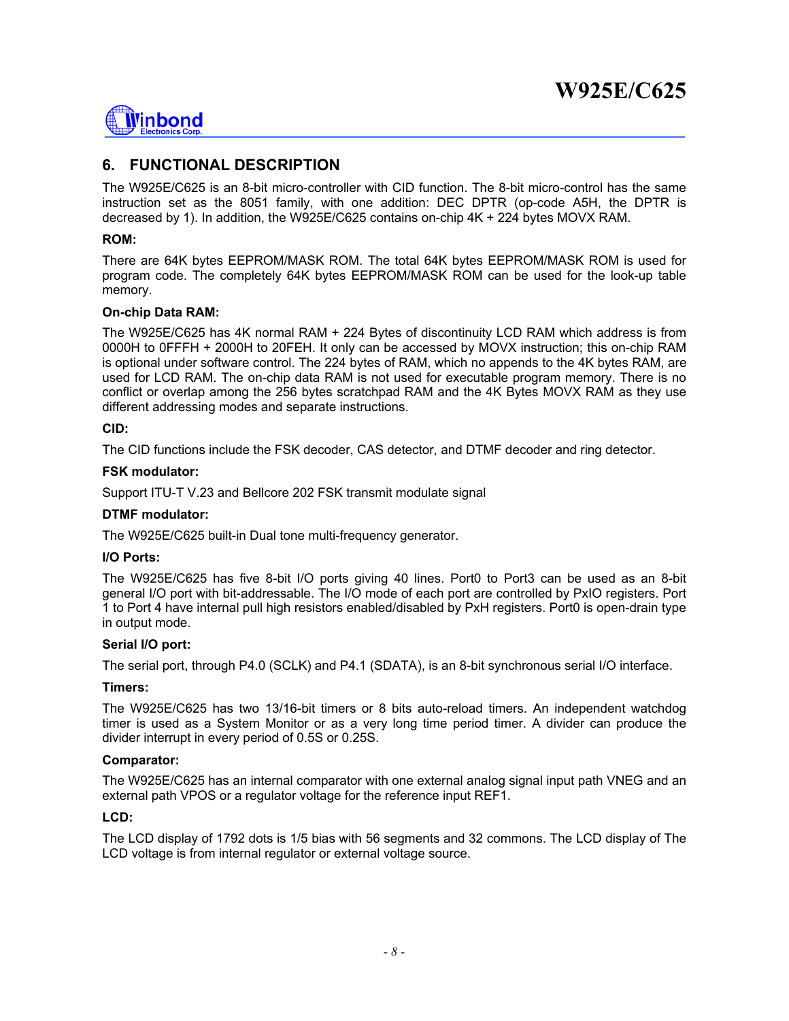

# **6. FUNCTIONAL DESCRIPTION**

The W925E/C625 is an 8-bit micro-controller with CID function. The 8-bit micro-control has the same instruction set as the 8051 family, with one addition: DEC DPTR (op-code A5H, the DPTR is decreased by 1). In addition, the W925E/C625 contains on-chip 4K + 224 bytes MOVX RAM.

#### **ROM:**

There are 64K bytes EEPROM/MASK ROM. The total 64K bytes EEPROM/MASK ROM is used for program code. The completely 64K bytes EEPROM/MASK ROM can be used for the look-up table memory.

#### **On-chip Data RAM:**

The W925E/C625 has 4K normal RAM + 224 Bytes of discontinuity LCD RAM which address is from 0000H to 0FFFH + 2000H to 20FEH. It only can be accessed by MOVX instruction; this on-chip RAM is optional under software control. The 224 bytes of RAM, which no appends to the 4K bytes RAM, are used for LCD RAM. The on-chip data RAM is not used for executable program memory. There is no conflict or overlap among the 256 bytes scratchpad RAM and the 4K Bytes MOVX RAM as they use different addressing modes and separate instructions.

#### **CID:**

The CID functions include the FSK decoder, CAS detector, and DTMF decoder and ring detector.

#### **FSK modulator:**

Support ITU-T V.23 and Bellcore 202 FSK transmit modulate signal

#### **DTMF modulator:**

The W925E/C625 built-in Dual tone multi-frequency generator.

#### **I/O Ports:**

The W925E/C625 has five 8-bit I/O ports giving 40 lines. Port0 to Port3 can be used as an 8-bit general I/O port with bit-addressable. The I/O mode of each port are controlled by PxIO registers. Port 1 to Port 4 have internal pull high resistors enabled/disabled by PxH registers. Port0 is open-drain type in output mode.

#### **Serial I/O port:**

The serial port, through P4.0 (SCLK) and P4.1 (SDATA), is an 8-bit synchronous serial I/O interface.

#### **Timers:**

The W925E/C625 has two 13/16-bit timers or 8 bits auto-reload timers. An independent watchdog timer is used as a System Monitor or as a very long time period timer. A divider can produce the divider interrupt in every period of 0.5S or 0.25S.

#### **Comparator:**

The W925E/C625 has an internal comparator with one external analog signal input path VNEG and an external path VPOS or a regulator voltage for the reference input REF1.

#### **LCD:**

The LCD display of 1792 dots is 1/5 bias with 56 segments and 32 commons. The LCD display of The LCD voltage is from internal regulator or external voltage source.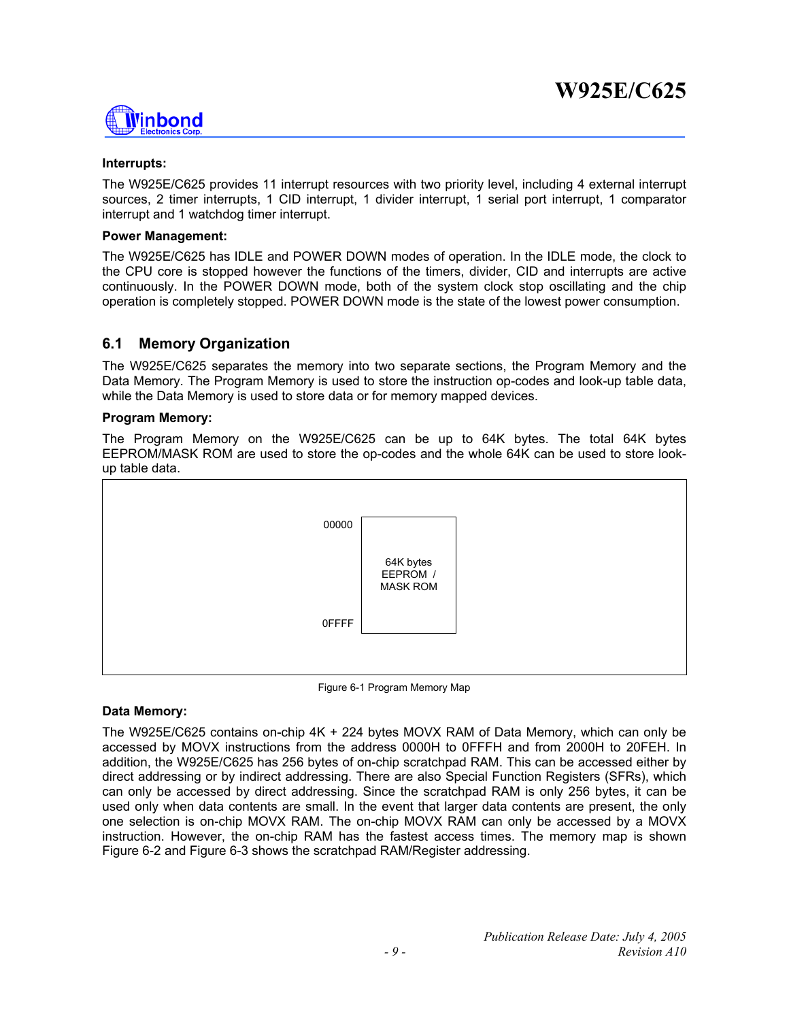

#### **Interrupts:**

The W925E/C625 provides 11 interrupt resources with two priority level, including 4 external interrupt sources, 2 timer interrupts, 1 CID interrupt, 1 divider interrupt, 1 serial port interrupt, 1 comparator interrupt and 1 watchdog timer interrupt.

#### **Power Management:**

The W925E/C625 has IDLE and POWER DOWN modes of operation. In the IDLE mode, the clock to the CPU core is stopped however the functions of the timers, divider, CID and interrupts are active continuously. In the POWER DOWN mode, both of the system clock stop oscillating and the chip operation is completely stopped. POWER DOWN mode is the state of the lowest power consumption.

### **6.1 Memory Organization**

The W925E/C625 separates the memory into two separate sections, the Program Memory and the Data Memory. The Program Memory is used to store the instruction op-codes and look-up table data, while the Data Memory is used to store data or for memory mapped devices.

#### **Program Memory:**

The Program Memory on the W925E/C625 can be up to 64K bytes. The total 64K bytes EEPROM/MASK ROM are used to store the op-codes and the whole 64K can be used to store lookup table data.



Figure 6-1 Program Memory Map

#### **Data Memory:**

The W925E/C625 contains on-chip 4K + 224 bytes MOVX RAM of Data Memory, which can only be accessed by MOVX instructions from the address 0000H to 0FFFH and from 2000H to 20FEH. In addition, the W925E/C625 has 256 bytes of on-chip scratchpad RAM. This can be accessed either by direct addressing or by indirect addressing. There are also Special Function Registers (SFRs), which can only be accessed by direct addressing. Since the scratchpad RAM is only 256 bytes, it can be used only when data contents are small. In the event that larger data contents are present, the only one selection is on-chip MOVX RAM. The on-chip MOVX RAM can only be accessed by a MOVX instruction. However, the on-chip RAM has the fastest access times. The memory map is shown Figure 6-2 and Figure 6-3 shows the scratchpad RAM/Register addressing.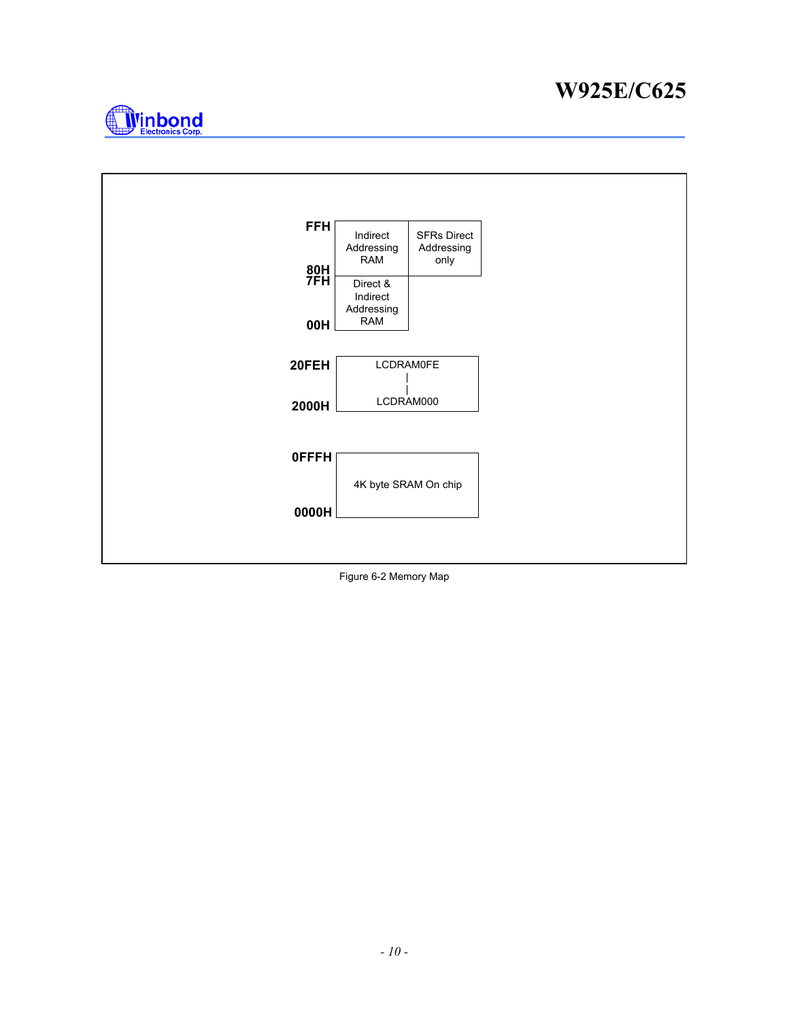



Figure 6-2 Memory Map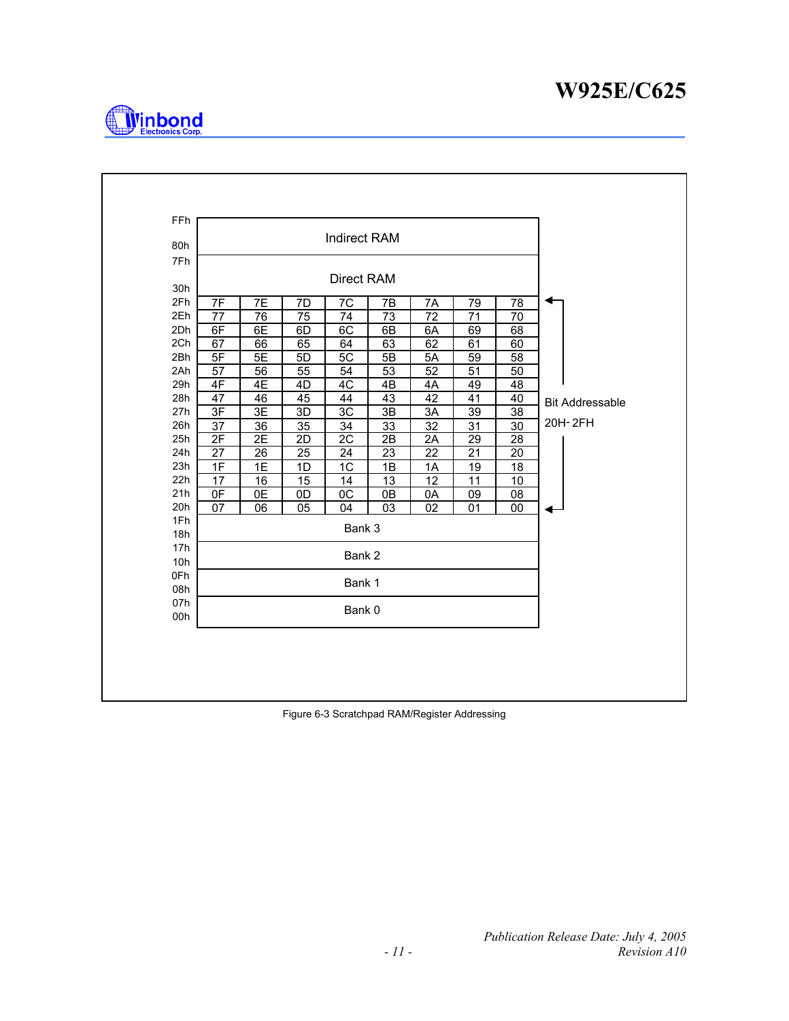

| 80h        |          |          |                | <b>Indirect RAM</b> |          |          |          |          |                        |
|------------|----------|----------|----------------|---------------------|----------|----------|----------|----------|------------------------|
| 7Fh        |          |          |                |                     |          |          |          |          |                        |
|            |          |          |                | Direct RAM          |          |          |          |          |                        |
| 30h        |          |          |                |                     |          |          |          |          |                        |
| 2Fh<br>2Eh | 7F       | 7E       | 7D             | 7C                  | 7B       | 7Α       | 79       | 78       |                        |
| 2Dh        | 77<br>6F | 76<br>6E | 75             | 74<br>6C            | 73       | 72       | 71       | 70       |                        |
| 2Ch        | 67       | 66       | 6D<br>65       | 64                  | 6B<br>63 | 6A<br>62 | 69<br>61 | 68<br>60 |                        |
| 2Bh        | 5F       | 5E       | 5 <sub>D</sub> | 5C                  | 5B       | 5A       | 59       | 58       |                        |
| 2Ah        | 57       | 56       | 55             | 54                  | 53       | 52       | 51       | 50       |                        |
| 29h        | 4F       | 4E       | 4D             | 4C                  | 4B       | 4A       | 49       | 48       |                        |
| 28h        | 47       | 46       | 45             | 44                  | 43       | 42       | 41       | 40       | <b>Bit Addressable</b> |
| 27h        | 3F       | 3E       | 3D             | 3C                  | 3B       | 3A       | 39       | 38       |                        |
| 26h        | 37       | 36       | 35             | 34                  | 33       | 32       | 31       | 30       | 20H-2FH                |
| 25h        | 2F       | 2E       | 2D             | $\overline{2C}$     | 2B       | 2A       | 29       | 28       |                        |
| 24h        | 27       | 26       | 25             | 24                  | 23       | 22       | 21       | 20       |                        |
| 23h        | 1F       | 1E       | 1D             | 1C                  | 1B       | 1A       | 19       | 18       |                        |
| 22h        | 17       | 16       | 15             | 14                  | 13       | 12       | 11       | 10       |                        |
| 21h        | 0F       | 0E       | 0D             | $\overline{OC}$     | 0B       | 0A       | 09       | 08       |                        |
| 20h        | 07       | 06       | 05             | 04                  | 03       | 02       | 01       | 00       |                        |
| 1Fh        |          |          |                | Bank 3              |          |          |          |          |                        |
| 18h        |          |          |                |                     |          |          |          |          |                        |
| 17h        |          |          |                | Bank 2              |          |          |          |          |                        |
| 10h        |          |          |                |                     |          |          |          |          |                        |
| 0Fh<br>08h |          |          |                | Bank 1              |          |          |          |          |                        |
| 07h        |          |          |                |                     |          |          |          |          |                        |
| 00h        |          |          |                | Bank 0              |          |          |          |          |                        |
|            |          |          |                |                     |          |          |          |          |                        |

Figure 6-3 Scratchpad RAM/Register Addressing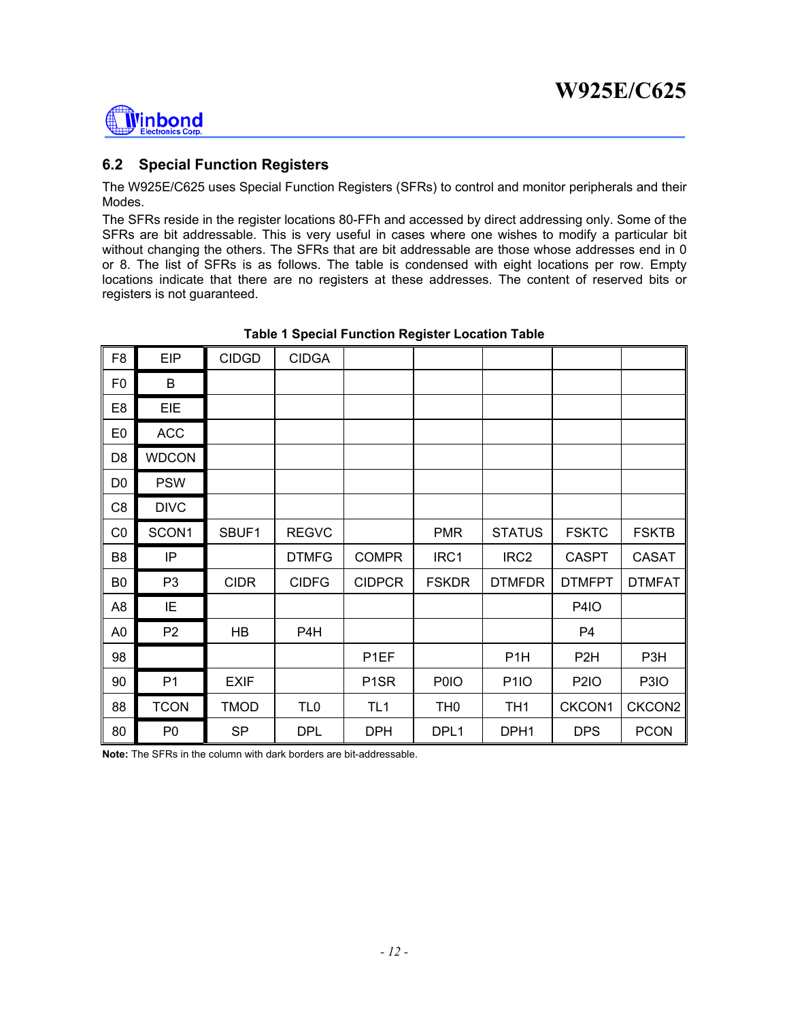

### **6.2 Special Function Registers**

The W925E/C625 uses Special Function Registers (SFRs) to control and monitor peripherals and their Modes.

The SFRs reside in the register locations 80-FFh and accessed by direct addressing only. Some of the SFRs are bit addressable. This is very useful in cases where one wishes to modify a particular bit without changing the others. The SFRs that are bit addressable are those whose addresses end in 0 or 8. The list of SFRs is as follows. The table is condensed with eight locations per row. Empty locations indicate that there are no registers at these addresses. The content of reserved bits or registers is not guaranteed.

| F <sub>8</sub> | <b>EIP</b>     | <b>CIDGD</b> | <b>CIDGA</b>     |                   |                 |                  |                  |                  |
|----------------|----------------|--------------|------------------|-------------------|-----------------|------------------|------------------|------------------|
| F <sub>0</sub> | B              |              |                  |                   |                 |                  |                  |                  |
| E <sub>8</sub> | EIE            |              |                  |                   |                 |                  |                  |                  |
| E <sub>0</sub> | <b>ACC</b>     |              |                  |                   |                 |                  |                  |                  |
| D <sub>8</sub> | <b>WDCON</b>   |              |                  |                   |                 |                  |                  |                  |
| D <sub>0</sub> | <b>PSW</b>     |              |                  |                   |                 |                  |                  |                  |
| C <sub>8</sub> | <b>DIVC</b>    |              |                  |                   |                 |                  |                  |                  |
| CO             | SCON1          | SBUF1        | <b>REGVC</b>     |                   | <b>PMR</b>      | <b>STATUS</b>    | <b>FSKTC</b>     | <b>FSKTB</b>     |
| B <sub>8</sub> | IP             |              | <b>DTMFG</b>     | <b>COMPR</b>      | IRC1            | IRC <sub>2</sub> | <b>CASPT</b>     | <b>CASAT</b>     |
| B <sub>0</sub> | P <sub>3</sub> | <b>CIDR</b>  | <b>CIDFG</b>     | <b>CIDPCR</b>     | <b>FSKDR</b>    | <b>DTMFDR</b>    | <b>DTMFPT</b>    | <b>DTMFAT</b>    |
| A <sub>8</sub> | IE             |              |                  |                   |                 |                  | <b>P4IO</b>      |                  |
| A <sub>0</sub> | P <sub>2</sub> | HB           | P <sub>4</sub> H |                   |                 |                  | P4               |                  |
| 98             |                |              |                  | P <sub>1</sub> EF |                 | P <sub>1</sub> H | P <sub>2</sub> H | P <sub>3</sub> H |
| 90             | P <sub>1</sub> | <b>EXIF</b>  |                  | P <sub>1</sub> SR | P0IO            | <b>P1IO</b>      | <b>P2IO</b>      | P3IO             |
| 88             | <b>TCON</b>    | <b>TMOD</b>  | TL <sub>0</sub>  | TL <sub>1</sub>   | TH <sub>0</sub> | TH <sub>1</sub>  | CKCON1           | CKCON2           |
| 80             | P <sub>0</sub> | <b>SP</b>    | <b>DPL</b>       | <b>DPH</b>        | DPL1            | DPH1             | <b>DPS</b>       | <b>PCON</b>      |

### **Table 1 Special Function Register Location Table**

**Note:** The SFRs in the column with dark borders are bit-addressable.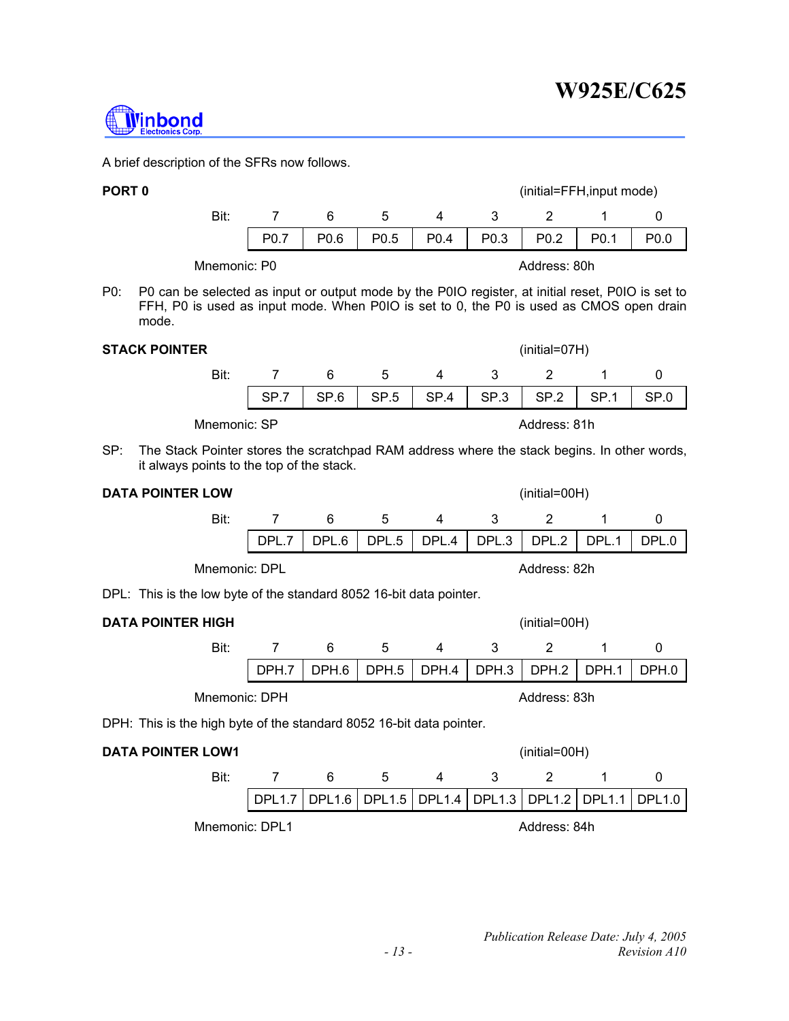Mnemonic: DPL1 Address: 84h

# **W925E/C625**

A brief description of the SFRs now follows.



<u>l</u>inbond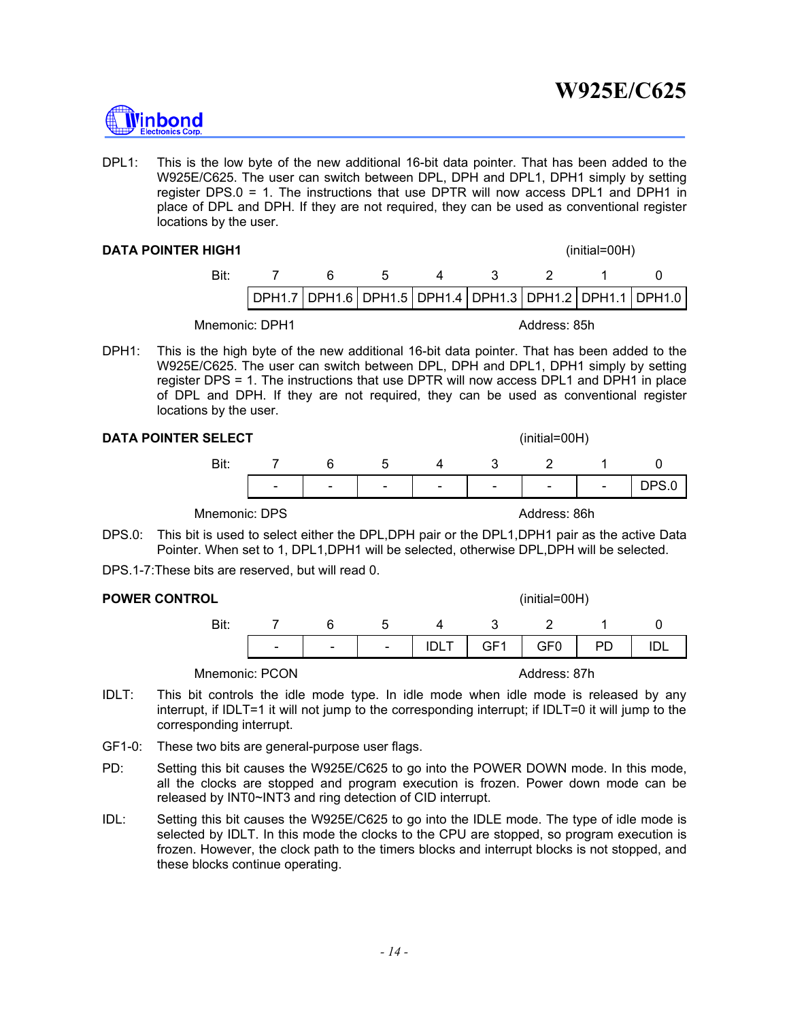

DPL1: This is the low byte of the new additional 16-bit data pointer. That has been added to the W925E/C625. The user can switch between DPL, DPH and DPL1, DPH1 simply by setting register DPS.0 = 1. The instructions that use DPTR will now access DPL1 and DPH1 in place of DPL and DPH. If they are not required, they can be used as conventional register locations by the user.

#### **DATA POINTER HIGH1 CONSUMING A REAL PROPERTY CONSUMING A REAL PROPERTY CONSUMING A REAL PROPERTY CONSUMING A REAL PROPERTY CONSUMING A REAL PROPERTY CONSUMING A REAL PROPERTY CONSUMING A REAL PROPERTY CONSUMING A REAL P**



Mnemonic: DPH1 Address: 85h

DPH1: This is the high byte of the new additional 16-bit data pointer. That has been added to the W925E/C625. The user can switch between DPL, DPH and DPL1, DPH1 simply by setting register DPS = 1. The instructions that use DPTR will now access DPL1 and DPH1 in place of DPL and DPH. If they are not required, they can be used as conventional register locations by the user.

#### **DATA POINTER SELECT**

|  | $(inital=00H)$ |  |
|--|----------------|--|
|  |                |  |

| Bit |                          |        |               |        |                          |        |               |  |
|-----|--------------------------|--------|---------------|--------|--------------------------|--------|---------------|--|
|     | $\overline{\phantom{0}}$ | $\sim$ | $\sim$ $\sim$ | $\sim$ | $\overline{\phantom{0}}$ | $\sim$ | $\sim$ $\sim$ |  |
|     |                          |        |               |        |                          |        |               |  |

Mnemonic: DPS **Address: 86h** 

- DPS.0: This bit is used to select either the DPL,DPH pair or the DPL1,DPH1 pair as the active Data Pointer. When set to 1, DPL1,DPH1 will be selected, otherwise DPL,DPH will be selected.
- DPS.1-7:These bits are reserved, but will read 0.

#### **POWER CONTROL CONTROL CONTROL CONTROL CONTROL**

|  |  |  | 7 6 5 4 3 2 1 0                         |  |
|--|--|--|-----------------------------------------|--|
|  |  |  | -   -   -   IDLT   GF1   GF0   PD   IDL |  |
|  |  |  |                                         |  |

Mnemonic: PCON Address: 87h

- IDLT: This bit controls the idle mode type. In idle mode when idle mode is released by any interrupt, if IDLT=1 it will not jump to the corresponding interrupt; if IDLT=0 it will jump to the corresponding interrupt.
- GF1-0: These two bits are general-purpose user flags.
- PD: Setting this bit causes the W925E/C625 to go into the POWER DOWN mode. In this mode, all the clocks are stopped and program execution is frozen. Power down mode can be released by INT0~INT3 and ring detection of CID interrupt.
- IDL: Setting this bit causes the W925E/C625 to go into the IDLE mode. The type of idle mode is selected by IDLT. In this mode the clocks to the CPU are stopped, so program execution is frozen. However, the clock path to the timers blocks and interrupt blocks is not stopped, and these blocks continue operating.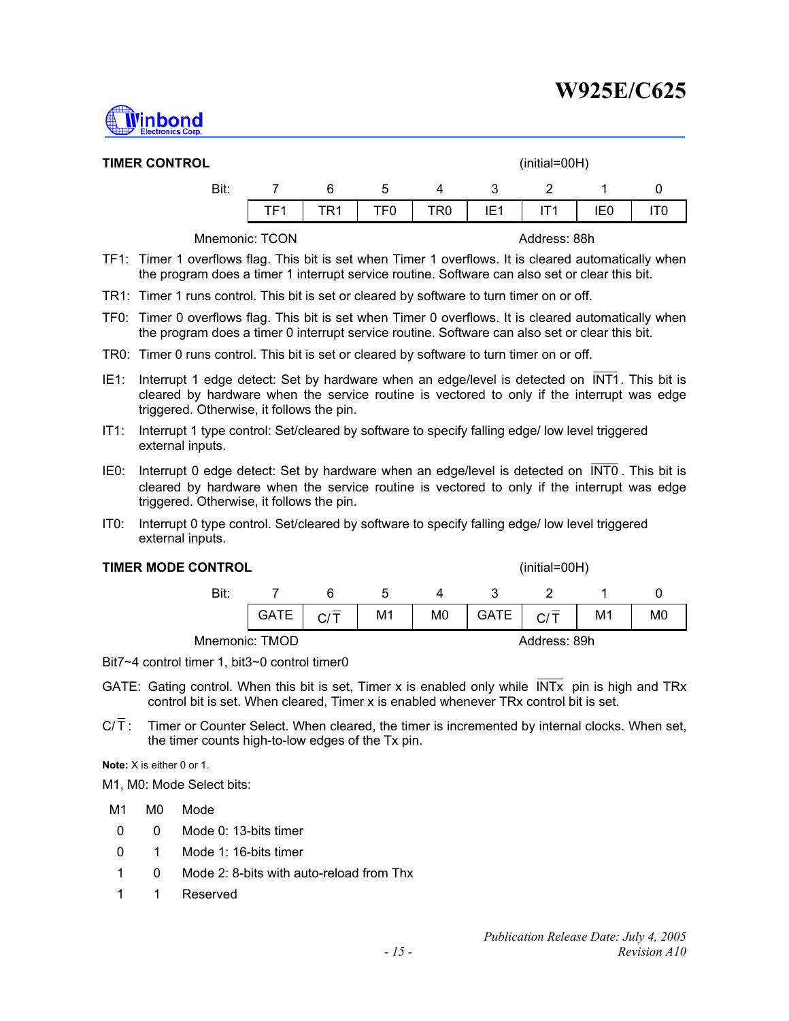

| <b>TIMER CONTROL</b> |                 |      |                 |     |                 | $(inital=00H)$ |     |  |
|----------------------|-----------------|------|-----------------|-----|-----------------|----------------|-----|--|
| Bit:                 |                 | 6    | 5               | 4   | -3              | $\mathcal{P}$  |     |  |
|                      | TF <sub>1</sub> | TR 1 | TF <sub>0</sub> | TR0 | IE <sub>1</sub> |                | IE0 |  |
|                      |                 |      |                 |     |                 |                |     |  |

Mnemonic: TCON **Address: 88h** 

- TF1: Timer 1 overflows flag. This bit is set when Timer 1 overflows. It is cleared automatically when the program does a timer 1 interrupt service routine. Software can also set or clear this bit.
- TR1: Timer 1 runs control. This bit is set or cleared by software to turn timer on or off.
- TF0: Timer 0 overflows flag. This bit is set when Timer 0 overflows. It is cleared automatically when the program does a timer 0 interrupt service routine. Software can also set or clear this bit.
- TR0: Timer 0 runs control. This bit is set or cleared by software to turn timer on or off.
- IE1: Interrupt 1 edge detect: Set by hardware when an edge/level is detected on INT1. This bit is cleared by hardware when the service routine is vectored to only if the interrupt was edge triggered. Otherwise, it follows the pin.
- IT1: Interrupt 1 type control: Set/cleared by software to specify falling edge/ low level triggered external inputs.
- IE0: Interrupt 0 edge detect: Set by hardware when an edge/level is detected on  $\overline{\text{INT0}}$ . This bit is cleared by hardware when the service routine is vectored to only if the interrupt was edge triggered. Otherwise, it follows the pin.
- IT0: Interrupt 0 type control. Set/cleared by software to specify falling edge/ low level triggered external inputs.

#### **TIMER MODE CONTROL TIMER MODE CONTROL**

Bit: 7 6 5 4 3 2 1 0  $|\;\mathsf{GATE}\;|\;\mathsf{C}/\bar{\mathsf{T}}\;$  | M1 | M0 | $|\;\mathsf{GATE}\;|\;\mathsf{C}/\bar{\mathsf{T}}\;$  | M1 | M0 Mnemonic: TMOD Address: 89h

Bit7~4 control timer 1, bit3~0 control timer0

- GATE: Gating control. When this bit is set, Timer x is enabled only while INTx pin is high and TRx control bit is set. When cleared, Timer x is enabled whenever TRx control bit is set.
- $C/\overline{T}$ : Timer or Counter Select. When cleared, the timer is incremented by internal clocks. When set, the timer counts high-to-low edges of the Tx pin.

**Note:** X is either 0 or 1.

M1, M0: Mode Select bits:

- M1 M0 Mode
- 0 0 Mode 0: 13-bits timer
- 0 1 Mode 1: 16-bits timer
- 1 0 Mode 2: 8-bits with auto-reload from Thx
- 1 1 Reserved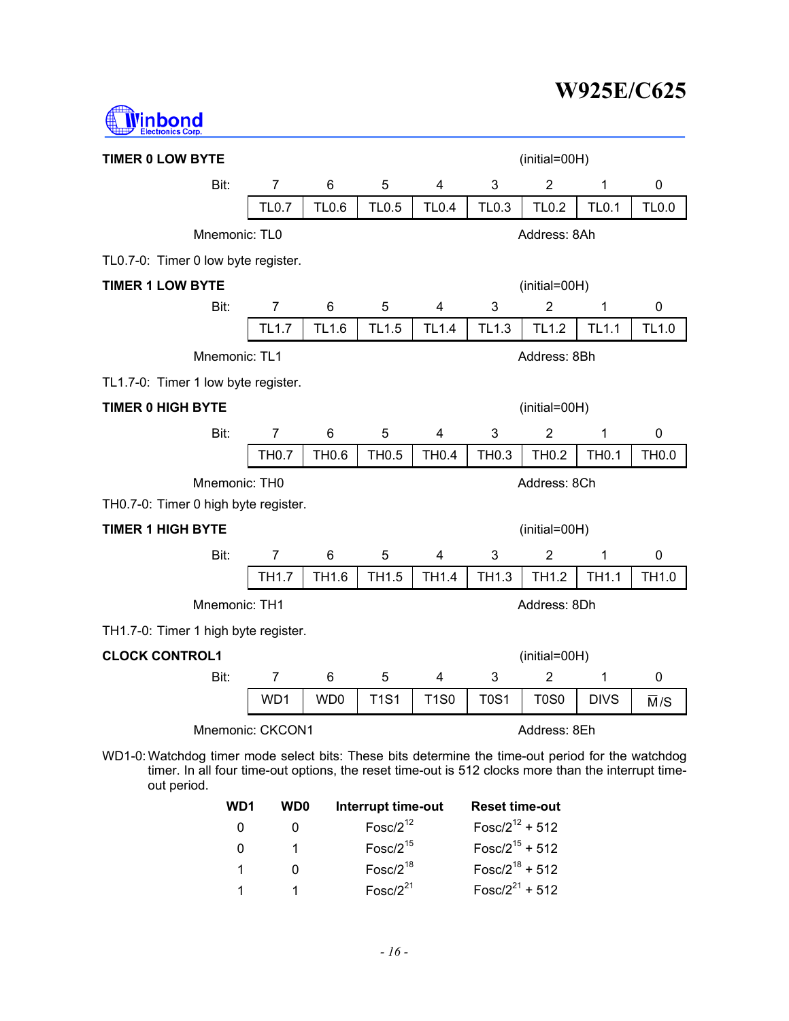

| <b>TIMER 0 LOW BYTE</b>                                                                                                                                                                                                 |                |                 |                                     |              |                                          | (initial=00H)  |              |              |
|-------------------------------------------------------------------------------------------------------------------------------------------------------------------------------------------------------------------------|----------------|-----------------|-------------------------------------|--------------|------------------------------------------|----------------|--------------|--------------|
| Bit:                                                                                                                                                                                                                    | $\overline{7}$ | 6               | 5                                   | 4            | 3                                        | $\overline{2}$ | 1            | 0            |
|                                                                                                                                                                                                                         | <b>TL0.7</b>   | <b>TL0.6</b>    | <b>TL0.5</b>                        | <b>TL0.4</b> | <b>TL0.3</b>                             | <b>TL0.2</b>   | <b>TL0.1</b> | <b>TL0.0</b> |
| Mnemonic: TL0                                                                                                                                                                                                           |                |                 |                                     |              |                                          | Address: 8Ah   |              |              |
| TL0.7-0: Timer 0 low byte register.                                                                                                                                                                                     |                |                 |                                     |              |                                          |                |              |              |
| <b>TIMER 1 LOW BYTE</b>                                                                                                                                                                                                 |                |                 |                                     |              |                                          | (initial=00H)  |              |              |
| Bit:                                                                                                                                                                                                                    | $\overline{7}$ | 6               | 5                                   | 4            | 3                                        | $\overline{2}$ | 1            | 0            |
|                                                                                                                                                                                                                         | <b>TL1.7</b>   | TL1.6           | <b>TL1.5</b>                        | <b>TL1.4</b> | TL1.3                                    | <b>TL1.2</b>   | <b>TL1.1</b> | TL1.0        |
| Mnemonic: TL1                                                                                                                                                                                                           |                |                 |                                     |              |                                          | Address: 8Bh   |              |              |
| TL1.7-0: Timer 1 low byte register.                                                                                                                                                                                     |                |                 |                                     |              |                                          |                |              |              |
| <b>TIMER 0 HIGH BYTE</b>                                                                                                                                                                                                |                |                 |                                     |              |                                          | (initial=00H)  |              |              |
| Bit:                                                                                                                                                                                                                    | $\overline{7}$ | 6               | 5                                   | 4            | 3                                        | $\overline{2}$ | 1            | 0            |
|                                                                                                                                                                                                                         | <b>TH0.7</b>   | TH0.6           | <b>TH0.5</b>                        | <b>TH0.4</b> | TH0.3                                    | TH0.2          | <b>TH0.1</b> | <b>TH0.0</b> |
| Mnemonic: TH0                                                                                                                                                                                                           |                |                 |                                     |              |                                          | Address: 8Ch   |              |              |
| TH0.7-0: Timer 0 high byte register.                                                                                                                                                                                    |                |                 |                                     |              |                                          |                |              |              |
| <b>TIMER 1 HIGH BYTE</b>                                                                                                                                                                                                |                |                 |                                     |              |                                          | (initial=00H)  |              |              |
| Bit:                                                                                                                                                                                                                    | $\overline{7}$ | 6               | 5                                   | 4            | 3                                        | $\overline{2}$ | 1            | 0            |
|                                                                                                                                                                                                                         | <b>TH1.7</b>   | TH1.6           | TH1.5                               | <b>TH1.4</b> | TH1.3                                    | TH1.2          | <b>TH1.1</b> | TH1.0        |
| Mnemonic: TH1                                                                                                                                                                                                           |                |                 |                                     |              |                                          | Address: 8Dh   |              |              |
| TH1.7-0: Timer 1 high byte register.                                                                                                                                                                                    |                |                 |                                     |              |                                          |                |              |              |
| <b>CLOCK CONTROL1</b>                                                                                                                                                                                                   |                |                 |                                     |              |                                          | (initial=00H)  |              |              |
| Bit:                                                                                                                                                                                                                    | 7              | 6               | 5                                   | 4            | 3                                        | 2              | 1            | 0            |
|                                                                                                                                                                                                                         | WD1            | WD <sub>0</sub> | <b>T1S1</b>                         | <b>T1S0</b>  | <b>T0S1</b>                              | <b>T0S0</b>    | <b>DIVS</b>  | M/S          |
| Mnemonic: CKCON1                                                                                                                                                                                                        |                |                 |                                     |              |                                          | Address: 8Eh   |              |              |
| WD1-0: Watchdog timer mode select bits: These bits determine the time-out period for the watchdog<br>timer. In all four time-out options, the reset time-out is 512 clocks more than the interrupt time-<br>out period. |                |                 |                                     |              |                                          |                |              |              |
| WD1                                                                                                                                                                                                                     | <b>WD0</b>     |                 | Interrupt time-out<br>$- - 10^{12}$ |              | <b>Reset time-out</b><br>$12.5012 + 740$ |                |              |              |

| ושע | <b>VVLJU</b> | <u>menapt une-out</u> | <b>RESEL UNIG-OUL</b> |
|-----|--------------|-----------------------|-----------------------|
| - 0 |              | Fosc/ $2^{12}$        | $Fosc/2^{12} + 512$   |
| - 0 |              | $Fosc/2^{15}$         | $Fosc/2^{15} + 512$   |
| 1   | O            | $Fosc/2^{18}$         | $Fosc/2^{18} + 512$   |
| 1   |              | Fosc/ $2^{21}$        | Fosc/ $2^{21}$ + 512  |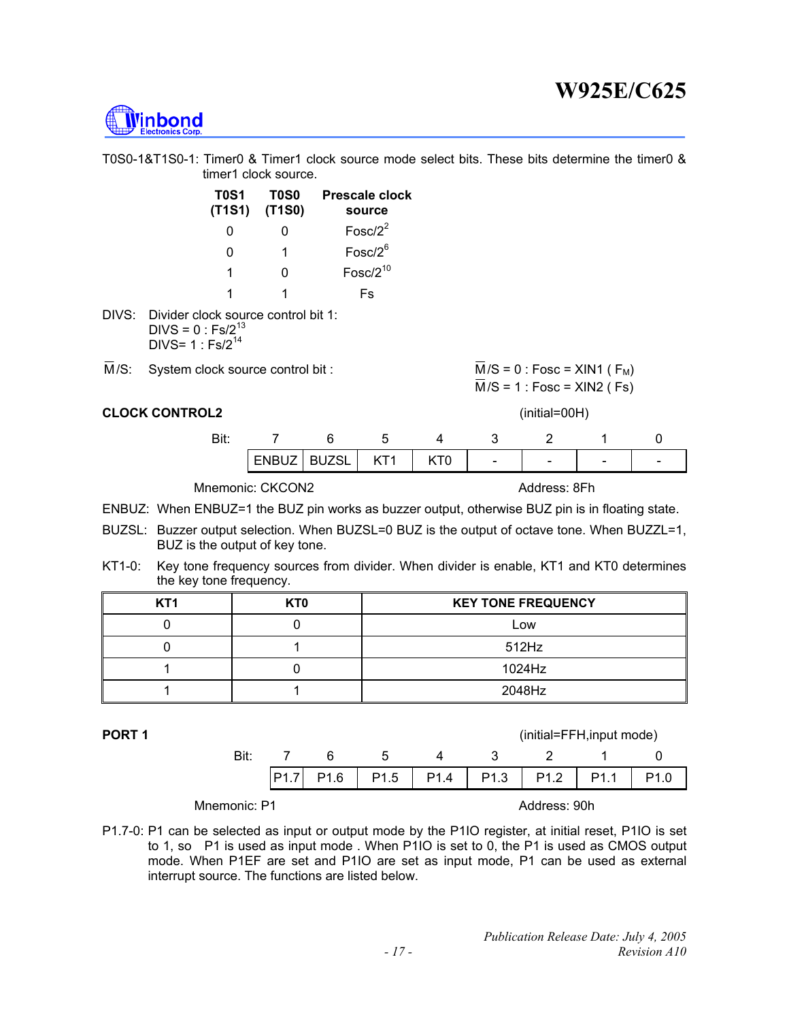

T0S0-1&T1S0-1: Timer0 & Timer1 clock source mode select bits. These bits determine the timer0 & timer1 clock source.

| <b>T0S1</b><br>(T1S1) (T1S0) | T0S0 | Prescale clock<br>source |
|------------------------------|------|--------------------------|
| 0                            | O    | Fosc/ $2^2$              |
| ŋ                            | 1    | $Fosc/2^6$               |
| 1                            | O    | $Fosc/2^{10}$            |
| 1                            | 1    | Fs                       |
|                              |      |                          |

DIVS: Divider clock source control bit 1: DIVS =  $0:Fs/2^{13}$  $DIVS = 1 : Fs/2^{14}$ 

 $\overline{M}/S$ : System clock source control bit :  $\overline{M}/S = 0$  : Fosc = XIN1 ( F<sub>M</sub>)

|  |  |  |  |  | <b>CLOCK CONTROL2</b> |  |
|--|--|--|--|--|-----------------------|--|
|  |  |  |  |  |                       |  |

 $\overline{M}/S = 1$ : Fosc = XIN2 (Fs) (initial=00H)

| Bit: |       |              |                 |   |                          |                          |   |        |
|------|-------|--------------|-----------------|---|--------------------------|--------------------------|---|--------|
|      | ENBUZ | <b>RUZSL</b> | KT <sub>1</sub> | J | $\overline{\phantom{0}}$ | $\overline{\phantom{a}}$ | - | $\sim$ |

#### Mnemonic: CKCON2 Address: 8Fh

ENBUZ: When ENBUZ=1 the BUZ pin works as buzzer output, otherwise BUZ pin is in floating state.

- BUZSL: Buzzer output selection. When BUZSL=0 BUZ is the output of octave tone. When BUZZL=1, BUZ is the output of key tone.
- KT1-0: Key tone frequency sources from divider. When divider is enable, KT1 and KT0 determines the key tone frequency.

| KT <sub>1</sub> | KT0 | <b>KEY TONE FREQUENCY</b> |
|-----------------|-----|---------------------------|
|                 |     | LOW                       |
|                 |     | 512Hz                     |
|                 |     | 1024Hz                    |
|                 |     | 2048Hz                    |

| PORT <sub>1</sub> |              |                  |                  |                  |                  |                  | (initial=FFH, input mode) |                  |                  |
|-------------------|--------------|------------------|------------------|------------------|------------------|------------------|---------------------------|------------------|------------------|
|                   | Bit:         |                  | 6                | b                | 4                | ર                |                           |                  |                  |
|                   |              | P <sub>1.7</sub> | P <sub>1.6</sub> | P <sub>1.5</sub> | P <sub>1.4</sub> | P <sub>1.3</sub> | P <sub>1.2</sub>          | P <sub>1.1</sub> | P <sub>1.0</sub> |
|                   | Mnemonic: P1 |                  |                  |                  |                  |                  | Address: 90h              |                  |                  |

P1.7-0: P1 can be selected as input or output mode by the P1IO register, at initial reset, P1IO is set to 1, so P1 is used as input mode . When P1IO is set to 0, the P1 is used as CMOS output mode. When P1EF are set and P1IO are set as input mode, P1 can be used as external interrupt source. The functions are listed below.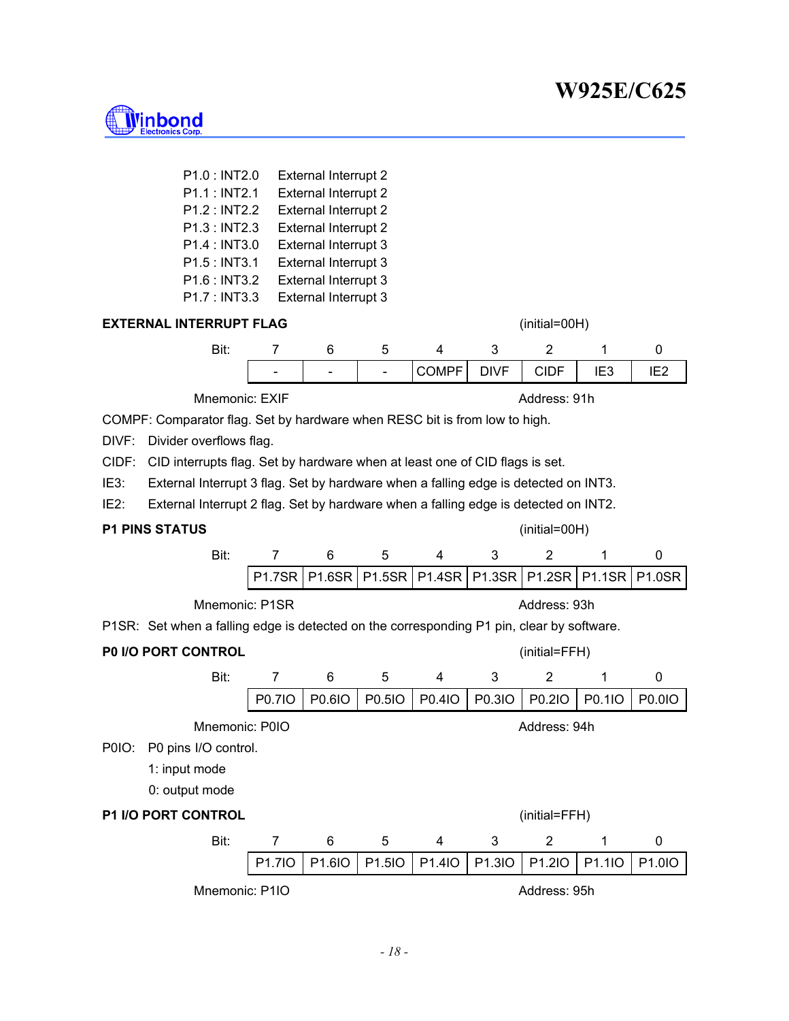

|                   | P1.0 : INT2.0                                                                             |                | <b>External Interrupt 2</b>                  |                |                |               |                |                 |                 |
|-------------------|-------------------------------------------------------------------------------------------|----------------|----------------------------------------------|----------------|----------------|---------------|----------------|-----------------|-----------------|
|                   | P1.1 : INT2.1                                                                             |                | <b>External Interrupt 2</b>                  |                |                |               |                |                 |                 |
|                   | P1.2 : INT2.2                                                                             |                | <b>External Interrupt 2</b>                  |                |                |               |                |                 |                 |
|                   | P1.3 : INT2.3                                                                             |                | <b>External Interrupt 2</b>                  |                |                |               |                |                 |                 |
|                   | P1.4 : INT3.0                                                                             |                | External Interrupt 3                         |                |                |               |                |                 |                 |
|                   | P1.5 : INT3.1<br>P1.6 : INT3.2                                                            |                | External Interrupt 3<br>External Interrupt 3 |                |                |               |                |                 |                 |
|                   | P1.7 : INT3.3                                                                             |                | External Interrupt 3                         |                |                |               |                |                 |                 |
|                   | <b>EXTERNAL INTERRUPT FLAG</b>                                                            |                |                                              |                |                |               | (initial=00H)  |                 |                 |
|                   | Bit:                                                                                      |                | 6                                            | 5              |                | 3             | 2              | 1               |                 |
|                   |                                                                                           | 7              |                                              |                | 4              |               |                |                 | 0               |
|                   |                                                                                           | $\blacksquare$ | $\overline{\phantom{0}}$                     | $\blacksquare$ | <b>COMPF</b>   | <b>DIVF</b>   | <b>CIDF</b>    | IE <sub>3</sub> | IE <sub>2</sub> |
|                   | Mnemonic: EXIF                                                                            |                |                                              |                |                |               | Address: 91h   |                 |                 |
|                   | COMPF: Comparator flag. Set by hardware when RESC bit is from low to high.                |                |                                              |                |                |               |                |                 |                 |
| DIVF:             | Divider overflows flag.                                                                   |                |                                              |                |                |               |                |                 |                 |
| CIDF:             | CID interrupts flag. Set by hardware when at least one of CID flags is set.               |                |                                              |                |                |               |                |                 |                 |
| IE3:              | External Interrupt 3 flag. Set by hardware when a falling edge is detected on INT3.       |                |                                              |                |                |               |                |                 |                 |
| IE <sub>2</sub> : | External Interrupt 2 flag. Set by hardware when a falling edge is detected on INT2.       |                |                                              |                |                |               |                |                 |                 |
|                   |                                                                                           |                |                                              |                |                |               |                |                 |                 |
|                   | <b>P1 PINS STATUS</b>                                                                     |                |                                              |                |                |               | (initial=00H)  |                 |                 |
|                   | Bit:                                                                                      | $\overline{7}$ | 6                                            | 5              | 4              | 3             | $\overline{2}$ | 1               | 0               |
|                   |                                                                                           | <b>P1.7SR</b>  | <b>P1.6SR</b>                                | <b>P1.5SR</b>  | <b>P1.4SR</b>  | <b>P1.3SR</b> | <b>P1.2SR</b>  | <b>P1.1SR</b>   | <b>P1.0SR</b>   |
|                   | Mnemonic: P1SR                                                                            |                |                                              |                |                |               | Address: 93h   |                 |                 |
|                   | P1SR: Set when a falling edge is detected on the corresponding P1 pin, clear by software. |                |                                              |                |                |               |                |                 |                 |
|                   | P0 I/O PORT CONTROL                                                                       |                |                                              |                |                |               | (initial=FFH)  |                 |                 |
|                   | Bit:                                                                                      | $\overline{7}$ | 6                                            | 5              | 4              | 3             | 2              | 1               | 0               |
|                   |                                                                                           | P0.710         | P0.6IO                                       | P0.51O         | P0.4IO         | P0.3IO        | P0.2IO         | P0.1IO          | P0.01O          |
|                   | Mnemonic: P0IO                                                                            |                |                                              |                |                |               | Address: 94h   |                 |                 |
| P0IO:             | P0 pins I/O control.                                                                      |                |                                              |                |                |               |                |                 |                 |
|                   | 1: input mode                                                                             |                |                                              |                |                |               |                |                 |                 |
|                   |                                                                                           |                |                                              |                |                |               |                |                 |                 |
|                   | 0: output mode                                                                            |                |                                              |                |                |               |                |                 |                 |
|                   | <b>P1 I/O PORT CONTROL</b>                                                                |                |                                              |                |                |               | (initial=FFH)  |                 |                 |
|                   | Bit:                                                                                      | $\overline{7}$ | 6                                            | 5              | $\overline{4}$ | 3             | $\overline{2}$ | 1               | $\pmb{0}$       |
|                   |                                                                                           | P1.7IO         | P1.6IO                                       | P1.5IO         | P1.4IO         | P1.3IO        | P1.2IO         | P1.1IO          | P1.0IO          |
|                   | Mnemonic: P1IO                                                                            |                |                                              |                |                |               | Address: 95h   |                 |                 |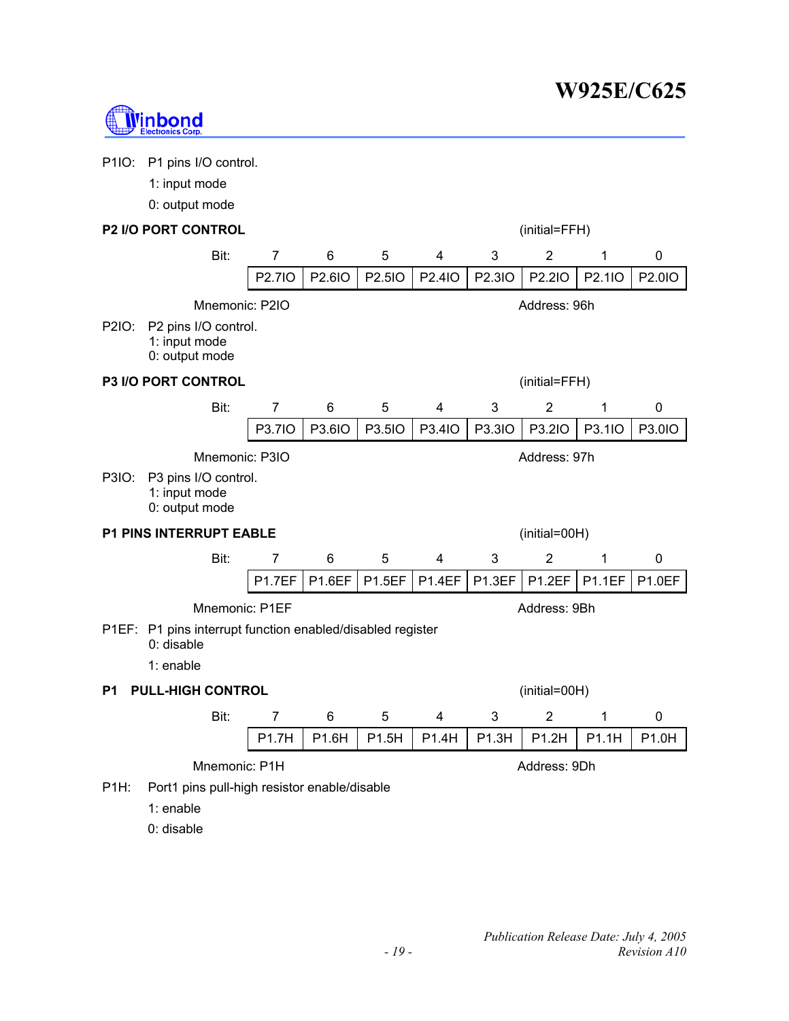

| P1IO:             | P1 pins I/O control.                                       |                |               |               |               |        |                |               |           |
|-------------------|------------------------------------------------------------|----------------|---------------|---------------|---------------|--------|----------------|---------------|-----------|
|                   | 1: input mode                                              |                |               |               |               |        |                |               |           |
|                   | 0: output mode                                             |                |               |               |               |        |                |               |           |
|                   | <b>P2 I/O PORT CONTROL</b>                                 |                |               |               |               |        | (initial=FFH)  |               |           |
|                   | Bit:                                                       | 7              | 6             | 5             | 4             | 3      | $\overline{2}$ | 1             | 0         |
|                   |                                                            | P2.7IO         | P2.6IO        | P2.5IO        | P2.4IO        | P2.3IO | P2.2IO         | P2.1IO        | P2.0IO    |
|                   | Mnemonic: P2IO                                             |                |               |               |               |        | Address: 96h   |               |           |
| P2IO:             | P2 pins I/O control.<br>1: input mode<br>0: output mode    |                |               |               |               |        |                |               |           |
|                   | <b>P3 I/O PORT CONTROL</b>                                 |                |               |               |               |        | (initial=FFH)  |               |           |
|                   | Bit:                                                       | 7              | 6             | 5             | 4             | 3      | $\overline{2}$ | 1             | 0         |
|                   |                                                            | P3.7IO         | P3.6IO        | P3.5IO        | P3.4IO        | P3.3IO | P3.2IO         | P3.1IO        | P3.0IO    |
|                   | Mnemonic: P3IO                                             |                |               |               |               |        | Address: 97h   |               |           |
| P3IO:             | P3 pins I/O control.<br>1: input mode<br>0: output mode    |                |               |               |               |        |                |               |           |
|                   | <b>P1 PINS INTERRUPT EABLE</b>                             |                |               |               |               |        | (initial=00H)  |               |           |
|                   | Bit:                                                       | 7              | 6             | 5             | 4             | 3      | $\overline{2}$ | 1             | $\pmb{0}$ |
|                   |                                                            | <b>P1.7EF</b>  | <b>P1.6EF</b> | <b>P1.5EF</b> | <b>P1.4EF</b> | P1.3EF | P1.2EF         | <b>P1.1EF</b> | P1.0EF    |
|                   | Mnemonic: P1EF                                             |                |               |               |               |        | Address: 9Bh   |               |           |
|                   | P1EF: P1 pins interrupt function enabled/disabled register |                |               |               |               |        |                |               |           |
|                   | $0:$ disable<br>1: enable                                  |                |               |               |               |        |                |               |           |
|                   |                                                            |                |               |               |               |        |                |               |           |
| P1                | <b>PULL-HIGH CONTROL</b><br>(initial=00H)                  |                |               |               |               |        |                |               |           |
|                   | Bit:                                                       | $\overline{7}$ | 6             | 5             | 4             | 3      | $\overline{2}$ | 1             | 0         |
|                   |                                                            | P1.7H          | P1.6H         | P1.5H         | P1.4H         | P1.3H  | P1.2H          | P1.1H         | P1.0H     |
|                   | Mnemonic: P1H                                              |                |               |               |               |        | Address: 9Dh   |               |           |
| P <sub>1H</sub> : | Port1 pins pull-high resistor enable/disable               |                |               |               |               |        |                |               |           |
|                   | 1: enable                                                  |                |               |               |               |        |                |               |           |

0: disable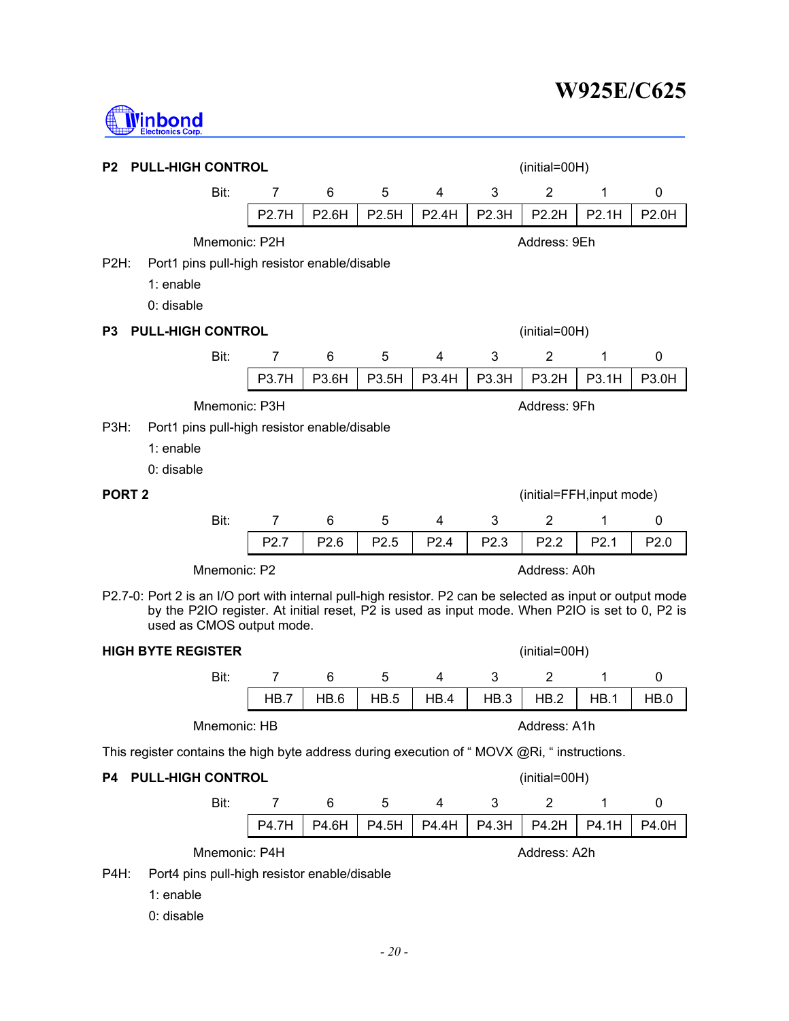

| P2                | <b>PULL-HIGH CONTROL</b><br>(initial=00H)                                                                                                                                                                                                 |                |                  |       |       |              |                           |                  |                  |
|-------------------|-------------------------------------------------------------------------------------------------------------------------------------------------------------------------------------------------------------------------------------------|----------------|------------------|-------|-------|--------------|---------------------------|------------------|------------------|
|                   | Bit:                                                                                                                                                                                                                                      | 7              | 6                | 5     | 4     | 3            | 2                         | 1                | 0                |
|                   |                                                                                                                                                                                                                                           | <b>P2.7H</b>   | P2.6H            | P2.5H | P2.4H | <b>P2.3H</b> | P2.2H                     | P2.1H            | <b>P2.0H</b>     |
|                   | Mnemonic: P2H                                                                                                                                                                                                                             |                |                  |       |       |              | Address: 9Eh              |                  |                  |
| P2H:              | Port1 pins pull-high resistor enable/disable<br>$1:$ enable<br>0: disable                                                                                                                                                                 |                |                  |       |       |              |                           |                  |                  |
| Р3                | <b>PULL-HIGH CONTROL</b>                                                                                                                                                                                                                  |                |                  |       |       |              | (initial=00H)             |                  |                  |
|                   | Bit:                                                                                                                                                                                                                                      | 7              | 6                | 5     | 4     | 3            | $\overline{2}$            | 1                | 0                |
|                   |                                                                                                                                                                                                                                           | <b>P3.7H</b>   | P3.6H            | P3.5H | P3.4H | P3.3H        | P3.2H                     | P3.1H            | P3.0H            |
|                   | Mnemonic: P3H                                                                                                                                                                                                                             |                |                  |       |       |              | Address: 9Fh              |                  |                  |
| P3H:              | Port1 pins pull-high resistor enable/disable                                                                                                                                                                                              |                |                  |       |       |              |                           |                  |                  |
|                   | 1: enable                                                                                                                                                                                                                                 |                |                  |       |       |              |                           |                  |                  |
|                   | 0: disable                                                                                                                                                                                                                                |                |                  |       |       |              |                           |                  |                  |
| PORT <sub>2</sub> |                                                                                                                                                                                                                                           |                |                  |       |       |              | (initial=FFH, input mode) |                  |                  |
|                   | Bit:                                                                                                                                                                                                                                      | 7              | 6                | 5     | 4     | 3            | 2                         | 1                | 0                |
|                   |                                                                                                                                                                                                                                           | P2.7           | P <sub>2.6</sub> | P2.5  | P2.4  | P2.3         | P <sub>2.2</sub>          | P <sub>2.1</sub> | P <sub>2.0</sub> |
|                   | Mnemonic: P2                                                                                                                                                                                                                              |                |                  |       |       |              | Address: A0h              |                  |                  |
|                   | P2.7-0: Port 2 is an I/O port with internal pull-high resistor. P2 can be selected as input or output mode<br>by the P2IO register. At initial reset, P2 is used as input mode. When P2IO is set to 0, P2 is<br>used as CMOS output mode. |                |                  |       |       |              |                           |                  |                  |
|                   | <b>HIGH BYTE REGISTER</b>                                                                                                                                                                                                                 |                |                  |       |       |              | $(inital=00H)$            |                  |                  |
|                   | Bit:                                                                                                                                                                                                                                      | $\overline{7}$ | 6                | 5     | 4     | 3            | $\overline{2}$            | 1                | 0                |
|                   |                                                                                                                                                                                                                                           | HB.7           | HB.6             | HB.5  | HB.4  | HB.3         | HB.2                      | HB.1             | HB.0             |
|                   | Mnemonic: HB                                                                                                                                                                                                                              |                |                  |       |       |              | Address: A1h              |                  |                  |
|                   | This register contains the high byte address during execution of "MOVX @Ri, " instructions.                                                                                                                                               |                |                  |       |       |              |                           |                  |                  |
| P4                | <b>PULL-HIGH CONTROL</b>                                                                                                                                                                                                                  |                |                  |       |       |              | (initial=00H)             |                  |                  |
|                   | Bit:                                                                                                                                                                                                                                      | $\overline{7}$ | 6                | 5     | 4     | 3            | $\overline{2}$            | 1                | 0                |
|                   |                                                                                                                                                                                                                                           | P4.7H          | P4.6H            | P4.5H | P4.4H | P4.3H        | P4.2H                     | P4.1H            | P4.0H            |
|                   | Mnemonic: P4H                                                                                                                                                                                                                             |                |                  |       |       |              | Address: A2h              |                  |                  |
| P4H:              | Port4 pins pull-high resistor enable/disable                                                                                                                                                                                              |                |                  |       |       |              |                           |                  |                  |
|                   | 1: enable                                                                                                                                                                                                                                 |                |                  |       |       |              |                           |                  |                  |
|                   | 0: disable                                                                                                                                                                                                                                |                |                  |       |       |              |                           |                  |                  |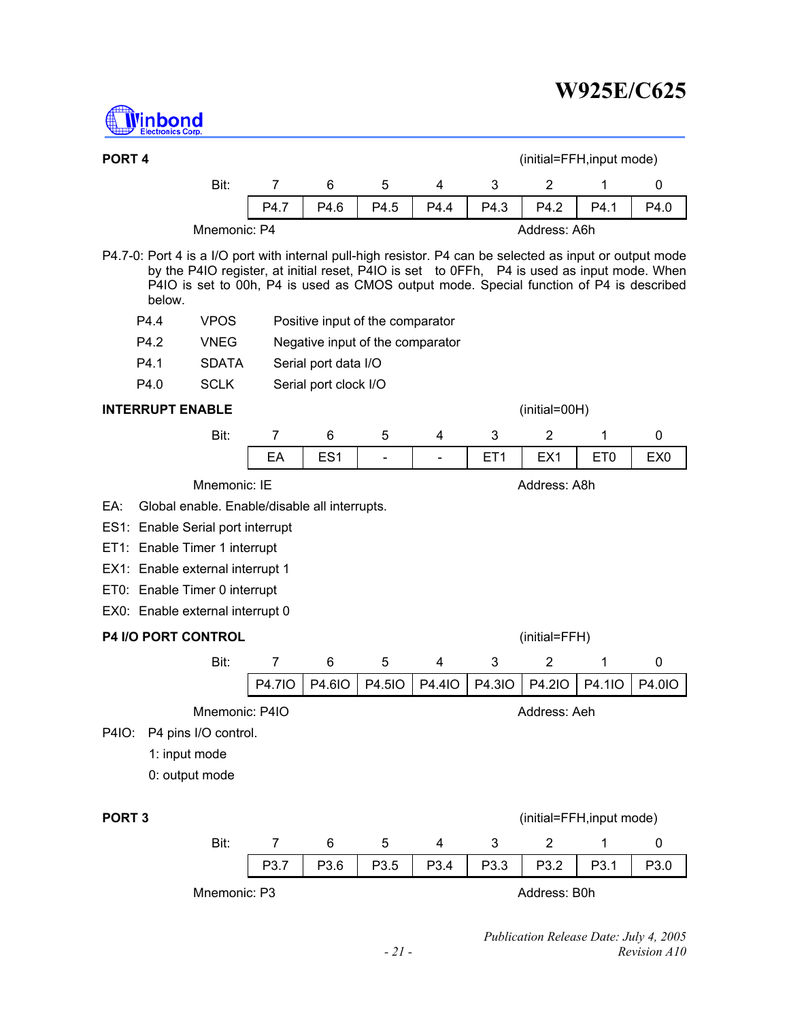

| PORT <sub>4</sub> |                                                                                                                                                                                                                                                                                                               |                |                |                       |                                  |                          |                 | (initial=FFH, input mode) |                 |                 |
|-------------------|---------------------------------------------------------------------------------------------------------------------------------------------------------------------------------------------------------------------------------------------------------------------------------------------------------------|----------------|----------------|-----------------------|----------------------------------|--------------------------|-----------------|---------------------------|-----------------|-----------------|
|                   |                                                                                                                                                                                                                                                                                                               | Bit:           | 7              | 6                     | 5                                | 4                        | 3               | 2                         | 1               | 0               |
|                   |                                                                                                                                                                                                                                                                                                               |                | P4.7           | P4.6                  | P4.5                             | P4.4                     | P4.3            | P4.2                      | P4.1            | P4.0            |
|                   |                                                                                                                                                                                                                                                                                                               | Mnemonic: P4   |                |                       |                                  |                          |                 | Address: A6h              |                 |                 |
|                   | P4.7-0: Port 4 is a I/O port with internal pull-high resistor. P4 can be selected as input or output mode<br>by the P4IO register, at initial reset, P4IO is set to 0FFh, P4 is used as input mode. When<br>P4IO is set to 00h, P4 is used as CMOS output mode. Special function of P4 is described<br>below. |                |                |                       |                                  |                          |                 |                           |                 |                 |
|                   | P4.4                                                                                                                                                                                                                                                                                                          | <b>VPOS</b>    |                |                       | Positive input of the comparator |                          |                 |                           |                 |                 |
|                   | P4.2                                                                                                                                                                                                                                                                                                          | <b>VNEG</b>    |                |                       | Negative input of the comparator |                          |                 |                           |                 |                 |
|                   | P4.1                                                                                                                                                                                                                                                                                                          | <b>SDATA</b>   |                | Serial port data I/O  |                                  |                          |                 |                           |                 |                 |
|                   | P4.0                                                                                                                                                                                                                                                                                                          | <b>SCLK</b>    |                | Serial port clock I/O |                                  |                          |                 |                           |                 |                 |
|                   | <b>INTERRUPT ENABLE</b>                                                                                                                                                                                                                                                                                       |                |                |                       |                                  |                          |                 | (initial=00H)             |                 |                 |
|                   |                                                                                                                                                                                                                                                                                                               | Bit:           | $\overline{7}$ | 6                     | 5                                | 4                        | 3               | $\overline{2}$            | 1               | 0               |
|                   |                                                                                                                                                                                                                                                                                                               |                | EA             | ES <sub>1</sub>       | $\blacksquare$                   | $\overline{\phantom{0}}$ | ET <sub>1</sub> | EX <sub>1</sub>           | ET <sub>0</sub> | EX <sub>0</sub> |
|                   |                                                                                                                                                                                                                                                                                                               | Mnemonic: IE   |                |                       |                                  |                          |                 | Address: A8h              |                 |                 |
| EA:               | Global enable. Enable/disable all interrupts.                                                                                                                                                                                                                                                                 |                |                |                       |                                  |                          |                 |                           |                 |                 |
|                   | ES1: Enable Serial port interrupt                                                                                                                                                                                                                                                                             |                |                |                       |                                  |                          |                 |                           |                 |                 |
|                   | ET1: Enable Timer 1 interrupt                                                                                                                                                                                                                                                                                 |                |                |                       |                                  |                          |                 |                           |                 |                 |
|                   | EX1: Enable external interrupt 1                                                                                                                                                                                                                                                                              |                |                |                       |                                  |                          |                 |                           |                 |                 |
|                   | ET0: Enable Timer 0 interrupt                                                                                                                                                                                                                                                                                 |                |                |                       |                                  |                          |                 |                           |                 |                 |
|                   | EX0: Enable external interrupt 0                                                                                                                                                                                                                                                                              |                |                |                       |                                  |                          |                 |                           |                 |                 |
|                   | <b>P4 I/O PORT CONTROL</b>                                                                                                                                                                                                                                                                                    |                |                |                       |                                  |                          |                 | (initial=FFH)             |                 |                 |
|                   |                                                                                                                                                                                                                                                                                                               | Bit:           | 7              | 6                     | 5                                | 4                        | 3               | 2                         | 1               | 0               |
|                   |                                                                                                                                                                                                                                                                                                               |                | <b>P4.7IO</b>  | P4.6IO                | P4.5IO                           | P4.4IO                   | P4.3IO          | P4.2IO                    | P4.1IO          | P4.010          |
|                   |                                                                                                                                                                                                                                                                                                               | Mnemonic: P4IO |                |                       |                                  |                          |                 | Address: Aeh              |                 |                 |
| P4IO:             | P4 pins I/O control.                                                                                                                                                                                                                                                                                          |                |                |                       |                                  |                          |                 |                           |                 |                 |
|                   | 1: input mode                                                                                                                                                                                                                                                                                                 |                |                |                       |                                  |                          |                 |                           |                 |                 |
|                   | 0: output mode                                                                                                                                                                                                                                                                                                |                |                |                       |                                  |                          |                 |                           |                 |                 |
|                   |                                                                                                                                                                                                                                                                                                               |                |                |                       |                                  |                          |                 |                           |                 |                 |
| PORT <sub>3</sub> |                                                                                                                                                                                                                                                                                                               |                |                |                       |                                  |                          |                 | (initial=FFH, input mode) |                 |                 |

| Bit:         |      |                  |      |                  |                  |              |      |
|--------------|------|------------------|------|------------------|------------------|--------------|------|
|              | P3.7 | P <sub>3.6</sub> | P3.5 | P <sub>3.4</sub> | P <sub>3.3</sub> | P3.2         | P3.0 |
| Mnemonic: P3 |      |                  |      |                  |                  | Address: B0h |      |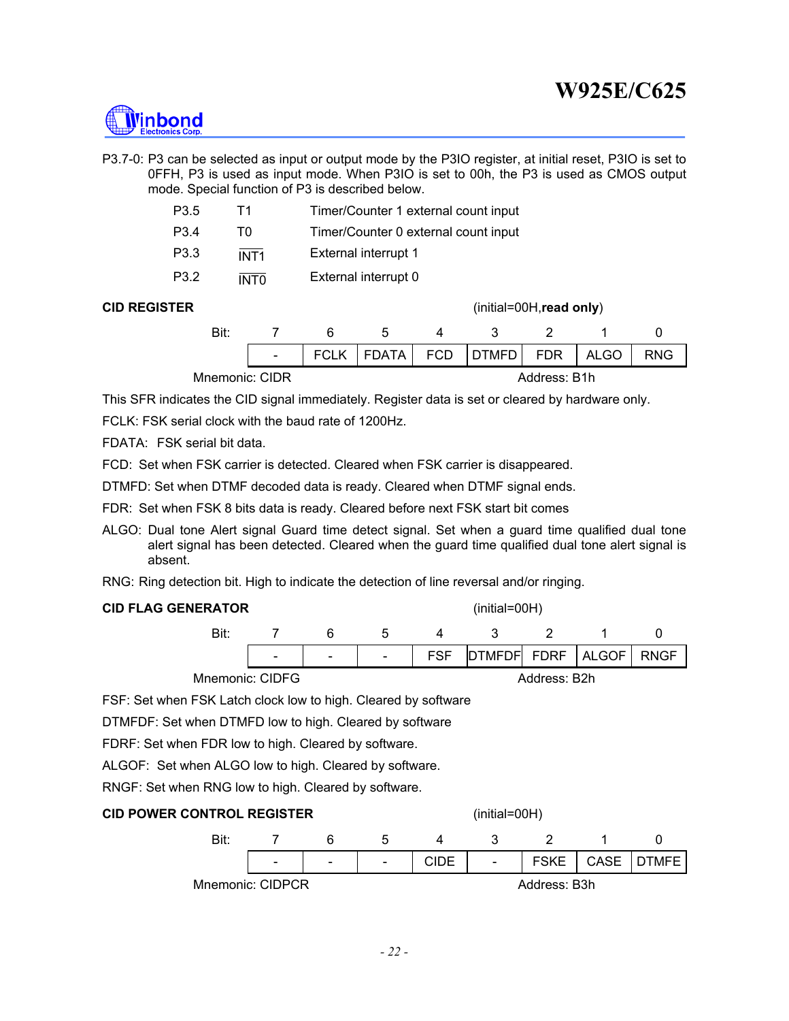

P3.7-0: P3 can be selected as input or output mode by the P3IO register, at initial reset, P3IO is set to 0FFH, P3 is used as input mode. When P3IO is set to 00h, the P3 is used as CMOS output mode. Special function of P3 is described below.

| P3.5 | T1               | Timer/Counter 1 external count input |
|------|------------------|--------------------------------------|
| P3.4 | TΩ               | Timer/Counter 0 external count input |
| P3.3 | INT <sub>1</sub> | External interrupt 1                 |
| P3.2 | <b>INTO</b>      | External interrupt 0                 |

**CID REGISTER** (initial=00H,**read only**)

| Bit:           |        |             |             |              |              |             |            |
|----------------|--------|-------------|-------------|--------------|--------------|-------------|------------|
|                | $\sim$ | <b>FCLK</b> | FDATA   FCD | <b>DTMFD</b> | FDR '        | <b>ALGO</b> | <b>RNG</b> |
| Mnemonic: CIDR |        |             |             |              | Address: B1h |             |            |

This SFR indicates the CID signal immediately. Register data is set or cleared by hardware only.

FCLK: FSK serial clock with the baud rate of 1200Hz.

FDATA: FSK serial bit data.

FCD: Set when FSK carrier is detected. Cleared when FSK carrier is disappeared.

DTMFD: Set when DTMF decoded data is ready. Cleared when DTMF signal ends.

FDR: Set when FSK 8 bits data is ready. Cleared before next FSK start bit comes

ALGO: Dual tone Alert signal Guard time detect signal. Set when a guard time qualified dual tone alert signal has been detected. Cleared when the guard time qualified dual tone alert signal is absent.

RNG: Ring detection bit. High to indicate the detection of line reversal and/or ringing.

|  | <b>CID FLAG GENERATOR</b> |  |
|--|---------------------------|--|
|  |                           |  |

**C** (initial=00H)



FSF: Set when FSK Latch clock low to high. Cleared by software

DTMFDF: Set when DTMFD low to high. Cleared by software

FDRF: Set when FDR low to high. Cleared by software.

ALGOF: Set when ALGO low to high. Cleared by software.

RNGF: Set when RNG low to high. Cleared by software.

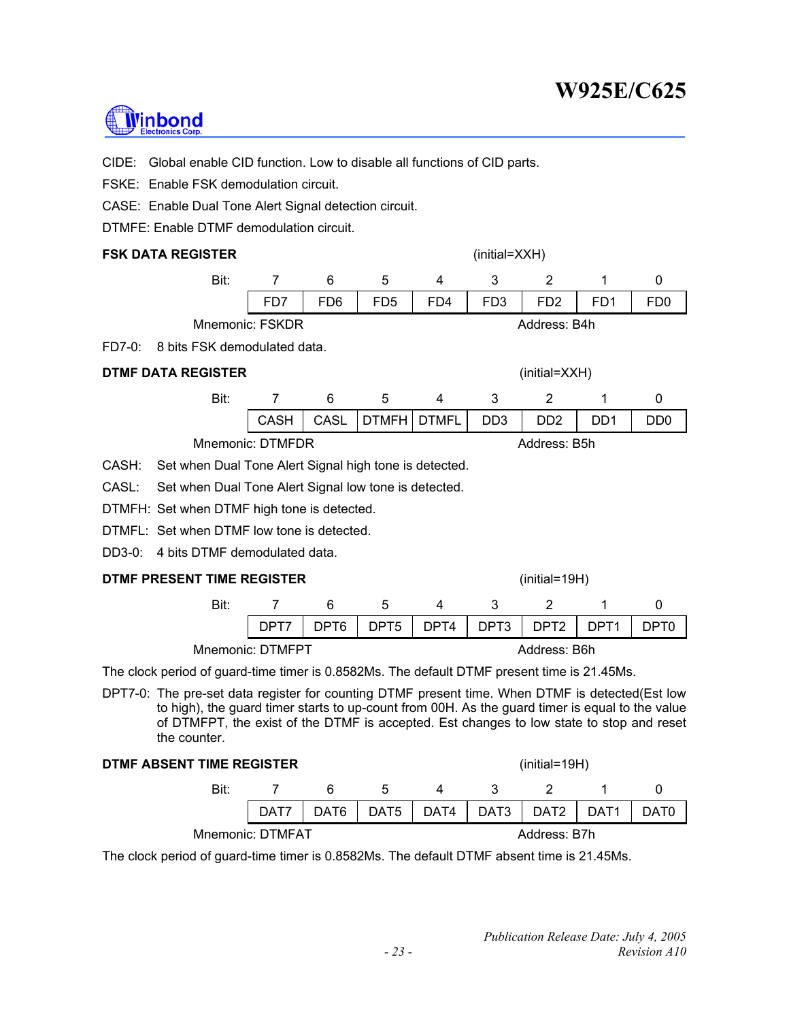# **Minbond**

CIDE: Global enable CID function. Low to disable all functions of CID parts.

FSKE: Enable FSK demodulation circuit.

CASE: Enable Dual Tone Alert Signal detection circuit.

DTMFE: Enable DTMF demodulation circuit.

### **FSK DATA REGISTER** (initial=XXH)

| Bit:                                                                                                                                                                                                                                                                                                                                                                                 |                  |                 | b               |     |                 |                 |                 |                 |
|--------------------------------------------------------------------------------------------------------------------------------------------------------------------------------------------------------------------------------------------------------------------------------------------------------------------------------------------------------------------------------------|------------------|-----------------|-----------------|-----|-----------------|-----------------|-----------------|-----------------|
|                                                                                                                                                                                                                                                                                                                                                                                      | F <sub>D</sub> 7 | FD <sub>6</sub> | FD <sub>5</sub> | FD4 | FD <sub>3</sub> | FD <sub>2</sub> | FD <sub>1</sub> | F <sub>D0</sub> |
| <b>Mnemonic: FSKDR</b>                                                                                                                                                                                                                                                                                                                                                               |                  |                 |                 |     |                 | Address: B4h    |                 |                 |
| $\overline{r}$ $\overline{r}$ $\overline{r}$ $\overline{r}$ $\overline{r}$ $\overline{r}$ $\overline{r}$ $\overline{r}$ $\overline{r}$ $\overline{r}$ $\overline{r}$ $\overline{r}$ $\overline{r}$ $\overline{r}$ $\overline{r}$ $\overline{r}$ $\overline{r}$ $\overline{r}$ $\overline{r}$ $\overline{r}$ $\overline{r}$ $\overline{r}$ $\overline{r}$ $\overline{r}$ $\overline{$ |                  |                 |                 |     |                 |                 |                 |                 |

FD7-0: 8 bits FSK demodulated data.

### **DTMF DATA REGISTER** (initial=XXH)

| CASH   CASL   DTMFH   DTMFL   DD3   DD2<br>DD <sub>1</sub><br>D <sub>D</sub> <sub>0</sub> |
|-------------------------------------------------------------------------------------------|
|                                                                                           |
|                                                                                           |

Mnemonic: DTMFDR Address: B5h

CASH: Set when Dual Tone Alert Signal high tone is detected.

CASL: Set when Dual Tone Alert Signal low tone is detected.

- DTMFH: Set when DTMF high tone is detected.
- DTMFL: Set when DTMF low tone is detected.
- DD3-0: 4 bits DTMF demodulated data.

### **DTMF PRESENT TIME REGISTER** (initial=19H)

|  | DPT7   DPT6   DPT5   DPT4   DPT3   DPT2   DPT1   DPT0 |  |  |  |
|--|-------------------------------------------------------|--|--|--|
|  |                                                       |  |  |  |

Mnemonic: DTMFPT Address: B6h

The clock period of guard-time timer is 0.8582Ms. The default DTMF present time is 21.45Ms.

DPT7-0: The pre-set data register for counting DTMF present time. When DTMF is detected(Est low to high), the guard timer starts to up-count from 00H. As the guard timer is equal to the value of DTMFPT, the exist of the DTMF is accepted. Est changes to low state to stop and reset the counter.

| DTMF ABSENT TIME REGISTER |                  |   | $(inital=19H)$ |                                    |              |              |        |                  |
|---------------------------|------------------|---|----------------|------------------------------------|--------------|--------------|--------|------------------|
| Bit:                      |                  | 6 | $\mathbf{b}$   | Δ                                  | $\mathbf{3}$ |              |        |                  |
|                           | DAT7             |   | DAT6 DAT5 L    | $\overline{A}$ DAT4 $\overline{A}$ |              | DAT3 DAT2 D  | DAT1 D | DAT <sub>0</sub> |
|                           | Mnemonic: DTMFAT |   |                |                                    |              | Address: B7h |        |                  |

The clock period of guard-time timer is 0.8582Ms. The default DTMF absent time is 21.45Ms.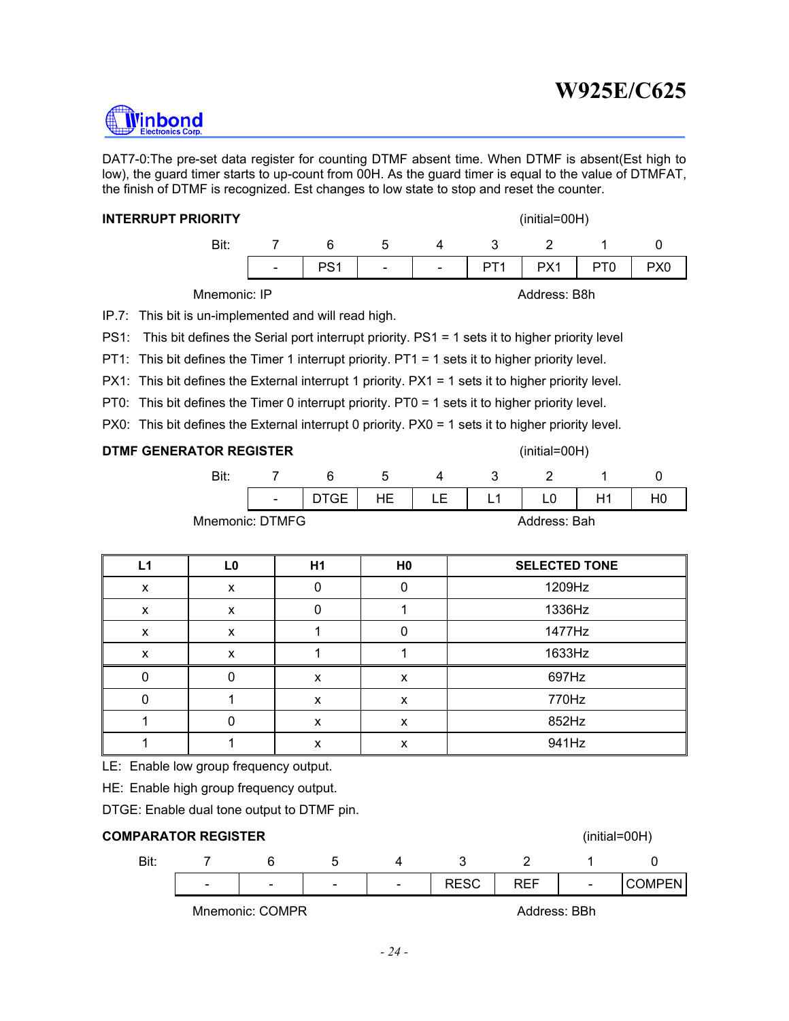DAT7-0:The pre-set data register for counting DTMF absent time. When DTMF is absent(Est high to low), the guard timer starts to up-count from 00H. As the guard timer is equal to the value of DTMFAT, the finish of DTMF is recognized. Est changes to low state to stop and reset the counter.

#### **INTERRUPT PRIORITY** (initial=00H)

**I**inbond

| Bit |                          |                                     |  |  |  |
|-----|--------------------------|-------------------------------------|--|--|--|
|     | <b>Contract Contract</b> | PS1   -   -   PT1   PX1   PT0   PX0 |  |  |  |

Mnemonic: IP **Address: B8h** 

IP.7: This bit is un-implemented and will read high.

PS1: This bit defines the Serial port interrupt priority. PS1 = 1 sets it to higher priority level

PT1: This bit defines the Timer 1 interrupt priority. PT1 = 1 sets it to higher priority level.

PX1: This bit defines the External interrupt 1 priority. PX1 = 1 sets it to higher priority level.

PT0: This bit defines the Timer 0 interrupt priority. PT0 = 1 sets it to higher priority level.

PX0: This bit defines the External interrupt 0 priority. PX0 = 1 sets it to higher priority level.

### **DTMF GENERATOR REGISTER** (initial=00H)

| $\sim$ | $C \vdash$ | HE I | LE   L1 ' | H1 |  |
|--------|------------|------|-----------|----|--|
|        |            |      |           |    |  |

Mnemonic: DTMFG Andress: Bah

| L1 | L <sub>0</sub> | H1 | H <sub>0</sub> | <b>SELECTED TONE</b> |
|----|----------------|----|----------------|----------------------|
| X  | X              |    |                | 1209Hz               |
| X  | X              |    |                | 1336Hz               |
| x  | x              |    |                | 1477Hz               |
| X  |                |    |                | 1633Hz               |
|    |                | x  | x              | 697Hz                |
|    |                | X  | X              | 770Hz                |
|    |                | x  | X              | 852Hz                |
|    |                | x  | X              | 941Hz                |

LE: Enable low group frequency output.

HE: Enable high group frequency output.

DTGE: Enable dual tone output to DTMF pin.



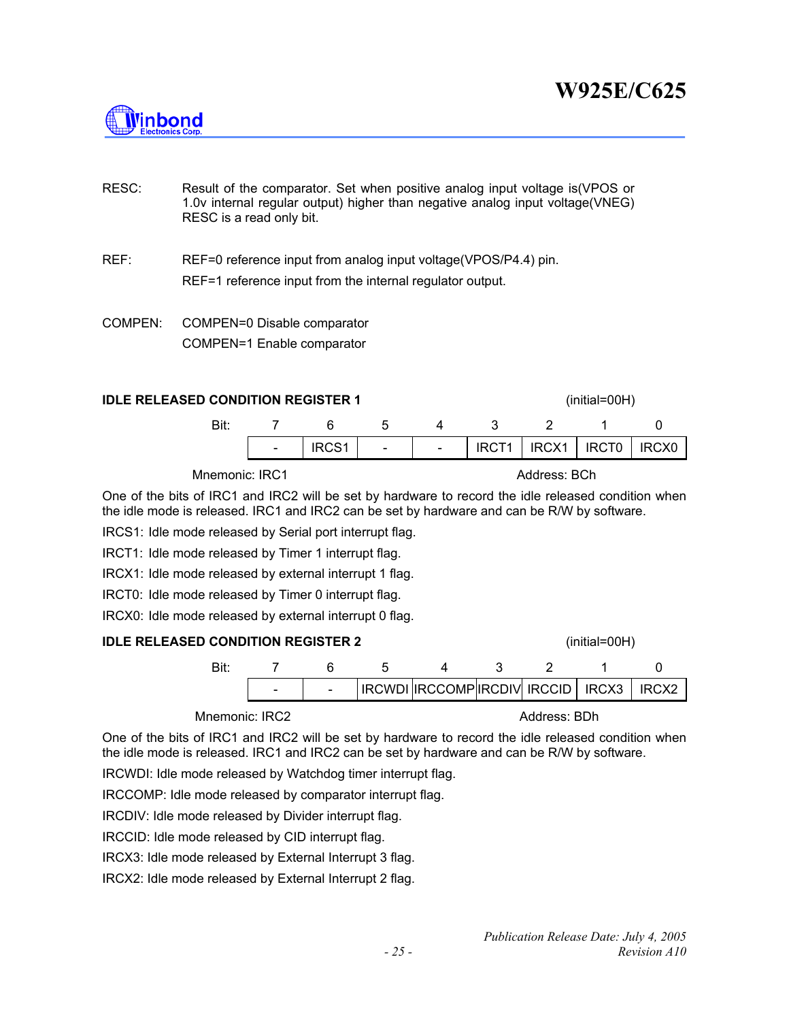

- RESC: Result of the comparator. Set when positive analog input voltage is(VPOS or 1.0v internal regular output) higher than negative analog input voltage(VNEG) RESC is a read only bit.
- REF: REF=0 reference input from analog input voltage(VPOS/P4.4) pin. REF=1 reference input from the internal regulator output.
- COMPEN: COMPEN=0 Disable comparator COMPEN=1 Enable comparator

#### **IDLE RELEASED CONDITION REGISTER 1 IDLE RELEASED CONDITION REGISTER 1** (initial=00H)

| Bit: |           |  |                                       |  |
|------|-----------|--|---------------------------------------|--|
|      | $ $ IRCS1 |  | $IRCT1$   $IRCX1$   $IRCT0$   $IRCX0$ |  |

### Mnemonic: IRC1 Address: BCh

One of the bits of IRC1 and IRC2 will be set by hardware to record the idle released condition when the idle mode is released. IRC1 and IRC2 can be set by hardware and can be R/W by software.

IRCS1: Idle mode released by Serial port interrupt flag.

IRCT1: Idle mode released by Timer 1 interrupt flag.

IRCX1: Idle mode released by external interrupt 1 flag.

IRCT0: Idle mode released by Timer 0 interrupt flag.

IRCX0: Idle mode released by external interrupt 0 flag.

### **IDLE RELEASED CONDITION REGISTER 2** (initial=00H)



Mnemonic: IRC2 Address: BDh

One of the bits of IRC1 and IRC2 will be set by hardware to record the idle released condition when the idle mode is released. IRC1 and IRC2 can be set by hardware and can be R/W by software.

IRCWDI: Idle mode released by Watchdog timer interrupt flag.

IRCCOMP: Idle mode released by comparator interrupt flag.

IRCDIV: Idle mode released by Divider interrupt flag.

IRCCID: Idle mode released by CID interrupt flag.

IRCX3: Idle mode released by External Interrupt 3 flag.

IRCX2: Idle mode released by External Interrupt 2 flag.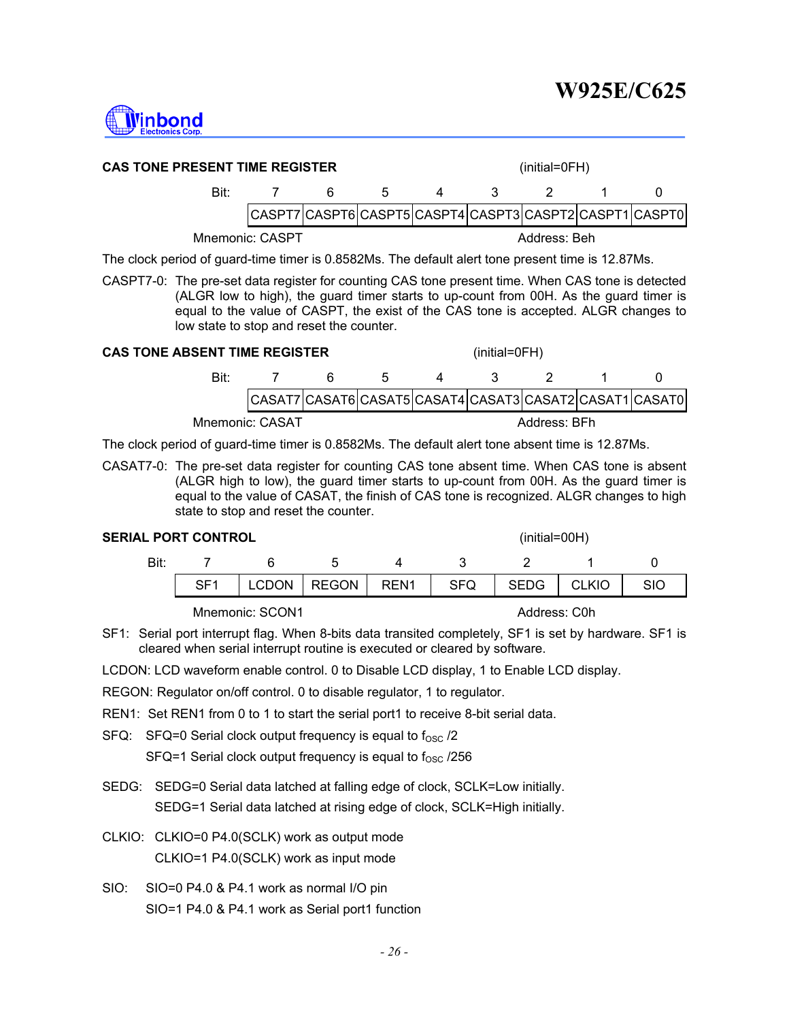

| <b>CAS TONE PRESENT TIME REGISTER</b>                                                             |  |   | $(inital=OFH)$ |   |              |     |  |                                                         |
|---------------------------------------------------------------------------------------------------|--|---|----------------|---|--------------|-----|--|---------------------------------------------------------|
| Bit:                                                                                              |  | 6 | .5             | 4 | $\mathbf{3}$ | - 2 |  |                                                         |
|                                                                                                   |  |   |                |   |              |     |  | CASPT7 CASPT6 CASPT5 CASPT4 CASPT3 CASPT2 CASPT1 CASPT0 |
| Mnemonic: CASPT<br>Address: Beh                                                                   |  |   |                |   |              |     |  |                                                         |
| The clock period of guard-time timer is 0.8582Ms. The default alert tone present time is 12.87Ms. |  |   |                |   |              |     |  |                                                         |

CASPT7-0: The pre-set data register for counting CAS tone present time. When CAS tone is detected (ALGR low to high), the guard timer starts to up-count from 00H. As the guard timer is equal to the value of CASPT, the exist of the CAS tone is accepted. ALGR changes to low state to stop and reset the counter.

#### **CAS TONE ABSENT TIME REGISTER** (initial=0FH)

| Bit             |  |  |              |                                                  |
|-----------------|--|--|--------------|--------------------------------------------------|
|                 |  |  |              | CASAT7CASAT6CASAT5CASAT4CASAT3CASAT2CASAT1CASAT0 |
| Mnemonic: CASAT |  |  | Address: BFh |                                                  |

The clock period of guard-time timer is 0.8582Ms. The default alert tone absent time is 12.87Ms.

CASAT7-0: The pre-set data register for counting CAS tone absent time. When CAS tone is absent (ALGR high to low), the guard timer starts to up-count from 00H. As the guard timer is equal to the value of CASAT, the finish of CAS tone is recognized. ALGR changes to high state to stop and reset the counter.

#### **SERIAL PORT CONTROL** (initial=00H)

Bit: 7 6 5 4 3 2 1 0 | SF1 | LCDON | REGON | REN1 | SFQ | SEDG | CLKIO | SIO

Mnemonic: SCON1 Address: C0h

SF1: Serial port interrupt flag. When 8-bits data transited completely, SF1 is set by hardware. SF1 is cleared when serial interrupt routine is executed or cleared by software.

LCDON: LCD waveform enable control. 0 to Disable LCD display, 1 to Enable LCD display.

REGON: Regulator on/off control. 0 to disable regulator, 1 to regulator.

- REN1: Set REN1 from 0 to 1 to start the serial port1 to receive 8-bit serial data.
- $SFG: SFG=0$  Serial clock output frequency is equal to  $f_{OSC}$  /2

SFQ=1 Serial clock output frequency is equal to  $f_{\rm OSC}$  /256

- SEDG: SEDG=0 Serial data latched at falling edge of clock, SCLK=Low initially. SEDG=1 Serial data latched at rising edge of clock, SCLK=High initially.
- CLKIO: CLKIO=0 P4.0(SCLK) work as output mode CLKIO=1 P4.0(SCLK) work as input mode
- SIO: SIO=0 P4.0 & P4.1 work as normal I/O pin SIO=1 P4.0 & P4.1 work as Serial port1 function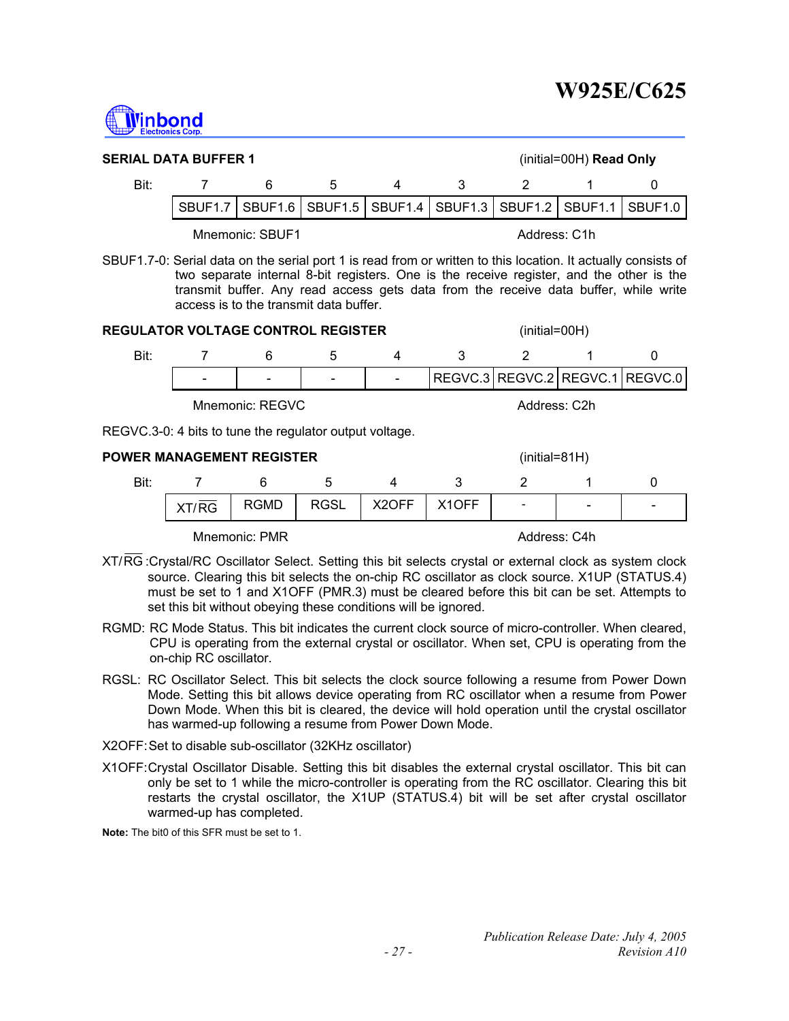

| <b>SERIAL DATA BUFFER 1</b>                                                                                   |                     |                     |                                        |   |                 |                             | $(inital=00H)$ Read Only |                                                                                                                                                                                  |
|---------------------------------------------------------------------------------------------------------------|---------------------|---------------------|----------------------------------------|---|-----------------|-----------------------------|--------------------------|----------------------------------------------------------------------------------------------------------------------------------------------------------------------------------|
| Bit:                                                                                                          |                     | 6                   | 5                                      | 4 | 3               | 2                           |                          | O                                                                                                                                                                                |
|                                                                                                               | SBUF <sub>1.7</sub> | SBUF <sub>1.6</sub> | SBUF <sub>1.5</sub>                    |   | SBUF1.4 SBUF1.3 | SBUF <sub>1.2</sub>         | SBUF <sub>1.1</sub>      | SBUF1.0                                                                                                                                                                          |
| Mnemonic: SBUF1<br>Address: C1h                                                                               |                     |                     |                                        |   |                 |                             |                          |                                                                                                                                                                                  |
| SBUF1.7-0: Serial data on the serial port 1 is read from or written to this location. It actually consists of |                     |                     | access is to the transmit data buffer. |   |                 |                             |                          | two separate internal 8-bit registers. One is the receive register, and the other is the<br>transmit buffer. Any read access gets data from the receive data buffer, while write |
| <b>REGULATOR VOLTAGE CONTROL REGISTER</b>                                                                     |                     |                     |                                        |   |                 | $(inital=00H)$              |                          |                                                                                                                                                                                  |
| Bit:                                                                                                          |                     | 6                   | 5                                      | 4 | 3               | 2                           |                          | O                                                                                                                                                                                |
|                                                                                                               |                     |                     |                                        |   |                 | REGVC.3   REGVC.2   REGVC.1 |                          | REGVC.0                                                                                                                                                                          |
|                                                                                                               |                     |                     |                                        |   |                 |                             |                          |                                                                                                                                                                                  |

Mnemonic: REGVC Address: C2h

REGVC.3-0: 4 bits to tune the regulator output voltage.

| Bit:<br>n<br>∽                                                                                                                   |                          |
|----------------------------------------------------------------------------------------------------------------------------------|--------------------------|
| RGSL<br>X <sub>2</sub> OFF<br>X <sub>1</sub> OFF<br><b>RGMD</b><br>XT/RG<br>$\overline{\phantom{a}}$<br>$\overline{\phantom{0}}$ | $\overline{\phantom{0}}$ |

Mnemonic: PMR Address: C4h

- XT/RG : Crystal/RC Oscillator Select. Setting this bit selects crystal or external clock as system clock source. Clearing this bit selects the on-chip RC oscillator as clock source. X1UP (STATUS.4) must be set to 1 and X1OFF (PMR.3) must be cleared before this bit can be set. Attempts to set this bit without obeying these conditions will be ignored.
- RGMD: RC Mode Status. This bit indicates the current clock source of micro-controller. When cleared, CPU is operating from the external crystal or oscillator. When set, CPU is operating from the on-chip RC oscillator.
- RGSL: RC Oscillator Select. This bit selects the clock source following a resume from Power Down Mode. Setting this bit allows device operating from RC oscillator when a resume from Power Down Mode. When this bit is cleared, the device will hold operation until the crystal oscillator has warmed-up following a resume from Power Down Mode.
- X2OFF: Set to disable sub-oscillator (32KHz oscillator)
- X1OFF: Crystal Oscillator Disable. Setting this bit disables the external crystal oscillator. This bit can only be set to 1 while the micro-controller is operating from the RC oscillator. Clearing this bit restarts the crystal oscillator, the X1UP (STATUS.4) bit will be set after crystal oscillator warmed-up has completed.

**Note:** The bit0 of this SFR must be set to 1.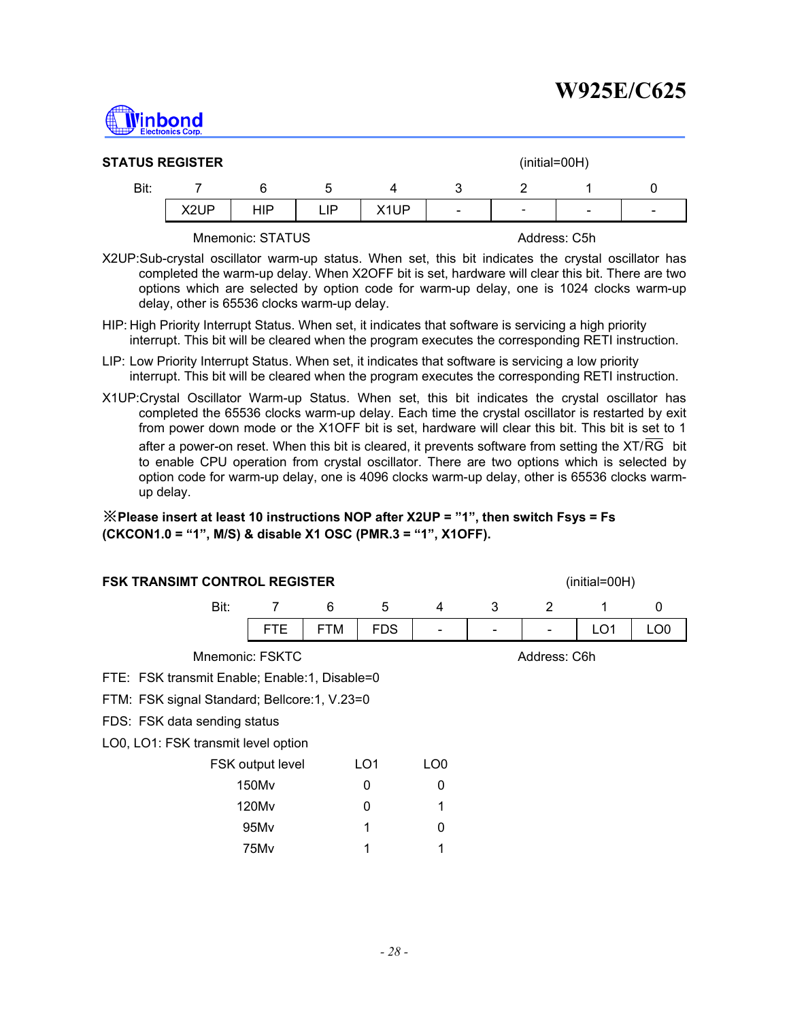

| <b>STATUS REGISTER</b><br>$(inital=00H)$ |      |     |     |                   |                          |   |                          |   |  |
|------------------------------------------|------|-----|-----|-------------------|--------------------------|---|--------------------------|---|--|
| Bit:                                     |      |     | đ   |                   |                          |   |                          |   |  |
|                                          | X2UP | HIP | ∟lP | X <sub>1</sub> UP | $\overline{\phantom{0}}$ | - | $\overline{\phantom{0}}$ | - |  |
|                                          |      |     |     |                   |                          |   |                          |   |  |

Mnemonic: STATUS Address: C5h

- X2UP:Sub-crystal oscillator warm-up status. When set, this bit indicates the crystal oscillator has completed the warm-up delay. When X2OFF bit is set, hardware will clear this bit. There are two options which are selected by option code for warm-up delay, one is 1024 clocks warm-up delay, other is 65536 clocks warm-up delay.
- HIP: High Priority Interrupt Status. When set, it indicates that software is servicing a high priority interrupt. This bit will be cleared when the program executes the corresponding RETI instruction.
- LIP: Low Priority Interrupt Status. When set, it indicates that software is servicing a low priority interrupt. This bit will be cleared when the program executes the corresponding RETI instruction.
- X1UP:Crystal Oscillator Warm-up Status. When set, this bit indicates the crystal oscillator has completed the 65536 clocks warm-up delay. Each time the crystal oscillator is restarted by exit from power down mode or the X1OFF bit is set, hardware will clear this bit. This bit is set to 1 after a power-on reset. When this bit is cleared, it prevents software from setting the XT/RG bit to enable CPU operation from crystal oscillator. There are two options which is selected by option code for warm-up delay, one is 4096 clocks warm-up delay, other is 65536 clocks warmup delay.

※**Please insert at least 10 instructions NOP after X2UP = "1", then switch Fsys = Fs (CKCON1.0 = "1", M/S) & disable X1 OSC (PMR.3 = "1", X1OFF).** 

| <b>FSK TRANSIMT CONTROL REGISTER</b><br>(initial=00H) |            |                                                         |                                                                  |  |  |                 |                 |  |  |  |
|-------------------------------------------------------|------------|---------------------------------------------------------|------------------------------------------------------------------|--|--|-----------------|-----------------|--|--|--|
| 7<br>5<br>Bit:<br>6<br>4<br>3                         |            |                                                         |                                                                  |  |  |                 |                 |  |  |  |
| <b>FTE</b>                                            | <b>FTM</b> | <b>FDS</b>                                              |                                                                  |  |  | LO <sub>1</sub> | LO <sub>0</sub> |  |  |  |
| Address: C6h<br>Mnemonic: FSKTC                       |            |                                                         |                                                                  |  |  |                 |                 |  |  |  |
|                                                       |            |                                                         |                                                                  |  |  |                 |                 |  |  |  |
| FTM: FSK signal Standard; Bellcore:1, V.23=0          |            |                                                         |                                                                  |  |  |                 |                 |  |  |  |
| FDS: FSK data sending status                          |            |                                                         |                                                                  |  |  |                 |                 |  |  |  |
|                                                       |            |                                                         |                                                                  |  |  |                 |                 |  |  |  |
|                                                       |            |                                                         | LO <sub>0</sub>                                                  |  |  |                 |                 |  |  |  |
| 150Mv                                                 |            | 0                                                       | 0                                                                |  |  |                 |                 |  |  |  |
| 120Mv<br>0                                            |            |                                                         |                                                                  |  |  |                 |                 |  |  |  |
| 95Mv<br>$\mathbf 0$<br>1                              |            |                                                         |                                                                  |  |  |                 |                 |  |  |  |
| 75Mv                                                  |            | 1                                                       |                                                                  |  |  |                 |                 |  |  |  |
|                                                       |            | LO0, LO1: FSK transmit level option<br>FSK output level | FTE: FSK transmit Enable; Enable:1, Disable=0<br>LO <sub>1</sub> |  |  | 2               | 1               |  |  |  |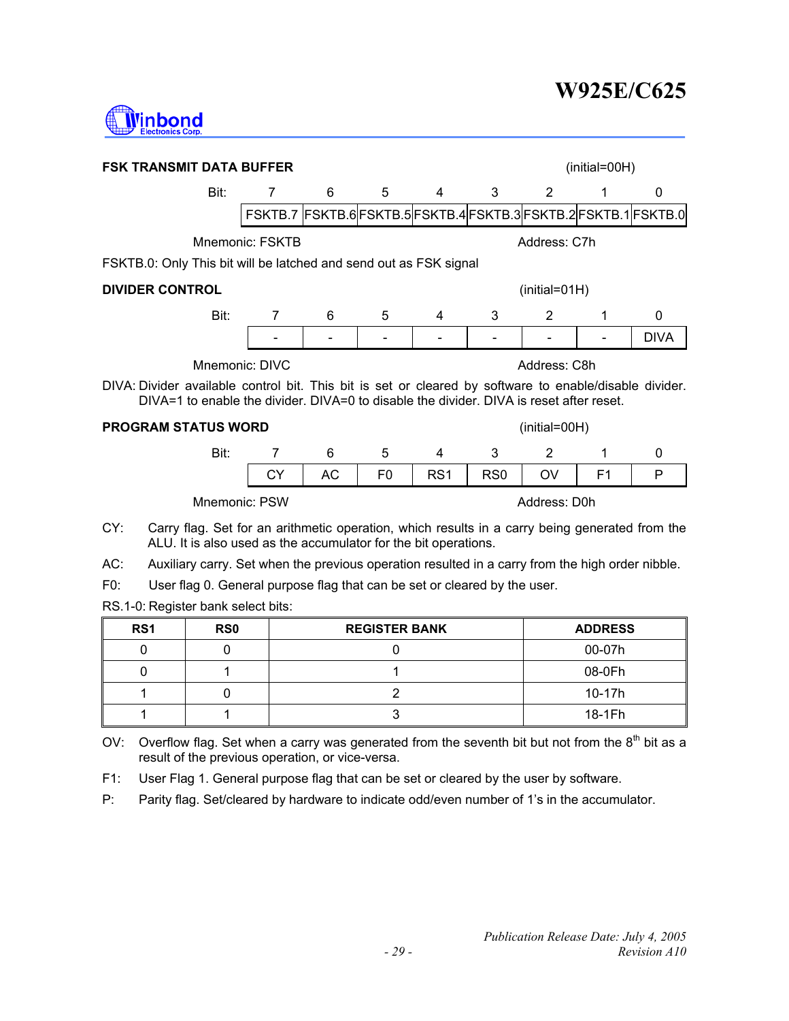

|                                                                                                                                                                                                   | <b>FSK TRANSMIT DATA BUFFER</b><br>(initial=00H)                |    |                |                 |                 |                |                |             |  |
|---------------------------------------------------------------------------------------------------------------------------------------------------------------------------------------------------|-----------------------------------------------------------------|----|----------------|-----------------|-----------------|----------------|----------------|-------------|--|
| Bit:                                                                                                                                                                                              | 7                                                               | 6  | 5              | 4               | 3               | 2              | 1              | 0           |  |
|                                                                                                                                                                                                   | FSKTB.7 FSKTB.6 FSKTB.5 FSKTB.4 FSKTB.3 FSKTB.2 FSKTB.1 FSKTB.0 |    |                |                 |                 |                |                |             |  |
|                                                                                                                                                                                                   | Mnemonic: FSKTB                                                 |    |                |                 |                 | Address: C7h   |                |             |  |
| FSKTB.0: Only This bit will be latched and send out as FSK signal                                                                                                                                 |                                                                 |    |                |                 |                 |                |                |             |  |
| <b>DIVIDER CONTROL</b><br>$(inital=01H)$                                                                                                                                                          |                                                                 |    |                |                 |                 |                |                |             |  |
| Bit:                                                                                                                                                                                              | 7                                                               | 6  | 5              | 4               | 3               | 2              | 1              | 0           |  |
|                                                                                                                                                                                                   |                                                                 |    |                |                 |                 |                |                | <b>DIVA</b> |  |
| Mnemonic: DIVC                                                                                                                                                                                    |                                                                 |    |                |                 |                 | Address: C8h   |                |             |  |
| DIVA: Divider available control bit. This bit is set or cleared by software to enable/disable divider.<br>DIVA=1 to enable the divider. DIVA=0 to disable the divider. DIVA is reset after reset. |                                                                 |    |                |                 |                 |                |                |             |  |
| <b>PROGRAM STATUS WORD</b>                                                                                                                                                                        |                                                                 |    |                |                 |                 | $(inital=00H)$ |                |             |  |
| Bit:                                                                                                                                                                                              | $\overline{7}$                                                  | 6  | 5              | 4               | 3               | 2              | 1              | $\Omega$    |  |
|                                                                                                                                                                                                   | <b>CY</b>                                                       | AC | F <sub>0</sub> | RS <sub>1</sub> | RS <sub>0</sub> | OV             | F <sub>1</sub> | P           |  |
|                                                                                                                                                                                                   | Mnemonic: PSW<br>Address: D0h                                   |    |                |                 |                 |                |                |             |  |
| CY:<br>Carry flag. Set for an arithmetic operation, which results in a carry being generated from the                                                                                             |                                                                 |    |                |                 |                 |                |                |             |  |

- ALU. It is also used as the accumulator for the bit operations.
- AC: Auxiliary carry. Set when the previous operation resulted in a carry from the high order nibble.
- F0: User flag 0. General purpose flag that can be set or cleared by the user.

RS.1-0: Register bank select bits:

| RS <sub>1</sub> | <b>RS0</b> | <b>REGISTER BANK</b> | <b>ADDRESS</b> |
|-----------------|------------|----------------------|----------------|
|                 |            |                      | 00-07h         |
|                 |            |                      | 08-0Fh         |
|                 |            |                      | 10-17h         |
|                 |            |                      | 18-1Fh         |

OV: Overflow flag. Set when a carry was generated from the seventh bit but not from the  $8<sup>th</sup>$  bit as a result of the previous operation, or vice-versa.

- F1: User Flag 1. General purpose flag that can be set or cleared by the user by software.
- P: Parity flag. Set/cleared by hardware to indicate odd/even number of 1's in the accumulator.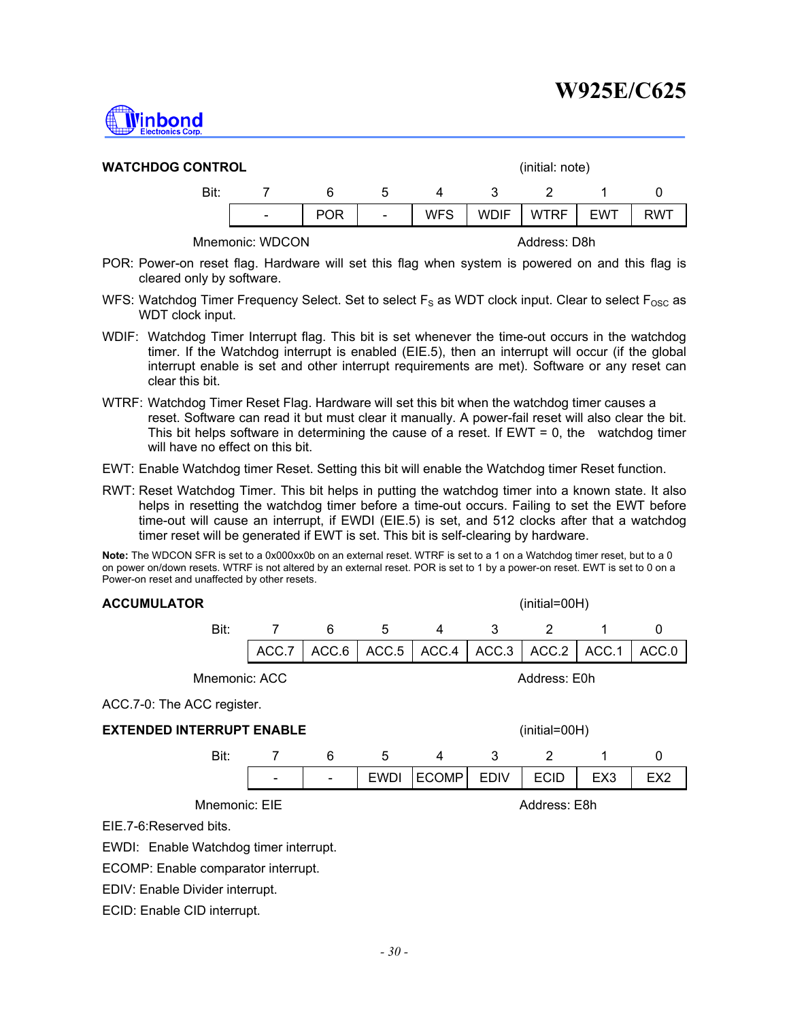

| <b>WATCHDOG CONTROL</b> |                          |            |                          | (initial: note) |             |             |            |            |
|-------------------------|--------------------------|------------|--------------------------|-----------------|-------------|-------------|------------|------------|
| Bit:                    |                          | 6          | ხ                        | 4               | ્વ          |             |            |            |
|                         | $\overline{\phantom{a}}$ | <b>POR</b> | $\overline{\phantom{a}}$ | <b>WFS</b>      | <b>WDIF</b> | <b>WTRF</b> | <b>EWT</b> | <b>RWT</b> |
|                         |                          |            |                          |                 |             |             |            |            |

Mnemonic: WDCON Address: D8h

- POR: Power-on reset flag. Hardware will set this flag when system is powered on and this flag is cleared only by software.
- WFS: Watchdog Timer Frequency Select. Set to select  $F_S$  as WDT clock input. Clear to select  $F_{\text{osc}}$  as WDT clock input.
- WDIF: Watchdog Timer Interrupt flag. This bit is set whenever the time-out occurs in the watchdog timer. If the Watchdog interrupt is enabled (EIE.5), then an interrupt will occur (if the global interrupt enable is set and other interrupt requirements are met). Software or any reset can clear this bit.
- WTRF: Watchdog Timer Reset Flag. Hardware will set this bit when the watchdog timer causes a reset. Software can read it but must clear it manually. A power-fail reset will also clear the bit. This bit helps software in determining the cause of a reset. If  $EWT = 0$ , the watchdog timer will have no effect on this bit.
- EWT: Enable Watchdog timer Reset. Setting this bit will enable the Watchdog timer Reset function.
- RWT: Reset Watchdog Timer. This bit helps in putting the watchdog timer into a known state. It also helps in resetting the watchdog timer before a time-out occurs. Failing to set the EWT before time-out will cause an interrupt, if EWDI (EIE.5) is set, and 512 clocks after that a watchdog timer reset will be generated if EWT is set. This bit is self-clearing by hardware.

**Note:** The WDCON SFR is set to a 0x000xx0b on an external reset. WTRF is set to a 1 on a Watchdog timer reset, but to a 0 on power on/down resets. WTRF is not altered by an external reset. POR is set to 1 by a power-on reset. EWT is set to 0 on a Power-on reset and unaffected by other resets.

| <b>ACCUMULATOR</b>                                | (initial=00H)                       |       |             |              |             |              |                 |                 |
|---------------------------------------------------|-------------------------------------|-------|-------------|--------------|-------------|--------------|-----------------|-----------------|
| Bit:                                              | 7                                   | 6     | 5           | 4            | 3           | 2            | 1               | 0               |
|                                                   | ACC.7                               | ACC.6 | ACC.5       | ACC.4        | ACC.3       | ACC.2        | ACC.1           | ACC.0           |
| Mnemonic: ACC                                     |                                     |       |             |              |             | Address: E0h |                 |                 |
| ACC.7-0: The ACC register.                        |                                     |       |             |              |             |              |                 |                 |
| <b>EXTENDED INTERRUPT ENABLE</b><br>(initial=00H) |                                     |       |             |              |             |              |                 |                 |
| Bit:                                              | 7                                   | 6     | 5           | 4            | 3           | 2            |                 | 0               |
|                                                   |                                     |       | <b>EWDI</b> | <b>ECOMP</b> | <b>EDIV</b> | <b>ECID</b>  | EX <sub>3</sub> | EX <sub>2</sub> |
| Mnemonic: EIE                                     |                                     |       |             |              |             | Address: E8h |                 |                 |
| EIE.7-6: Reserved bits.                           |                                     |       |             |              |             |              |                 |                 |
| EWDI: Enable Watchdog timer interrupt.            |                                     |       |             |              |             |              |                 |                 |
|                                                   | ECOMP: Enable comparator interrupt. |       |             |              |             |              |                 |                 |
| $\blacksquare$                                    |                                     |       |             |              |             |              |                 |                 |

EDIV: Enable Divider interrupt.

ECID: Enable CID interrupt.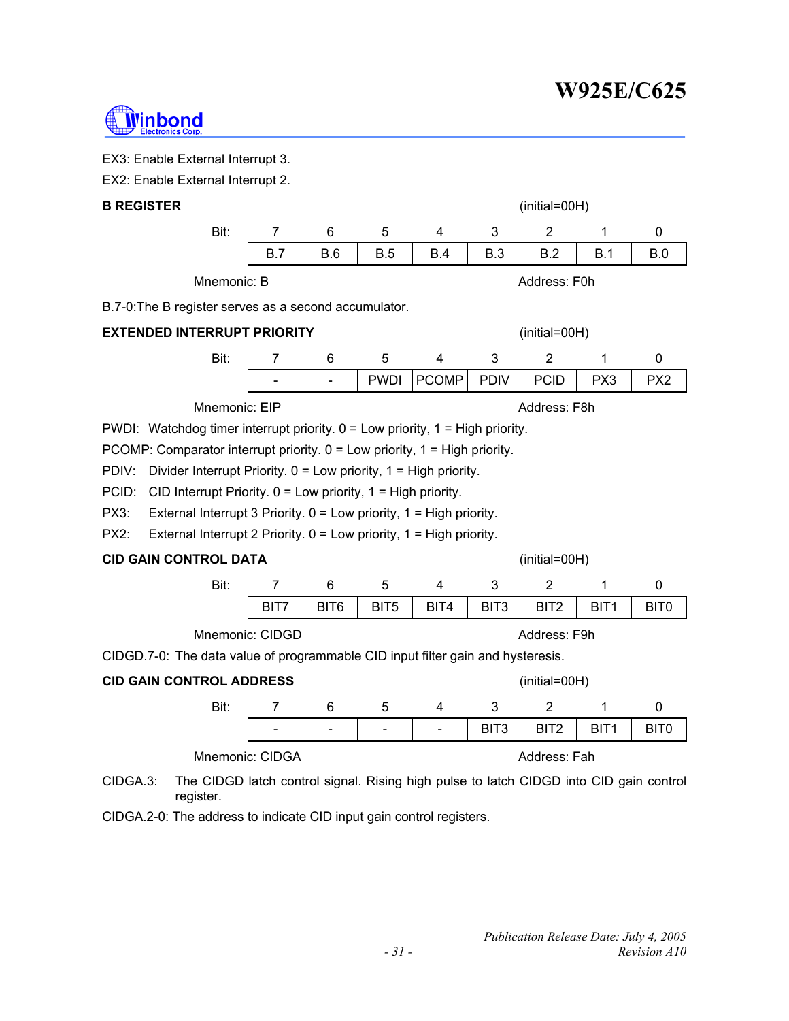

EX3: Enable External Interrupt 3.

| EX2: Enable External Interrupt 2. |  |
|-----------------------------------|--|
|-----------------------------------|--|

| <b>B REGISTER</b>                                     |               |     |                          |             | $(inital=00H)$ |              |               |                 |                 |
|-------------------------------------------------------|---------------|-----|--------------------------|-------------|----------------|--------------|---------------|-----------------|-----------------|
|                                                       | Bit:          | 7   | 6                        | 5           | 4              | 3            | 2             |                 | 0               |
|                                                       |               | B.7 | <b>B.6</b>               | B.5         | <b>B.4</b>     | <b>B.3</b>   | B.2           | B.1             | B.0             |
| Mnemonic: B<br>Address: F0h                           |               |     |                          |             |                |              |               |                 |                 |
| B.7-0: The B register serves as a second accumulator. |               |     |                          |             |                |              |               |                 |                 |
| EXTENDED INTERRUPT PRIORITY                           |               |     |                          |             |                |              | (initial=00H) |                 |                 |
|                                                       | Bit:          |     | 6                        | 5           | 4              | 3            | 2             |                 | 0               |
|                                                       |               |     | $\overline{\phantom{0}}$ | <b>PWDI</b> | <b>PCOMP</b>   | <b>PDIV</b>  | <b>PCID</b>   | PX <sub>3</sub> | PX <sub>2</sub> |
|                                                       | Mnemonic: EIP |     |                          |             |                | Address: F8h |               |                 |                 |

PWDI: Watchdog timer interrupt priority. 0 = Low priority, 1 = High priority.

PCOMP: Comparator interrupt priority. 0 = Low priority, 1 = High priority.

PDIV: Divider Interrupt Priority. 0 = Low priority, 1 = High priority.

PCID: CID Interrupt Priority. 0 = Low priority, 1 = High priority.

PX3: External Interrupt 3 Priority. 0 = Low priority, 1 = High priority.

PX2: External Interrupt 2 Priority. 0 = Low priority, 1 = High priority.

# **CID GAIN CONTROL DATA** (initial=00H)

| Bit:            |                  |      |      |      |                  |                  |  |
|-----------------|------------------|------|------|------|------------------|------------------|--|
|                 | BIT <sub>6</sub> | BIT5 | BIT4 | BIT3 | BIT <sub>2</sub> | BIT <sub>1</sub> |  |
| Mnemonic: CIDGD |                  |      |      |      | Address: F9h     |                  |  |

CIDGD.7-0: The data value of programmable CID input filter gain and hysteresis.

# **CID GAIN CONTROL ADDRESS** (initial=00H)

Bit: 7 6 5 4 3 2 1 0 | - | - | - | - | BIT3 | BIT2 | BIT1 | BIT0 Mnemonic: CIDGA Address: Fah

CIDGA.3: The CIDGD latch control signal. Rising high pulse to latch CIDGD into CID gain control register.

CIDGA.2-0: The address to indicate CID input gain control registers.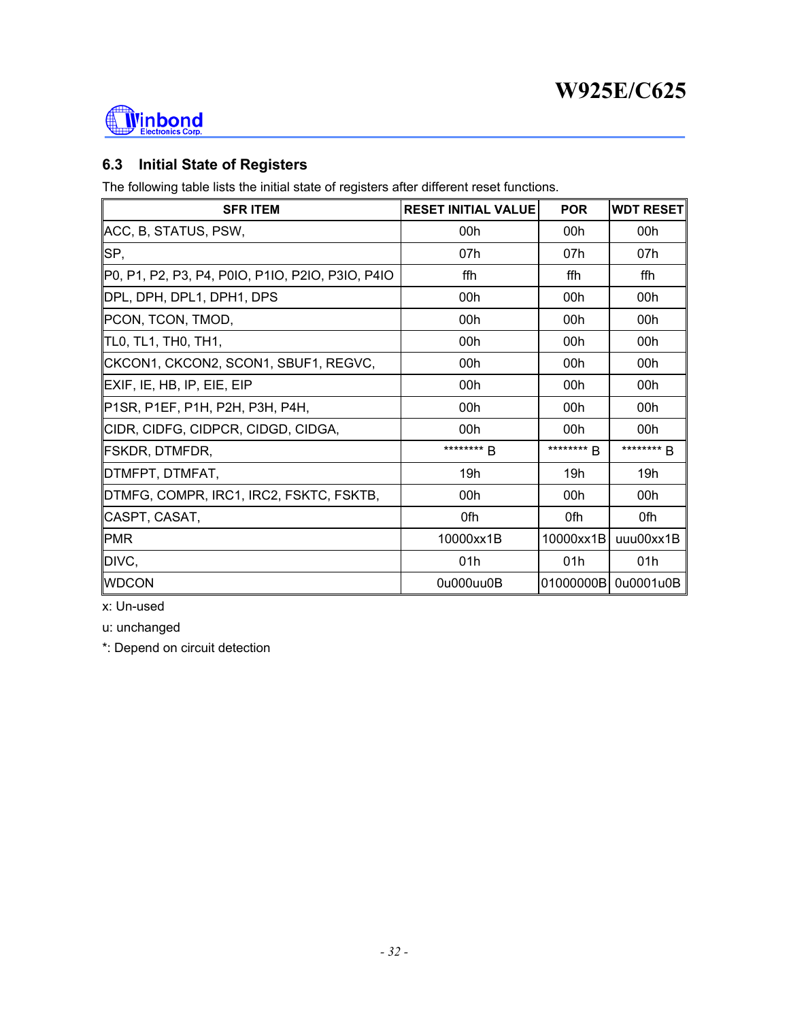

# **6.3 Initial State of Registers**

The following table lists the initial state of registers after different reset functions.

| <b>SFRITEM</b>                                   | <b>RESET INITIAL VALUE</b> | <b>POR</b> | <b>WDT RESET</b> |
|--------------------------------------------------|----------------------------|------------|------------------|
| ∥ACC, B, STATUS, PSW,                            | 00h                        | 00h        | 00h              |
| SP,                                              | 07h                        | 07h        | 07h              |
| P0, P1, P2, P3, P4, P0IO, P1IO, P2IO, P3IO, P4IO | ffh                        | ffh        | ffh              |
| DPL, DPH, DPL1, DPH1, DPS                        | 00h                        | 00h        | 00h              |
| ∥PCON, TCON, TMOD,                               | 00h                        | 00h        | 00h              |
| TL0, TL1, TH0, TH1,                              | 00h                        | 00h        | 00h              |
| CKCON1, CKCON2, SCON1, SBUF1, REGVC,             | 00h                        | 00h        | 00h              |
| EXIF, IE, HB, IP, EIE, EIP                       | 00h                        | 00h        | 00h              |
| P1SR, P1EF, P1H, P2H, P3H, P4H,                  | 00h                        | 00h        | 00h              |
| ∥CIDR, CIDFG, CIDPCR, CIDGD, CIDGA,              | 00h                        | 00h        | 00h              |
| FSKDR, DTMFDR,                                   | ******** <b>B</b>          | ******** R | ******** B       |
| DTMFPT, DTMFAT,                                  | 19h                        | 19h        | 19h              |
| DTMFG, COMPR, IRC1, IRC2, FSKTC, FSKTB,          | 00h                        | 00h        | 00h              |
| CASPT, CASAT,                                    | 0fh                        | 0fh        | 0fh              |
| <b>PMR</b>                                       | 10000xx1B                  | 10000xx1B  | uuu00xx1B        |
| DIVC,                                            | 01h                        | 01h        | 01h              |
| <b>WDCON</b>                                     | 0u000uu0B                  | 01000000B  | 0u0001u0B        |

x: Un-used

u: unchanged

\*: Depend on circuit detection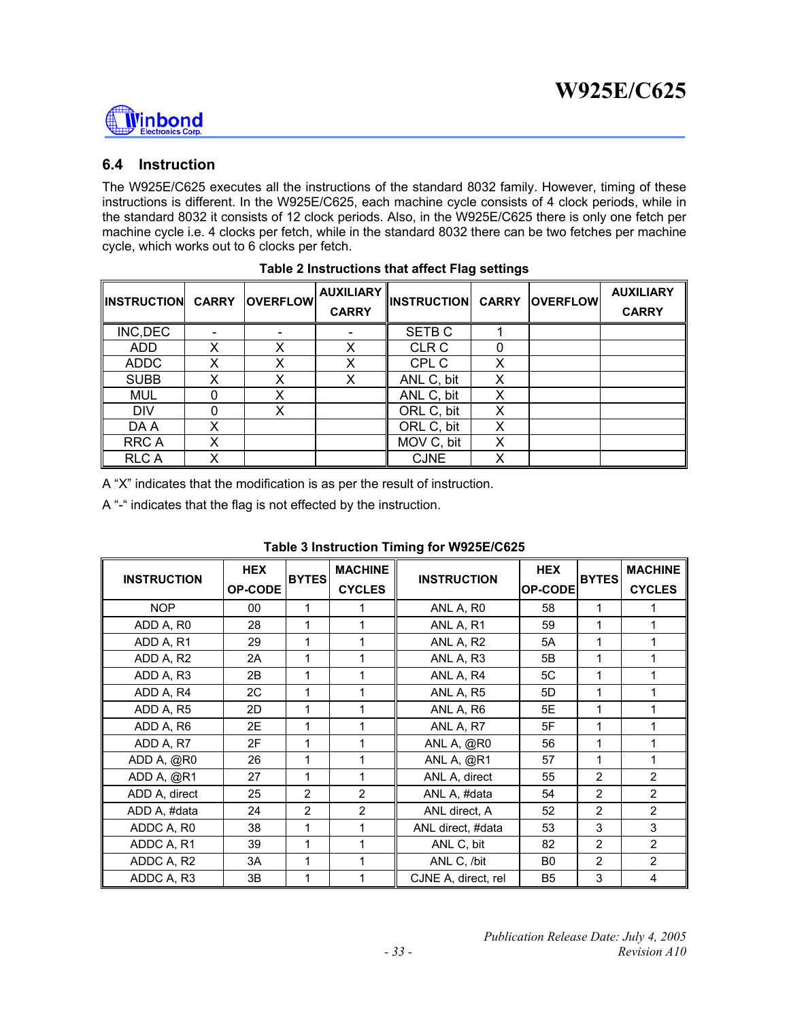

### **6.4 Instruction**

The W925E/C625 executes all the instructions of the standard 8032 family. However, timing of these instructions is different. In the W925E/C625, each machine cycle consists of 4 clock periods, while in the standard 8032 it consists of 12 clock periods. Also, in the W925E/C625 there is only one fetch per machine cycle i.e. 4 clocks per fetch, while in the standard 8032 there can be two fetches per machine cycle, which works out to 6 clocks per fetch.

| <b>IINSTRUCTION</b> | <b>CARRY</b> | <b>OVERFLOW</b> | <b>AUXILIARY</b><br><b>CARRY</b> | <b>INSTRUCTION CARRY</b> |   | <b>OVERFLOW</b> | <b>AUXILIARY</b><br><b>CARRY</b> |
|---------------------|--------------|-----------------|----------------------------------|--------------------------|---|-----------------|----------------------------------|
| INC, DEC            |              |                 |                                  | SETB <sub>C</sub>        |   |                 |                                  |
| <b>ADD</b>          | X            | x               | X                                | <b>CLR C</b>             |   |                 |                                  |
| <b>ADDC</b>         | x            | x               | X                                | CPL C                    | X |                 |                                  |
| <b>SUBB</b>         | Χ            | x               | X                                | ANL C, bit               | X |                 |                                  |
| <b>MUL</b>          | 0            | X               |                                  | ANL C, bit               | X |                 |                                  |
| <b>DIV</b>          | 0            | x               |                                  | ORL C, bit               | x |                 |                                  |
| DA A                | x            |                 |                                  | ORL C, bit               | X |                 |                                  |
| <b>RRCA</b>         | x            |                 |                                  | MOV C, bit               | X |                 |                                  |
| <b>RLCA</b>         | Χ            |                 |                                  | <b>CJNE</b>              | х |                 |                                  |

A "X" indicates that the modification is as per the result of instruction.

A "-" indicates that the flag is not effected by the instruction.

| <b>INSTRUCTION</b> | <b>HEX</b><br>OP-CODE | <b>BYTES</b>   | <b>MACHINE</b><br><b>CYCLES</b> | <b>INSTRUCTION</b>  | <b>HEX</b><br>OP-CODE | <b>BYTES</b>   | <b>MACHINE</b><br><b>CYCLES</b> |
|--------------------|-----------------------|----------------|---------------------------------|---------------------|-----------------------|----------------|---------------------------------|
| <b>NOP</b>         | 00                    | 1              |                                 | ANL A, RO           | 58                    | 1              |                                 |
| ADD A, R0          | 28                    | 1              | 1                               | ANL A, R1           | 59                    | 1              | 1                               |
| ADD A, R1          | 29                    | 1              |                                 | ANL A, R2           | 5A                    | 1              |                                 |
| ADD A, R2          | 2A                    | 1              |                                 | ANL A, R3           | 5B                    | 1              | 1                               |
| ADD A, R3          | 2B                    | 1              |                                 | ANL A, R4           | 5C                    | 1              |                                 |
| ADD A, R4          | 2C                    | 1              | 1                               | ANL A, R5           | 5D                    | 1              | 1                               |
| ADD A, R5          | 2D                    | 1              | 1                               | ANL A, R6           | 5E                    | 1              | 1                               |
| ADD A, R6          | 2E                    | 1              | 1                               | ANL A, R7           | 5F                    | 1              | 1                               |
| ADD A, R7          | 2F                    | 1              | 1                               | ANL A, @R0          | 56                    | 1              | 1                               |
| ADD A, @R0         | 26                    | 1              |                                 | ANL A, @R1          | 57                    | 1              | 1                               |
| ADD A, @R1         | 27                    | 1              | 1                               | ANL A, direct       | 55                    | $\overline{2}$ | $\overline{2}$                  |
| ADD A, direct      | 25                    | $\overline{2}$ | $\overline{2}$                  | ANL A, #data        | 54                    | $\overline{2}$ | $\overline{2}$                  |
| ADD A, #data       | 24                    | $\overline{2}$ | $\overline{2}$                  | ANL direct, A       | 52                    | 2              | $\overline{2}$                  |
| ADDC A, R0         | 38                    | 1              |                                 | ANL direct, #data   | 53                    | 3              | 3                               |
| ADDC A, R1         | 39                    | 1              | 1                               | ANL C, bit          | 82                    | $\overline{2}$ | $\overline{2}$                  |
| ADDC A, R2         | 3A                    | 1              |                                 | ANL C, /bit         | B <sub>0</sub>        | $\overline{2}$ | $\overline{2}$                  |
| ADDC A, R3         | 3B                    | 1              |                                 | CJNE A, direct, rel | B <sub>5</sub>        | 3              | 4                               |

### **Table 3 Instruction Timing for W925E/C625**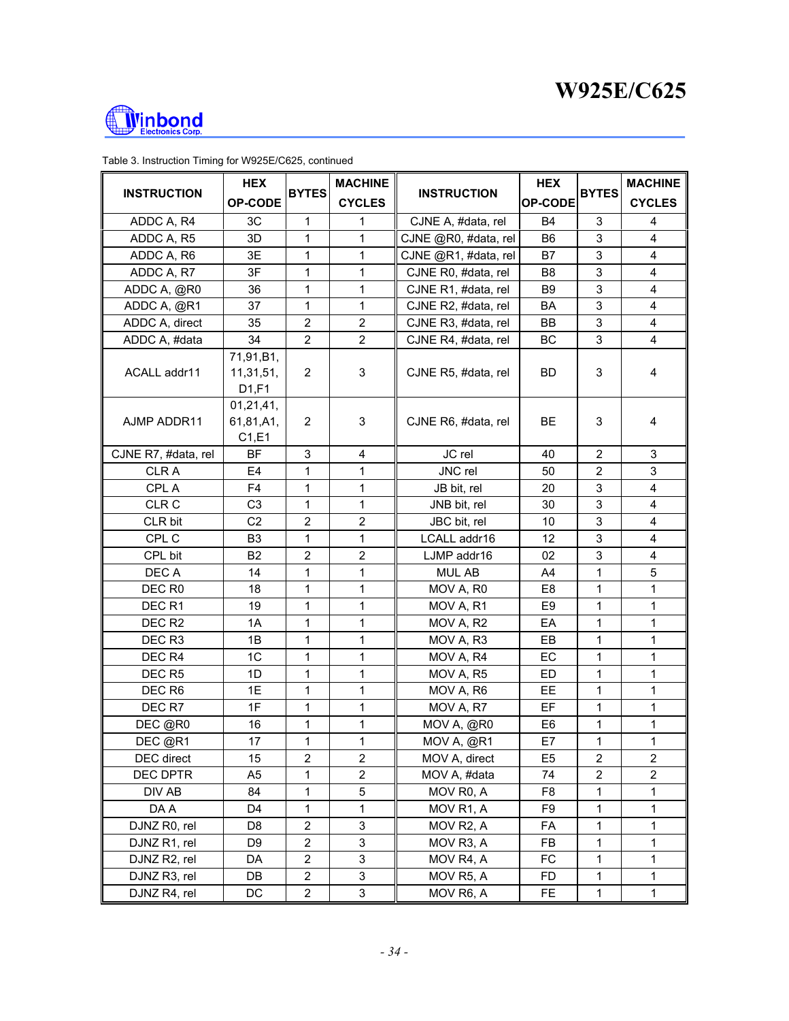

| <b>INSTRUCTION</b>  | <b>HEX</b>                         | <b>BYTES</b>            | <b>MACHINE</b>          | <b>INSTRUCTION</b>   | <b>HEX</b><br>OP-CODE | <b>BYTES</b>            | <b>MACHINE</b>          |
|---------------------|------------------------------------|-------------------------|-------------------------|----------------------|-----------------------|-------------------------|-------------------------|
|                     | <b>OP-CODE</b>                     |                         | <b>CYCLES</b>           |                      |                       |                         | <b>CYCLES</b>           |
| ADDC A, R4          | 3C                                 | 1                       | 1                       | CJNE A, #data, rel   | <b>B4</b>             | 3                       | 4                       |
| ADDC A, R5          | 3D                                 | 1                       | $\mathbf 1$             | CJNE @R0, #data, rel | B <sub>6</sub>        | 3                       | $\overline{\mathbf{4}}$ |
| ADDC A, R6          | 3E                                 | 1                       | 1                       | CJNE @R1, #data, rel | B7                    | 3                       | $\overline{\mathbf{4}}$ |
| ADDC A, R7          | 3F                                 | 1                       | $\mathbf 1$             | CJNE R0, #data, rel  | B <sub>8</sub>        | 3                       | 4                       |
| ADDC A, @R0         | 36                                 | 1                       | 1                       | CJNE R1, #data, rel  | B <sub>9</sub>        | 3                       | 4                       |
| ADDC A, @R1         | 37                                 | 1                       | $\mathbf{1}$            | CJNE R2, #data, rel  | BA                    | 3                       | 4                       |
| ADDC A, direct      | 35                                 | $\overline{2}$          | 2                       | CJNE R3, #data, rel  | BB                    | 3                       | 4                       |
| ADDC A, #data       | 34                                 | $\overline{2}$          | $\overline{2}$          | CJNE R4, #data, rel  | <b>BC</b>             | 3                       | $\overline{\mathbf{4}}$ |
| ACALL addr11        | 71,91,B1,<br>11,31,51,<br>D1,F1    | 2                       | 3                       | CJNE R5, #data, rel  | BD.                   | 3                       | 4                       |
| AJMP ADDR11         | 01, 21, 41,<br>61,81,A1,<br>C1, E1 | 2                       | 3                       | CJNE R6, #data, rel  | <b>BE</b>             | 3                       | 4                       |
| CJNE R7, #data, rel | <b>BF</b>                          | 3                       | 4                       | JC rel               | 40                    | $\overline{2}$          | 3                       |
| <b>CLRA</b>         | E <sub>4</sub>                     | 1                       | 1                       | JNC rel              | 50                    | $\overline{2}$          | 3                       |
| CPL A               | F4                                 | 1                       | 1                       | JB bit, rel          | 20                    | 3                       | 4                       |
| CLR C               | C <sub>3</sub>                     | 1                       | 1                       | JNB bit, rel         | 30                    | 3                       | 4                       |
| CLR bit             | C <sub>2</sub>                     | $\overline{2}$          | $\overline{2}$          | JBC bit, rel         | 10                    | 3                       | $\overline{4}$          |
| CPL C               | B <sub>3</sub>                     | 1                       | 1                       | LCALL addr16         | 12                    | 3                       | 4                       |
| CPL bit             | B <sub>2</sub>                     | $\overline{2}$          | $\overline{2}$          | LJMP addr16          | 02                    | 3                       | 4                       |
| DEC A               | 14                                 | 1                       | 1                       | <b>MUL AB</b>        | A4                    | 1                       | 5                       |
| DEC R <sub>0</sub>  | 18                                 | 1                       | 1                       | MOV A, R0            | E <sub>8</sub>        | 1                       | 1                       |
| DEC <sub>R1</sub>   | 19                                 | 1                       | 1                       | MOV A, R1            | E <sub>9</sub>        | 1                       | 1                       |
| DEC <sub>R2</sub>   | 1A                                 | 1                       | 1                       | MOV A, R2            | EA                    | 1                       | 1                       |
| DEC <sub>R3</sub>   | 1B                                 | 1                       | $\mathbf{1}$            | MOV A, R3            | EB                    | 1                       | 1                       |
| DEC R4              | 1C                                 | $\mathbf 1$             | $\mathbf{1}$            | MOV A, R4            | EC                    | $\mathbf 1$             | 1                       |
| DEC <sub>R5</sub>   | 1D                                 | 1                       | $\mathbf 1$             | MOV A, R5            | ED                    | 1                       | $\mathbf{1}$            |
| DEC R6              | 1E                                 | 1                       | $\mathbf{1}$            | MOV A, R6            | EE                    | 1                       | 1                       |
| DEC R7              | 1F                                 | 1                       | $\mathbf{1}$            | MOV A, R7            | EF                    | $\mathbf{1}$            | 1                       |
| DEC @R0             | 16                                 | 1                       | 1                       | MOV A, @R0           | E <sub>6</sub>        | 1                       | 1                       |
| DEC @R1             | 17                                 | 1                       | $\mathbf{1}$            | MOV A, @R1           | E7                    | 1                       | $\mathbf{1}$            |
| DEC direct          | 15                                 | $\boldsymbol{2}$        | $\overline{\mathbf{c}}$ | MOV A, direct        | E <sub>5</sub>        | $\overline{\mathbf{c}}$ | 2                       |
| DEC DPTR            | A <sub>5</sub>                     | 1                       | $\overline{2}$          | MOV A, #data         | 74                    | $\overline{2}$          | $\overline{c}$          |
| DIV AB              | 84                                 | 1                       | 5                       | MOV R0, A            | F <sub>8</sub>        | 1                       | 1                       |
| DA A                | D4                                 | 1                       | $\mathbf 1$             | MOV R1, A            | F9                    | 1                       | 1                       |
| DJNZ R0, rel        | D <sub>8</sub>                     | $\boldsymbol{2}$        | 3                       | MOV R2, A            | FA                    | 1                       | 1                       |
| DJNZ R1, rel        | D <sub>9</sub>                     | $\overline{2}$          | 3                       | MOV R3, A            | FB                    | $\mathbf 1$             | 1                       |
| DJNZ R2, rel        | DA                                 | $\overline{\mathbf{c}}$ | 3                       | MOV R4, A            | FC                    | 1                       | 1                       |
| DJNZ R3, rel        | DB                                 | $\boldsymbol{2}$        | 3                       | MOV R5, A            | FD.                   | 1                       | 1                       |
| DJNZ R4, rel        | DC                                 | $\overline{2}$          | 3                       | MOV R6, A            | FE.                   | 1                       | 1                       |

#### Table 3. Instruction Timing for W925E/C625, continued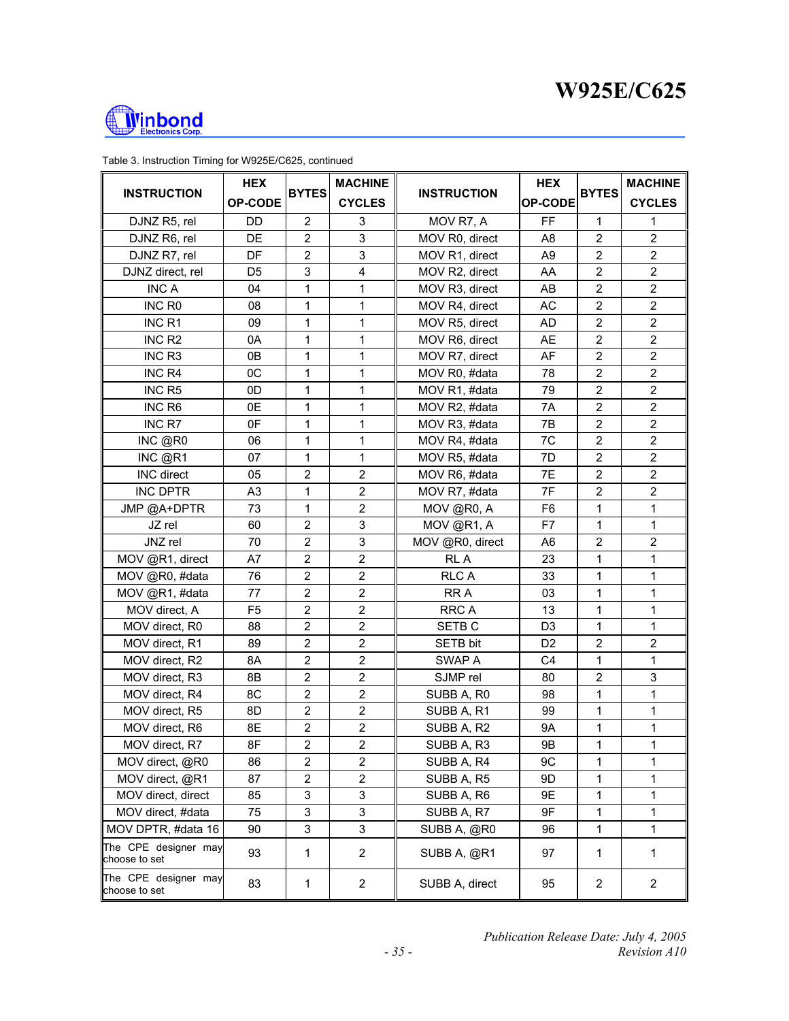



| <b>INSTRUCTION</b>                    | <b>HEX</b>     | <b>BYTES</b>     | <b>MACHINE</b>          | <b>INSTRUCTION</b> | <b>HEX</b>     |                         | <b>MACHINE</b>   |
|---------------------------------------|----------------|------------------|-------------------------|--------------------|----------------|-------------------------|------------------|
|                                       | OP-CODE        |                  | <b>CYCLES</b>           |                    | <b>OP-CODE</b> | <b>BYTES</b>            | <b>CYCLES</b>    |
| DJNZ R5, rel                          | DD             | $\overline{2}$   | 3                       | MOV R7, A          | FF             | 1                       | 1                |
| DJNZ R6, rel                          | DE             | $\overline{2}$   | 3                       | MOV R0, direct     | A8             | $\overline{2}$          | $\overline{2}$   |
| DJNZ R7, rel                          | <b>DF</b>      | $\overline{2}$   | 3                       | MOV R1, direct     | A <sub>9</sub> | $\boldsymbol{2}$        | $\overline{2}$   |
| DJNZ direct, rel                      | D5             | $\mathsf 3$      | $\overline{\mathbf{4}}$ | MOV R2, direct     | AA             | $\overline{2}$          | $\overline{2}$   |
| <b>INC A</b>                          | 04             | 1                | 1                       | MOV R3, direct     | AB             | 2                       | $\overline{2}$   |
| INC R <sub>0</sub>                    | 08             | 1                | 1                       | MOV R4, direct     | <b>AC</b>      | $\overline{2}$          | $\overline{2}$   |
| INC <sub>R1</sub>                     | 09             | 1                | 1                       | MOV R5, direct     | AD             | $\overline{c}$          | $\overline{c}$   |
| INC <sub>R2</sub>                     | 0A             | 1                | 1                       | MOV R6, direct     | AE             | $\overline{2}$          | $\overline{2}$   |
| INC <sub>R3</sub>                     | 0B             | 1                | 1                       | MOV R7, direct     | AF             | $\overline{\mathbf{c}}$ | $\boldsymbol{2}$ |
| INC R4                                | 0C             | 1                | 1                       | MOV R0, #data      | 78             | $\overline{2}$          | $\overline{2}$   |
| INC <sub>R5</sub>                     | 0D             | 1                | 1                       | MOV R1, #data      | 79             | $\overline{2}$          | $\overline{c}$   |
| INC R6                                | 0E             | 1                | 1                       | MOV R2, #data      | 7A             | $\overline{2}$          | $\overline{2}$   |
| INC R7                                | 0F             | 1                | 1                       | MOV R3, #data      | 7B             | $\overline{2}$          | $\boldsymbol{2}$ |
| INC @R0                               | 06             | 1                | 1                       | MOV R4, #data      | 7C             | $\overline{2}$          | $\overline{2}$   |
| INC @R1                               | 07             | 1                | 1                       | MOV R5, #data      | 7D             | $\overline{c}$          | $\overline{2}$   |
| INC direct                            | 05             | $\overline{2}$   | $\overline{2}$          | MOV R6, #data      | 7E             | $\overline{2}$          | $\overline{2}$   |
| <b>INC DPTR</b>                       | A <sub>3</sub> | 1                | $\overline{2}$          | MOV R7, #data      | 7F             | $\overline{2}$          | $\overline{2}$   |
| JMP @A+DPTR                           | 73             | 1                | $\overline{c}$          | MOV @R0, A         | F <sub>6</sub> | 1                       | 1                |
| JZ rel                                | 60             | $\overline{2}$   | 3                       | MOV @R1, A         | F7             | 1                       | $\mathbf 1$      |
| JNZ rel                               | 70             | $\overline{2}$   | 3                       | MOV @R0, direct    | A6             | $\overline{c}$          | $\boldsymbol{2}$ |
| MOV @R1, direct                       | A7             | $\overline{2}$   | $\overline{2}$          | RL A               | 23             | 1                       | $\mathbf{1}$     |
| MOV @R0, #data                        | 76             | $\overline{2}$   | $\overline{2}$          | <b>RLC A</b>       | 33             | 1                       | 1                |
| MOV @R1, #data                        | 77             | $\overline{2}$   | $\overline{2}$          | RR A               | 03             | 1                       | 1                |
| MOV direct, A                         | F <sub>5</sub> | $\overline{2}$   | $\overline{2}$          | RRC A              | 13             | 1                       | $\mathbf 1$      |
| MOV direct, R0                        | 88             | $\overline{2}$   | $\overline{2}$          | SETB <sub>C</sub>  | D <sub>3</sub> | 1                       | $\mathbf{1}$     |
| MOV direct, R1                        | 89             | $\boldsymbol{2}$ | $\overline{c}$          | SETB bit           | D <sub>2</sub> | $\overline{c}$          | $\overline{2}$   |
| MOV direct, R2                        | 8A             | $\overline{2}$   | $\overline{2}$          | SWAP A             | C <sub>4</sub> | 1                       | $\mathbf{1}$     |
| MOV direct, R3                        | 8Β             | $\mathbf 2$      | $\mathbf 2$             | SJMP rel           | 80             | $\overline{c}$          | 3                |
| MOV direct, R4                        | 8C             | $\overline{2}$   | $\overline{2}$          | SUBB A, R0         | 98             | 1                       | 1                |
| MOV direct, R5                        | 8D             | $\boldsymbol{2}$ | $\overline{2}$          | SUBB A, R1         | 99             | 1                       | 1                |
| MOV direct, R6                        | 8E             | $\boldsymbol{2}$ | $\overline{c}$          | SUBB A, R2         | 9A             | 1                       | 1                |
| MOV direct, R7                        | 8F             | $\overline{2}$   | $\overline{2}$          | SUBB A, R3         | 9Β             | 1                       | 1                |
| MOV direct, @R0                       | 86             | $\overline{2}$   | 2                       | SUBB A, R4         | 9C             | 1                       | 1                |
| MOV direct, @R1                       | 87             | $\overline{2}$   | $\overline{2}$          | SUBB A, R5         | 9D             | 1                       | 1                |
| MOV direct, direct                    | 85             | 3                | 3                       | SUBB A, R6         | 9E             | 1                       | 1                |
| MOV direct, #data                     | 75             | 3                | 3                       | SUBB A, R7         | 9F             | 1                       | $\mathbf{1}$     |
| MOV DPTR, #data 16                    | 90             | 3                | 3                       | SUBB A, @R0        | 96             | 1                       | 1                |
| The CPE designer may<br>choose to set | 93             | 1                | $\overline{2}$          | SUBB A, @R1        | 97             | 1                       | $\mathbf{1}$     |
| The CPE designer may<br>choose to set | 83             | 1                | $\overline{c}$          | SUBB A, direct     | 95             | $\overline{c}$          | $\overline{2}$   |

Table 3. Instruction Timing for W925E/C625, continued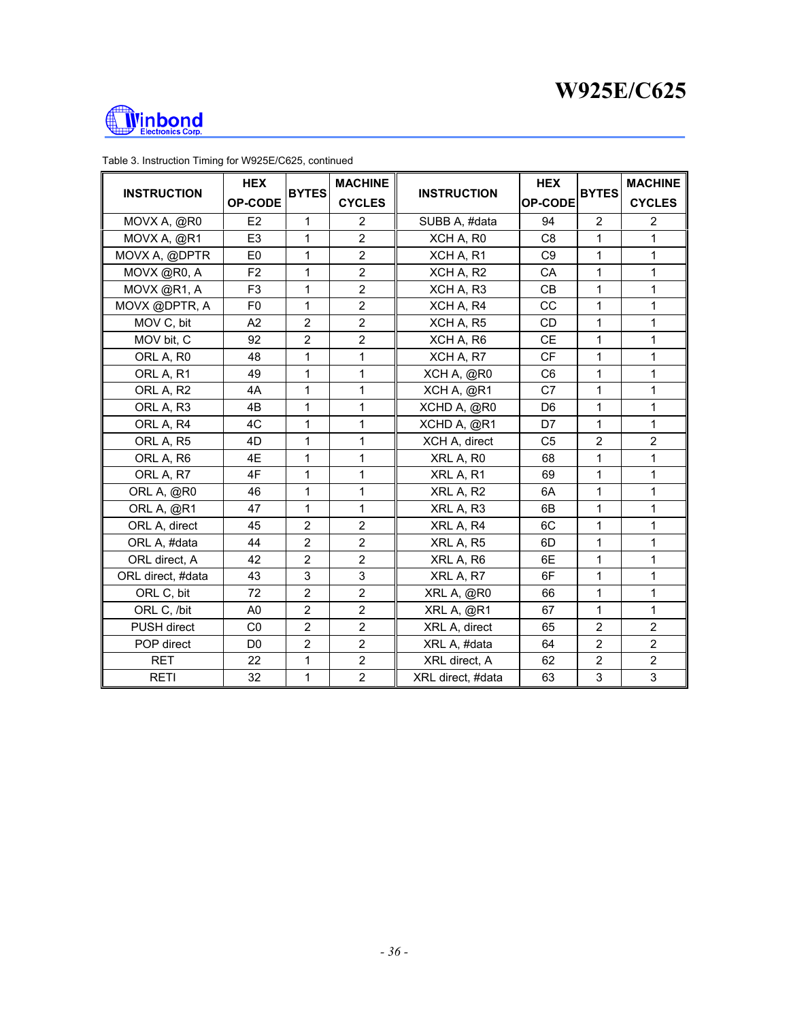



| <b>INSTRUCTION</b>    | <b>HEX</b><br><b>OP-CODE</b> | <b>BYTES</b>   | <b>MACHINE</b><br><b>CYCLES</b> | <b>INSTRUCTION</b>    | <b>HEX</b><br><b>OP-CODE</b> | <b>BYTES</b>   | <b>MACHINE</b><br><b>CYCLES</b> |
|-----------------------|------------------------------|----------------|---------------------------------|-----------------------|------------------------------|----------------|---------------------------------|
| MOVX A, @R0           | E <sub>2</sub>               | 1              | $\overline{2}$                  | SUBB A, #data         | 94                           | $\overline{2}$ | 2                               |
| MOVX A, @R1           | E <sub>3</sub>               | 1              | $\overline{2}$                  | XCH A, R <sub>0</sub> | C <sub>8</sub>               | 1              | 1                               |
| MOVX A, @DPTR         | E <sub>0</sub>               | 1              | $\overline{2}$                  | XCH A, R1             | C <sub>9</sub>               | 1              | $\mathbf{1}$                    |
| MOVX @R0, A           | F <sub>2</sub>               | 1              | $\overline{2}$                  | XCH A, R2             | CA                           | 1              | $\mathbf{1}$                    |
| MOVX @R1, A           | F <sub>3</sub>               | 1              | $\overline{2}$                  | XCH A, R3             | <b>CB</b>                    | 1              | 1                               |
| MOVX @DPTR, A         | F <sub>0</sub>               | 1              | $\overline{2}$                  | XCH A, R4             | CC                           | 1              | 1                               |
| MOV C, bit            | A2                           | $\overline{2}$ | $\overline{2}$                  | XCH A, R5             | <b>CD</b>                    | 1              | 1                               |
| MOV bit, C            | 92                           | $\overline{2}$ | $\overline{2}$                  | XCH A, R6             | <b>CE</b>                    | 1              | 1                               |
| ORL A, R <sub>0</sub> | 48                           | 1              | 1                               | XCH A, R7             | <b>CF</b>                    | 1              | 1                               |
| ORL A, R1             | 49                           | 1              | 1                               | XCH A, @R0            | C <sub>6</sub>               | 1              | $\mathbf{1}$                    |
| ORL A, R2             | 4A                           | $\mathbf 1$    | 1                               | XCH A, @R1            | C7                           | 1              | $\mathbf{1}$                    |
| ORL A, R3             | 4B                           | 1              | 1                               | XCHD A, @R0           | D <sub>6</sub>               | 1              | $\mathbf{1}$                    |
| ORL A, R4             | 4C                           | $\mathbf 1$    | 1                               | XCHD A, @R1           | D7                           | 1              | $\mathbf{1}$                    |
| ORL A, R5             | 4D                           | 1              | 1                               | XCH A, direct         | C <sub>5</sub>               | $\overline{2}$ | $\overline{2}$                  |
| ORL A, R6             | 4E                           | 1              | 1                               | XRL A, R0             | 68                           | 1              | $\mathbf{1}$                    |
| ORL A, R7             | 4F                           | 1              | 1                               | XRL A, R1             | 69                           | 1              | 1                               |
| ORL A, @R0            | 46                           | 1              | 1                               | XRL A, R2             | 6A                           | 1              | 1                               |
| ORL A, @R1            | 47                           | 1              | 1                               | XRL A, R3             | 6B                           | 1              | 1                               |
| ORL A, direct         | 45                           | $\overline{2}$ | $\overline{2}$                  | XRL A, R4             | 6C                           | 1              | 1                               |
| ORL A, #data          | 44                           | $\overline{2}$ | $\overline{2}$                  | XRL A, R5             | 6D                           | 1              | $\mathbf{1}$                    |
| ORL direct, A         | 42                           | $\overline{2}$ | $\overline{2}$                  | XRL A, R6             | 6E                           | 1              | 1                               |
| ORL direct, #data     | 43                           | 3              | 3                               | XRL A, R7             | 6F                           | 1              | 1                               |
| ORL C, bit            | 72                           | $\overline{2}$ | $\overline{2}$                  | XRL A, @R0            | 66                           | 1              | $\mathbf{1}$                    |
| ORL C, /bit           | A <sub>0</sub>               | $\overline{2}$ | $\overline{2}$                  | XRL A, @R1            | 67                           | 1              | $\mathbf{1}$                    |
| <b>PUSH direct</b>    | C <sub>0</sub>               | $\overline{2}$ | $\overline{2}$                  | XRL A, direct         | 65                           | $\overline{2}$ | $\overline{2}$                  |
| POP direct            | D <sub>0</sub>               | $\overline{2}$ | $\overline{2}$                  | XRL A, #data          | 64                           | $\overline{2}$ | $\overline{2}$                  |
| <b>RET</b>            | 22                           | 1              | $\overline{2}$                  | XRL direct, A         | 62                           | $\overline{2}$ | $\overline{2}$                  |
| <b>RETI</b>           | 32                           | $\mathbf{1}$   | $\overline{2}$                  | XRL direct, #data     | 63                           | 3              | 3                               |

Table 3. Instruction Timing for W925E/C625, continued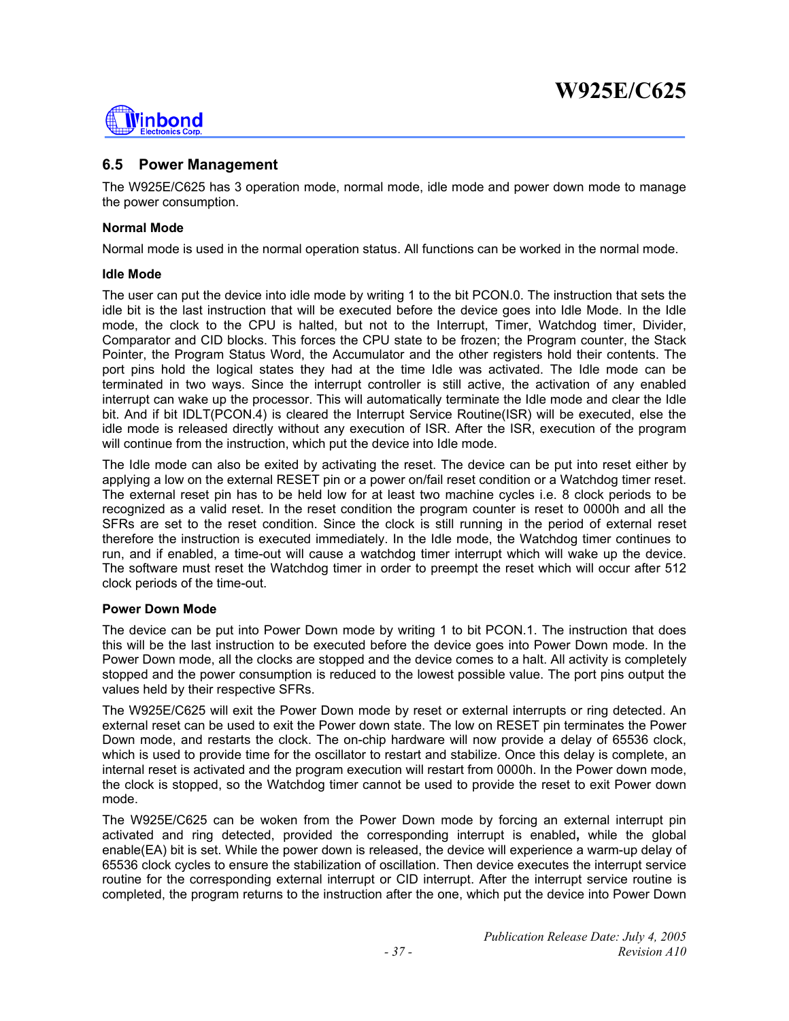

## **6.5 Power Management**

The W925E/C625 has 3 operation mode, normal mode, idle mode and power down mode to manage the power consumption.

#### **Normal Mode**

Normal mode is used in the normal operation status. All functions can be worked in the normal mode.

#### **Idle Mode**

The user can put the device into idle mode by writing 1 to the bit PCON.0. The instruction that sets the idle bit is the last instruction that will be executed before the device goes into Idle Mode. In the Idle mode, the clock to the CPU is halted, but not to the Interrupt, Timer, Watchdog timer, Divider, Comparator and CID blocks. This forces the CPU state to be frozen; the Program counter, the Stack Pointer, the Program Status Word, the Accumulator and the other registers hold their contents. The port pins hold the logical states they had at the time Idle was activated. The Idle mode can be terminated in two ways. Since the interrupt controller is still active, the activation of any enabled interrupt can wake up the processor. This will automatically terminate the Idle mode and clear the Idle bit. And if bit IDLT(PCON.4) is cleared the Interrupt Service Routine(ISR) will be executed, else the idle mode is released directly without any execution of ISR. After the ISR, execution of the program will continue from the instruction, which put the device into Idle mode.

The Idle mode can also be exited by activating the reset. The device can be put into reset either by applying a low on the external RESET pin or a power on/fail reset condition or a Watchdog timer reset. The external reset pin has to be held low for at least two machine cycles i.e. 8 clock periods to be recognized as a valid reset. In the reset condition the program counter is reset to 0000h and all the SFRs are set to the reset condition. Since the clock is still running in the period of external reset therefore the instruction is executed immediately. In the Idle mode, the Watchdog timer continues to run, and if enabled, a time-out will cause a watchdog timer interrupt which will wake up the device. The software must reset the Watchdog timer in order to preempt the reset which will occur after 512 clock periods of the time-out.

#### **Power Down Mode**

The device can be put into Power Down mode by writing 1 to bit PCON.1. The instruction that does this will be the last instruction to be executed before the device goes into Power Down mode. In the Power Down mode, all the clocks are stopped and the device comes to a halt. All activity is completely stopped and the power consumption is reduced to the lowest possible value. The port pins output the values held by their respective SFRs.

The W925E/C625 will exit the Power Down mode by reset or external interrupts or ring detected. An external reset can be used to exit the Power down state. The low on RESET pin terminates the Power Down mode, and restarts the clock. The on-chip hardware will now provide a delay of 65536 clock, which is used to provide time for the oscillator to restart and stabilize. Once this delay is complete, an internal reset is activated and the program execution will restart from 0000h. In the Power down mode, the clock is stopped, so the Watchdog timer cannot be used to provide the reset to exit Power down mode.

The W925E/C625 can be woken from the Power Down mode by forcing an external interrupt pin activated and ring detected, provided the corresponding interrupt is enabled**,** while the global enable(EA) bit is set. While the power down is released, the device will experience a warm-up delay of 65536 clock cycles to ensure the stabilization of oscillation. Then device executes the interrupt service routine for the corresponding external interrupt or CID interrupt. After the interrupt service routine is completed, the program returns to the instruction after the one, which put the device into Power Down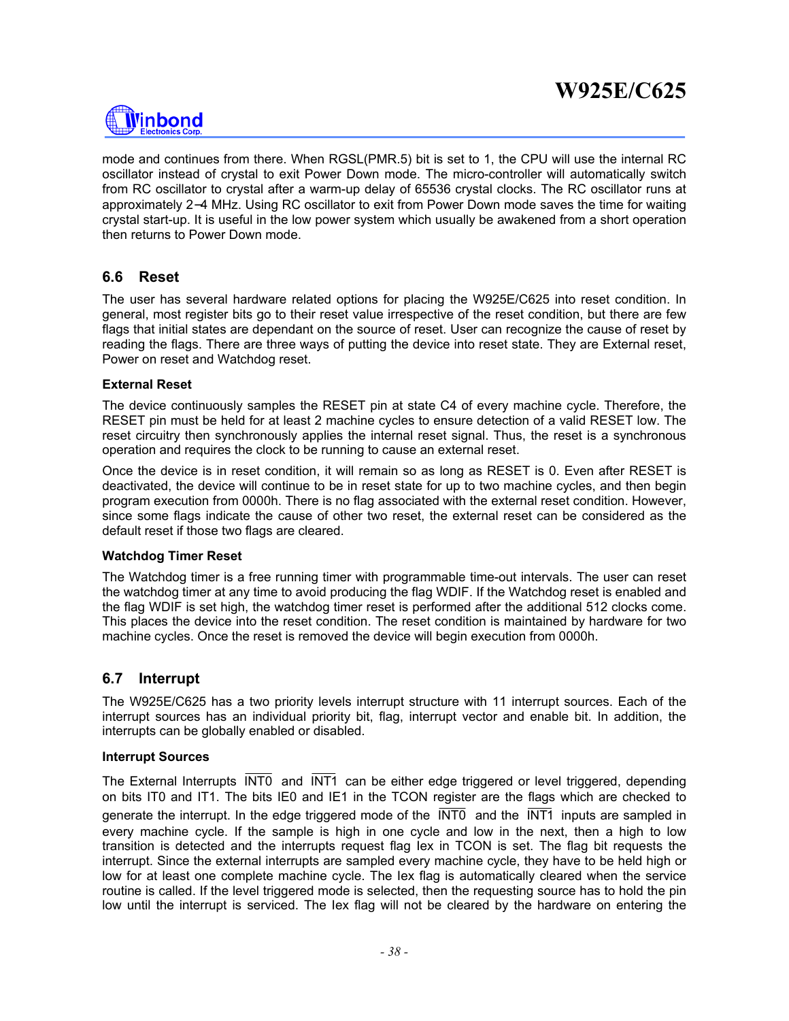

mode and continues from there. When RGSL(PMR.5) bit is set to 1, the CPU will use the internal RC oscillator instead of crystal to exit Power Down mode. The micro-controller will automatically switch from RC oscillator to crystal after a warm-up delay of 65536 crystal clocks. The RC oscillator runs at approximately 2−4 MHz. Using RC oscillator to exit from Power Down mode saves the time for waiting crystal start-up. It is useful in the low power system which usually be awakened from a short operation then returns to Power Down mode.

## **6.6 Reset**

The user has several hardware related options for placing the W925E/C625 into reset condition. In general, most register bits go to their reset value irrespective of the reset condition, but there are few flags that initial states are dependant on the source of reset. User can recognize the cause of reset by reading the flags. There are three ways of putting the device into reset state. They are External reset, Power on reset and Watchdog reset.

#### **External Reset**

The device continuously samples the RESET pin at state C4 of every machine cycle. Therefore, the RESET pin must be held for at least 2 machine cycles to ensure detection of a valid RESET low. The reset circuitry then synchronously applies the internal reset signal. Thus, the reset is a synchronous operation and requires the clock to be running to cause an external reset.

Once the device is in reset condition, it will remain so as long as RESET is 0. Even after RESET is deactivated, the device will continue to be in reset state for up to two machine cycles, and then begin program execution from 0000h. There is no flag associated with the external reset condition. However, since some flags indicate the cause of other two reset, the external reset can be considered as the default reset if those two flags are cleared.

#### **Watchdog Timer Reset**

The Watchdog timer is a free running timer with programmable time-out intervals. The user can reset the watchdog timer at any time to avoid producing the flag WDIF. If the Watchdog reset is enabled and the flag WDIF is set high, the watchdog timer reset is performed after the additional 512 clocks come. This places the device into the reset condition. The reset condition is maintained by hardware for two machine cycles. Once the reset is removed the device will begin execution from 0000h.

## **6.7 Interrupt**

The W925E/C625 has a two priority levels interrupt structure with 11 interrupt sources. Each of the interrupt sources has an individual priority bit, flag, interrupt vector and enable bit. In addition, the interrupts can be globally enabled or disabled.

#### **Interrupt Sources**

The External Interrupts INT0 and INT1 can be either edge triggered or level triggered, depending on bits IT0 and IT1. The bits IE0 and IE1 in the TCON register are the flags which are checked to generate the interrupt. In the edge triggered mode of the  $\overline{INT0}$  and the  $\overline{INT1}$  inputs are sampled in every machine cycle. If the sample is high in one cycle and low in the next, then a high to low transition is detected and the interrupts request flag Iex in TCON is set. The flag bit requests the interrupt. Since the external interrupts are sampled every machine cycle, they have to be held high or low for at least one complete machine cycle. The Iex flag is automatically cleared when the service routine is called. If the level triggered mode is selected, then the requesting source has to hold the pin low until the interrupt is serviced. The Iex flag will not be cleared by the hardware on entering the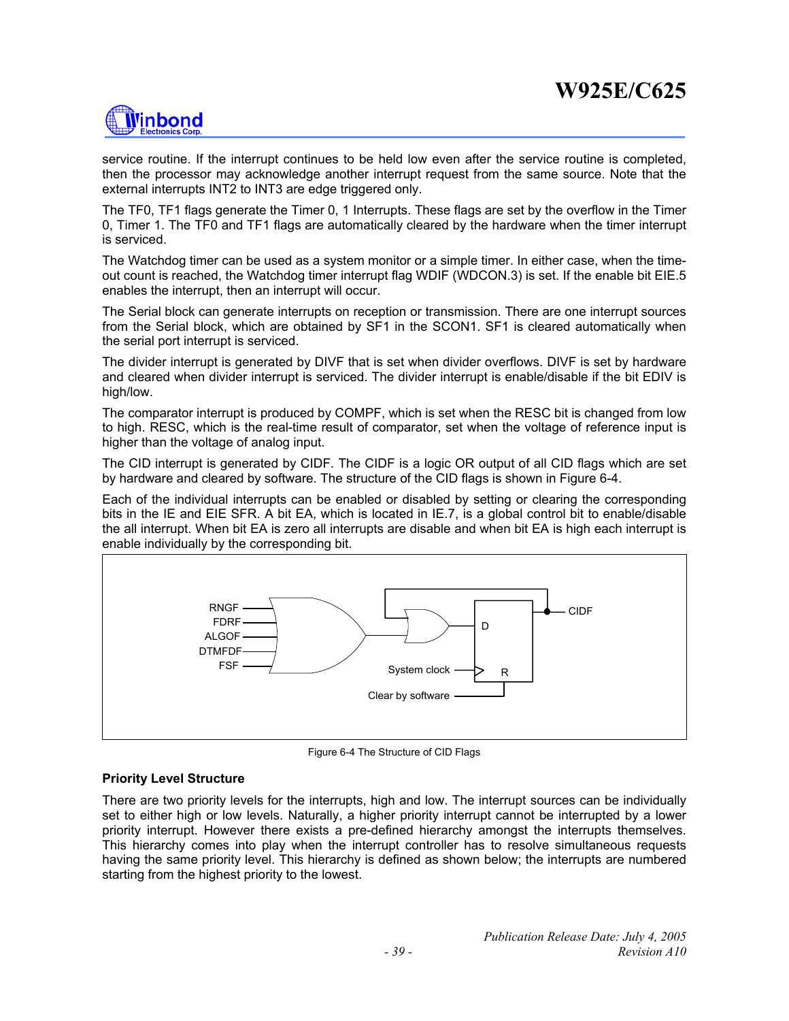

service routine. If the interrupt continues to be held low even after the service routine is completed, then the processor may acknowledge another interrupt request from the same source. Note that the external interrupts INT2 to INT3 are edge triggered only.

The TF0, TF1 flags generate the Timer 0, 1 Interrupts. These flags are set by the overflow in the Timer 0, Timer 1. The TF0 and TF1 flags are automatically cleared by the hardware when the timer interrupt is serviced.

The Watchdog timer can be used as a system monitor or a simple timer. In either case, when the timeout count is reached, the Watchdog timer interrupt flag WDIF (WDCON.3) is set. If the enable bit EIE.5 enables the interrupt, then an interrupt will occur.

The Serial block can generate interrupts on reception or transmission. There are one interrupt sources from the Serial block, which are obtained by SF1 in the SCON1. SF1 is cleared automatically when the serial port interrupt is serviced.

The divider interrupt is generated by DIVF that is set when divider overflows. DIVF is set by hardware and cleared when divider interrupt is serviced. The divider interrupt is enable/disable if the bit EDIV is high/low.

The comparator interrupt is produced by COMPF, which is set when the RESC bit is changed from low to high. RESC, which is the real-time result of comparator, set when the voltage of reference input is higher than the voltage of analog input.

The CID interrupt is generated by CIDF. The CIDF is a logic OR output of all CID flags which are set by hardware and cleared by software. The structure of the CID flags is shown in Figure 6-4.

Each of the individual interrupts can be enabled or disabled by setting or clearing the corresponding bits in the IE and EIE SFR. A bit EA, which is located in IE.7, is a global control bit to enable/disable the all interrupt. When bit EA is zero all interrupts are disable and when bit EA is high each interrupt is enable individually by the corresponding bit.



Figure 6-4 The Structure of CID Flags

#### **Priority Level Structure**

There are two priority levels for the interrupts, high and low. The interrupt sources can be individually set to either high or low levels. Naturally, a higher priority interrupt cannot be interrupted by a lower priority interrupt. However there exists a pre-defined hierarchy amongst the interrupts themselves. This hierarchy comes into play when the interrupt controller has to resolve simultaneous requests having the same priority level. This hierarchy is defined as shown below; the interrupts are numbered starting from the highest priority to the lowest.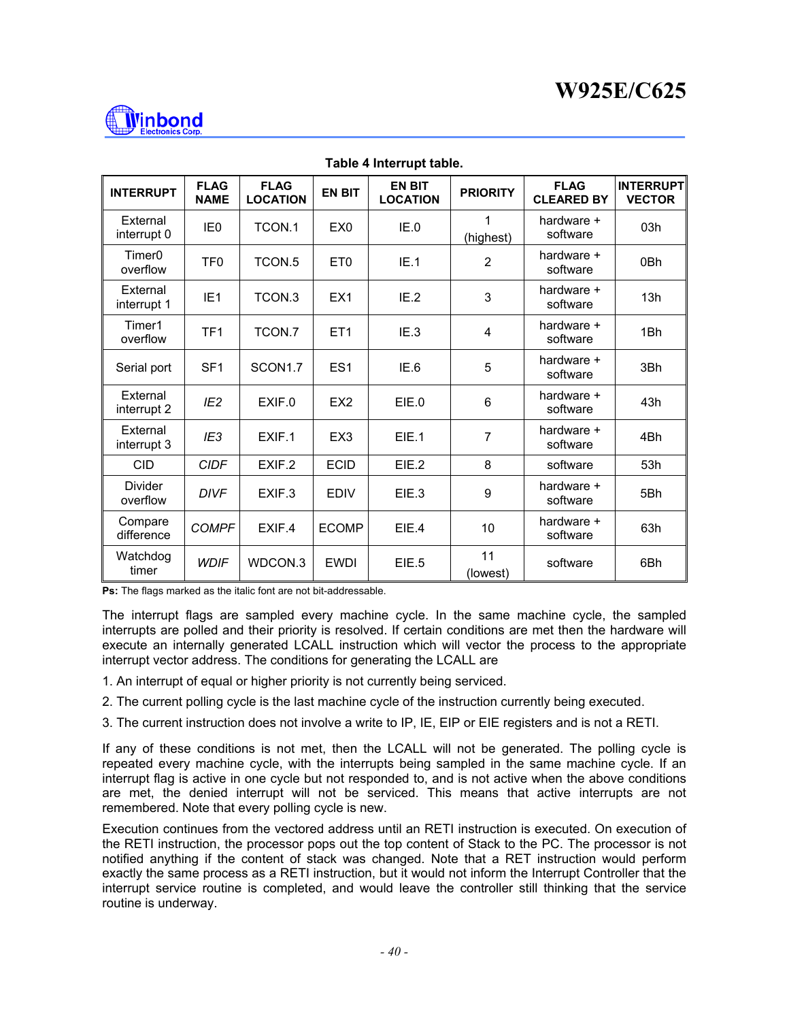

| <b>INTERRUPT</b>               | <b>FLAG</b><br><b>NAME</b> | <b>FLAG</b><br><b>LOCATION</b> | <b>EN BIT</b>   | <b>EN BIT</b><br><b>LOCATION</b> | <b>PRIORITY</b> | <b>FLAG</b><br><b>CLEARED BY</b> | <b>INTERRUPT</b><br><b>VECTOR</b> |
|--------------------------------|----------------------------|--------------------------------|-----------------|----------------------------------|-----------------|----------------------------------|-----------------------------------|
| External<br>interrupt 0        | IE <sub>0</sub>            | TCON.1                         | EX <sub>0</sub> | IE.0                             | 1<br>(highest)  | hardware +<br>software           | 03h                               |
| Timer <sub>0</sub><br>overflow | TF <sub>0</sub>            | TCON <sub>.5</sub>             | ET <sub>0</sub> | IE.1                             | $\overline{2}$  | hardware +<br>software           | 0Bh                               |
| External<br>interrupt 1        | IE <sub>1</sub>            | TCON.3                         | EX <sub>1</sub> | IE.2                             | 3               | hardware +<br>software           | 13h                               |
| Timer1<br>overflow             | TF <sub>1</sub>            | TCON.7                         | ET <sub>1</sub> | IE.3                             | 4               | hardware +<br>software           | 1Bh                               |
| Serial port                    | SF <sub>1</sub>            | SCON1.7                        | ES <sub>1</sub> | IE.6                             | 5               | hardware +<br>software           | 3Bh                               |
| External<br>interrupt 2        | IE <sub>2</sub>            | EXIF.0                         | EX <sub>2</sub> | EIE.0                            | 6               | hardware +<br>software           | 43h                               |
| External<br>interrupt 3        | IE <sub>3</sub>            | EXIF.1                         | EX <sub>3</sub> | EIE.1                            | $\overline{7}$  | hardware +<br>software           | 4Bh                               |
| <b>CID</b>                     | <b>CIDF</b>                | EXIF.2                         | <b>ECID</b>     | EIE.2                            | 8               | software                         | 53h                               |
| <b>Divider</b><br>overflow     | <b>DIVF</b>                | EXIF.3                         | <b>EDIV</b>     | EIE.3                            | 9               | hardware +<br>software           | 5Bh                               |
| Compare<br>difference          | <b>COMPF</b>               | EXIF.4                         | <b>ECOMP</b>    | EIE.4                            | 10              | hardware +<br>software           | 63h                               |
| Watchdog<br>timer              | <b>WDIF</b>                | WDCON.3                        | <b>EWDI</b>     | EIE.5                            | 11<br>(lowest)  | software                         | 6Bh                               |

**Table 4 Interrupt table.** 

**Ps:** The flags marked as the italic font are not bit-addressable.

The interrupt flags are sampled every machine cycle. In the same machine cycle, the sampled interrupts are polled and their priority is resolved. If certain conditions are met then the hardware will execute an internally generated LCALL instruction which will vector the process to the appropriate interrupt vector address. The conditions for generating the LCALL are

- 1. An interrupt of equal or higher priority is not currently being serviced.
- 2. The current polling cycle is the last machine cycle of the instruction currently being executed.
- 3. The current instruction does not involve a write to IP, IE, EIP or EIE registers and is not a RETI.

If any of these conditions is not met, then the LCALL will not be generated. The polling cycle is repeated every machine cycle, with the interrupts being sampled in the same machine cycle. If an interrupt flag is active in one cycle but not responded to, and is not active when the above conditions are met, the denied interrupt will not be serviced. This means that active interrupts are not remembered. Note that every polling cycle is new.

Execution continues from the vectored address until an RETI instruction is executed. On execution of the RETI instruction, the processor pops out the top content of Stack to the PC. The processor is not notified anything if the content of stack was changed. Note that a RET instruction would perform exactly the same process as a RETI instruction, but it would not inform the Interrupt Controller that the interrupt service routine is completed, and would leave the controller still thinking that the service routine is underway.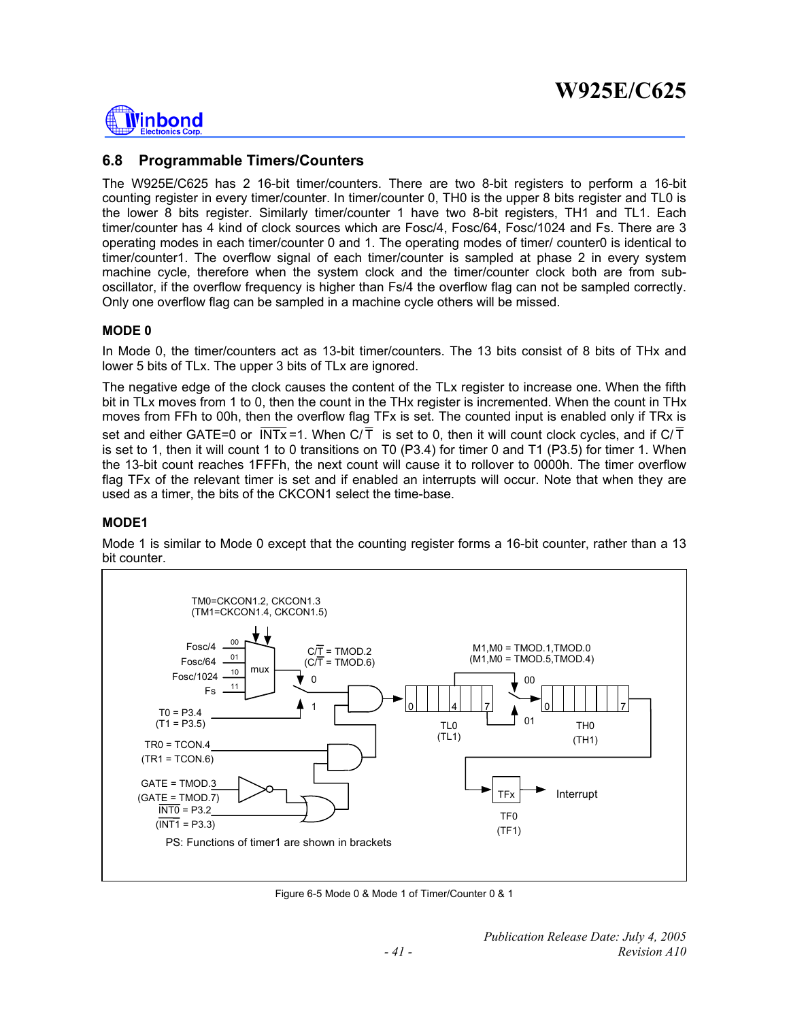

## **6.8 Programmable Timers/Counters**

The W925E/C625 has 2 16-bit timer/counters. There are two 8-bit registers to perform a 16-bit counting register in every timer/counter. In timer/counter 0, TH0 is the upper 8 bits register and TL0 is the lower 8 bits register. Similarly timer/counter 1 have two 8-bit registers, TH1 and TL1. Each timer/counter has 4 kind of clock sources which are Fosc/4, Fosc/64, Fosc/1024 and Fs. There are 3 operating modes in each timer/counter 0 and 1. The operating modes of timer/ counter0 is identical to timer/counter1. The overflow signal of each timer/counter is sampled at phase 2 in every system machine cycle, therefore when the system clock and the timer/counter clock both are from suboscillator, if the overflow frequency is higher than Fs/4 the overflow flag can not be sampled correctly. Only one overflow flag can be sampled in a machine cycle others will be missed.

#### **MODE 0**

In Mode 0, the timer/counters act as 13-bit timer/counters. The 13 bits consist of 8 bits of THx and lower 5 bits of TLx. The upper 3 bits of TLx are ignored.

The negative edge of the clock causes the content of the TLx register to increase one. When the fifth bit in TLx moves from 1 to 0, then the count in the THx register is incremented. When the count in THx moves from FFh to 00h, then the overflow flag TFx is set. The counted input is enabled only if TRx is set and either GATE=0 or  $\overline{INTx}$  =1. When  $C/\overline{T}$  is set to 0, then it will count clock cycles, and if  $C/\overline{T}$ is set to 1, then it will count 1 to 0 transitions on T0 (P3.4) for timer 0 and T1 (P3.5) for timer 1. When the 13-bit count reaches 1FFFh, the next count will cause it to rollover to 0000h. The timer overflow flag TFx of the relevant timer is set and if enabled an interrupts will occur. Note that when they are used as a timer, the bits of the CKCON1 select the time-base.

#### **MODE1**

Mode 1 is similar to Mode 0 except that the counting register forms a 16-bit counter, rather than a 13 bit counter.



Figure 6-5 Mode 0 & Mode 1 of Timer/Counter 0 & 1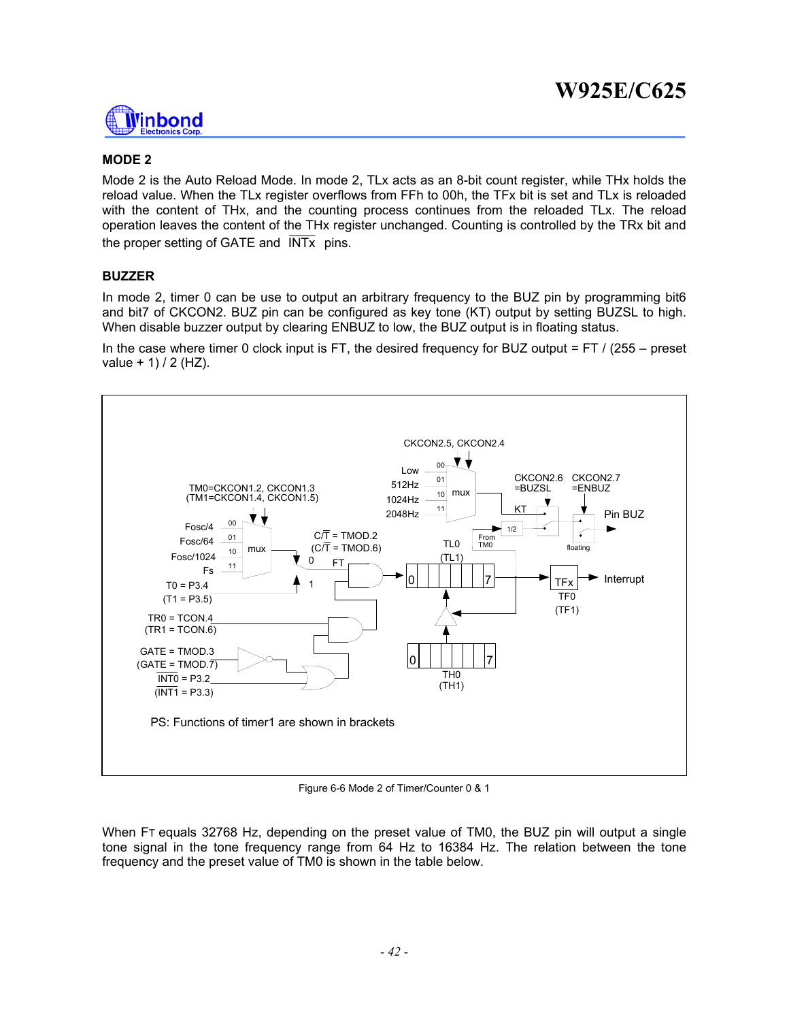

### **MODE 2**

Mode 2 is the Auto Reload Mode. In mode 2, TLx acts as an 8-bit count register, while THx holds the reload value. When the TLx register overflows from FFh to 00h, the TFx bit is set and TLx is reloaded with the content of THx, and the counting process continues from the reloaded TLx. The reload operation leaves the content of the THx register unchanged. Counting is controlled by the TRx bit and the proper setting of GATE and  $\overline{\text{INTx}}$  pins.

#### **BUZZER**

In mode 2, timer 0 can be use to output an arbitrary frequency to the BUZ pin by programming bit6 and bit7 of CKCON2. BUZ pin can be configured as key tone (KT) output by setting BUZSL to high. When disable buzzer output by clearing ENBUZ to low, the BUZ output is in floating status.

In the case where timer 0 clock input is FT, the desired frequency for BUZ output = FT / (255 – preset  $value + 1$ ) / 2 (HZ).



Figure 6-6 Mode 2 of Timer/Counter 0 & 1

When FT equals 32768 Hz, depending on the preset value of TM0, the BUZ pin will output a single tone signal in the tone frequency range from 64 Hz to 16384 Hz. The relation between the tone frequency and the preset value of TM0 is shown in the table below.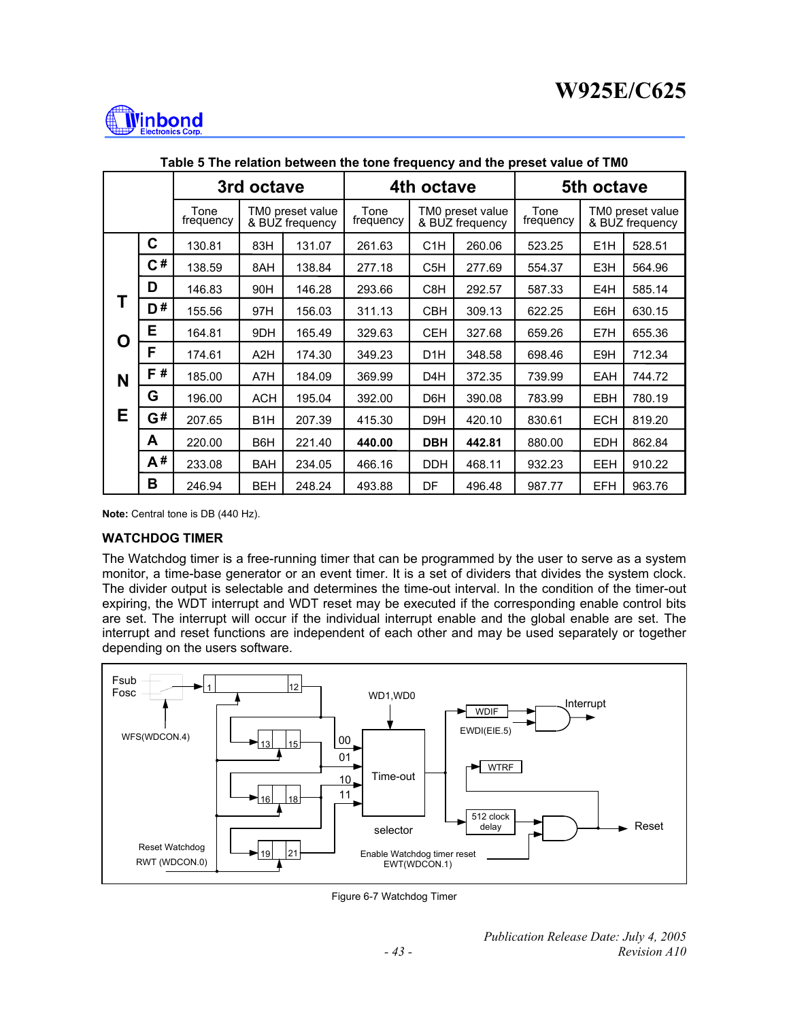

|   |    | 3rd octave        |                                     |        |                   | 4th octave       |                                     |                   | 5th octave                          |        |
|---|----|-------------------|-------------------------------------|--------|-------------------|------------------|-------------------------------------|-------------------|-------------------------------------|--------|
|   |    | Tone<br>frequency | TM0 preset value<br>& BUZ frequency |        | Tone<br>frequency |                  | TM0 preset value<br>& BUZ frequency | Tone<br>frequency | TM0 preset value<br>& BUZ frequency |        |
|   | C  | 130.81            | 83H                                 | 131.07 | 261.63            | C <sub>1</sub> H | 260.06                              | 523.25            | E <sub>1</sub> H                    | 528.51 |
|   | C# | 138.59            | 8AH                                 | 138.84 | 277.18            | C <sub>5</sub> H | 277.69                              | 554.37            | E3H                                 | 564.96 |
|   | D  | 146.83            | 90H                                 | 146.28 | 293.66            | C8H              | 292.57                              | 587.33            | E4H                                 | 585.14 |
|   | D# | 155.56            | 97H                                 | 156.03 | 311.13            | <b>CBH</b>       | 309.13                              | 622.25            | E6H                                 | 630.15 |
| O | E  | 164.81            | 9DH                                 | 165.49 | 329.63            | <b>CEH</b>       | 327.68                              | 659.26            | E7H                                 | 655.36 |
|   | F  | 174.61            | A <sub>2</sub> H                    | 174.30 | 349.23            | D <sub>1</sub> H | 348.58                              | 698.46            | E9H                                 | 712.34 |
| N | F# | 185.00            | A7H                                 | 184.09 | 369.99            | D <sub>4</sub> H | 372.35                              | 739.99            | <b>EAH</b>                          | 744.72 |
|   | G  | 196.00            | <b>ACH</b>                          | 195.04 | 392.00            | D <sub>6</sub> H | 390.08                              | 783.99            | <b>EBH</b>                          | 780.19 |
| Е | G# | 207.65            | B <sub>1</sub> H                    | 207.39 | 415.30            | D <sub>9</sub> H | 420.10                              | 830.61            | <b>ECH</b>                          | 819.20 |
|   | A  | 220.00            | B6H                                 | 221.40 | 440.00            | <b>DBH</b>       | 442.81                              | 880.00            | <b>EDH</b>                          | 862.84 |
|   | A# | 233.08            | <b>BAH</b>                          | 234.05 | 466.16            | <b>DDH</b>       | 468.11                              | 932.23            | <b>EEH</b>                          | 910.22 |
|   | в  | 246.94            | <b>BEH</b>                          | 248.24 | 493.88            | DF               | 496.48                              | 987.77            | <b>EFH</b>                          | 963.76 |

**Table 5 The relation between the tone frequency and the preset value of TM0** 

**Note:** Central tone is DB (440 Hz).

#### **WATCHDOG TIMER**

The Watchdog timer is a free-running timer that can be programmed by the user to serve as a system monitor, a time-base generator or an event timer. It is a set of dividers that divides the system clock. The divider output is selectable and determines the time-out interval. In the condition of the timer-out expiring, the WDT interrupt and WDT reset may be executed if the corresponding enable control bits are set. The interrupt will occur if the individual interrupt enable and the global enable are set. The interrupt and reset functions are independent of each other and may be used separately or together depending on the users software.



Figure 6-7 Watchdog Timer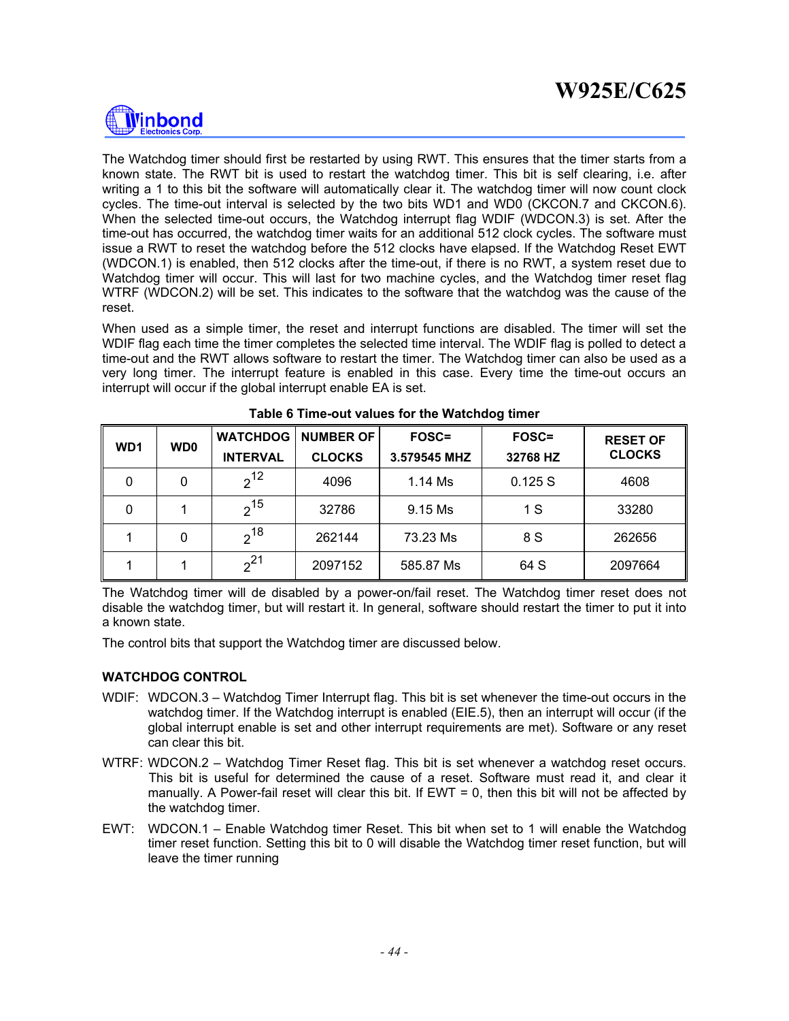

The Watchdog timer should first be restarted by using RWT. This ensures that the timer starts from a known state. The RWT bit is used to restart the watchdog timer. This bit is self clearing, i.e. after writing a 1 to this bit the software will automatically clear it. The watchdog timer will now count clock cycles. The time-out interval is selected by the two bits WD1 and WD0 (CKCON.7 and CKCON.6). When the selected time-out occurs, the Watchdog interrupt flag WDIF (WDCON.3) is set. After the time-out has occurred, the watchdog timer waits for an additional 512 clock cycles. The software must issue a RWT to reset the watchdog before the 512 clocks have elapsed. If the Watchdog Reset EWT (WDCON.1) is enabled, then 512 clocks after the time-out, if there is no RWT, a system reset due to Watchdog timer will occur. This will last for two machine cycles, and the Watchdog timer reset flag WTRF (WDCON.2) will be set. This indicates to the software that the watchdog was the cause of the reset.

When used as a simple timer, the reset and interrupt functions are disabled. The timer will set the WDIF flag each time the timer completes the selected time interval. The WDIF flag is polled to detect a time-out and the RWT allows software to restart the timer. The Watchdog timer can also be used as a very long timer. The interrupt feature is enabled in this case. Every time the time-out occurs an interrupt will occur if the global interrupt enable EA is set.

| WD <sub>1</sub> | WD <sub>0</sub> | <b>WATCHDOG</b> | <b>NUMBER OF</b> | <b>FOSC=</b> | <b>FOSC=</b> | <b>RESET OF</b> |  |
|-----------------|-----------------|-----------------|------------------|--------------|--------------|-----------------|--|
|                 |                 | <b>INTERVAL</b> | <b>CLOCKS</b>    | 3.579545 MHZ | 32768 HZ     | <b>CLOCKS</b>   |  |
| 0               | 0               | $2^{12}$        | 4096             | 1.14 Ms      | 0.125S       | 4608            |  |
| 0               |                 | $2^{15}$        | 32786            | 9.15 Ms      | 1 S          | 33280           |  |
|                 | 0               | $2^{18}$        | 262144           | 73.23 Ms     | 8 S          | 262656          |  |
|                 |                 | $2^{21}$        | 2097152          | 585.87 Ms    | 64 S         | 2097664         |  |

**Table 6 Time-out values for the Watchdog timer** 

The Watchdog timer will de disabled by a power-on/fail reset. The Watchdog timer reset does not disable the watchdog timer, but will restart it. In general, software should restart the timer to put it into a known state.

The control bits that support the Watchdog timer are discussed below.

#### **WATCHDOG CONTROL**

- WDIF: WDCON.3 Watchdog Timer Interrupt flag. This bit is set whenever the time-out occurs in the watchdog timer. If the Watchdog interrupt is enabled (EIE.5), then an interrupt will occur (if the global interrupt enable is set and other interrupt requirements are met). Software or any reset can clear this bit.
- WTRF: WDCON.2 Watchdog Timer Reset flag. This bit is set whenever a watchdog reset occurs. This bit is useful for determined the cause of a reset. Software must read it, and clear it manually. A Power-fail reset will clear this bit. If  $EWT = 0$ , then this bit will not be affected by the watchdog timer.
- EWT: WDCON.1 Enable Watchdog timer Reset. This bit when set to 1 will enable the Watchdog timer reset function. Setting this bit to 0 will disable the Watchdog timer reset function, but will leave the timer running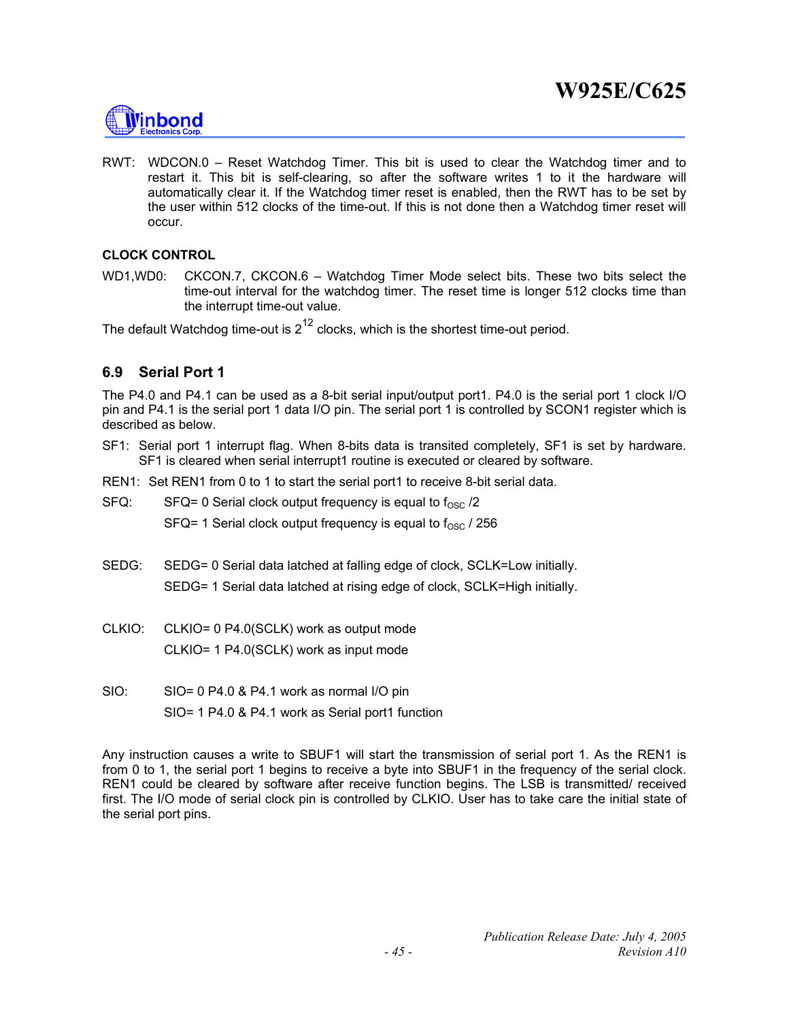

RWT: WDCON.0 – Reset Watchdog Timer. This bit is used to clear the Watchdog timer and to restart it. This bit is self-clearing, so after the software writes 1 to it the hardware will automatically clear it. If the Watchdog timer reset is enabled, then the RWT has to be set by the user within 512 clocks of the time-out. If this is not done then a Watchdog timer reset will occur.

#### **CLOCK CONTROL**

WD1,WD0: CKCON.7, CKCON.6 – Watchdog Timer Mode select bits. These two bits select the time-out interval for the watchdog timer. The reset time is longer 512 clocks time than the interrupt time-out value.

The default Watchdog time-out is  $2^{12}$  clocks, which is the shortest time-out period.

## **6.9 Serial Port 1**

The P4.0 and P4.1 can be used as a 8-bit serial input/output port1. P4.0 is the serial port 1 clock I/O pin and P4.1 is the serial port 1 data I/O pin. The serial port 1 is controlled by SCON1 register which is described as below.

- SF1: Serial port 1 interrupt flag. When 8-bits data is transited completely, SF1 is set by hardware. SF1 is cleared when serial interrupt1 routine is executed or cleared by software.
- REN1: Set REN1 from 0 to 1 to start the serial port1 to receive 8-bit serial data.
- $SFG:$  SFQ= 0 Serial clock output frequency is equal to  $f_{OSC}$  /2

SFQ= 1 Serial clock output frequency is equal to  $f_{\rm OSC}$  / 256

- SEDG: SEDG= 0 Serial data latched at falling edge of clock, SCLK=Low initially. SEDG= 1 Serial data latched at rising edge of clock, SCLK=High initially.
- CLKIO: CLKIO= 0 P4.0(SCLK) work as output mode CLKIO= 1 P4.0(SCLK) work as input mode
- SIO: SIO= 0 P4.0 & P4.1 work as normal I/O pin SIO= 1 P4.0 & P4.1 work as Serial port1 function

Any instruction causes a write to SBUF1 will start the transmission of serial port 1. As the REN1 is from 0 to 1, the serial port 1 begins to receive a byte into SBUF1 in the frequency of the serial clock. REN1 could be cleared by software after receive function begins. The LSB is transmitted/ received first. The I/O mode of serial clock pin is controlled by CLKIO. User has to take care the initial state of the serial port pins.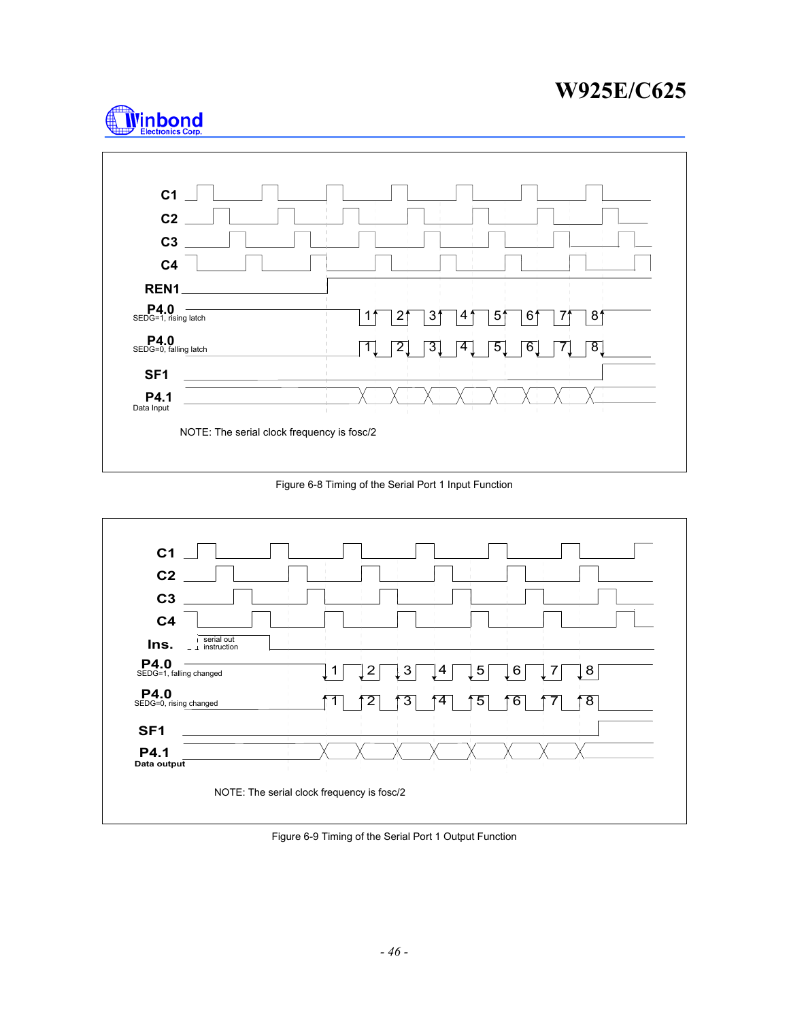



Figure 6-8 Timing of the Serial Port 1 Input Function



Figure 6-9 Timing of the Serial Port 1 Output Function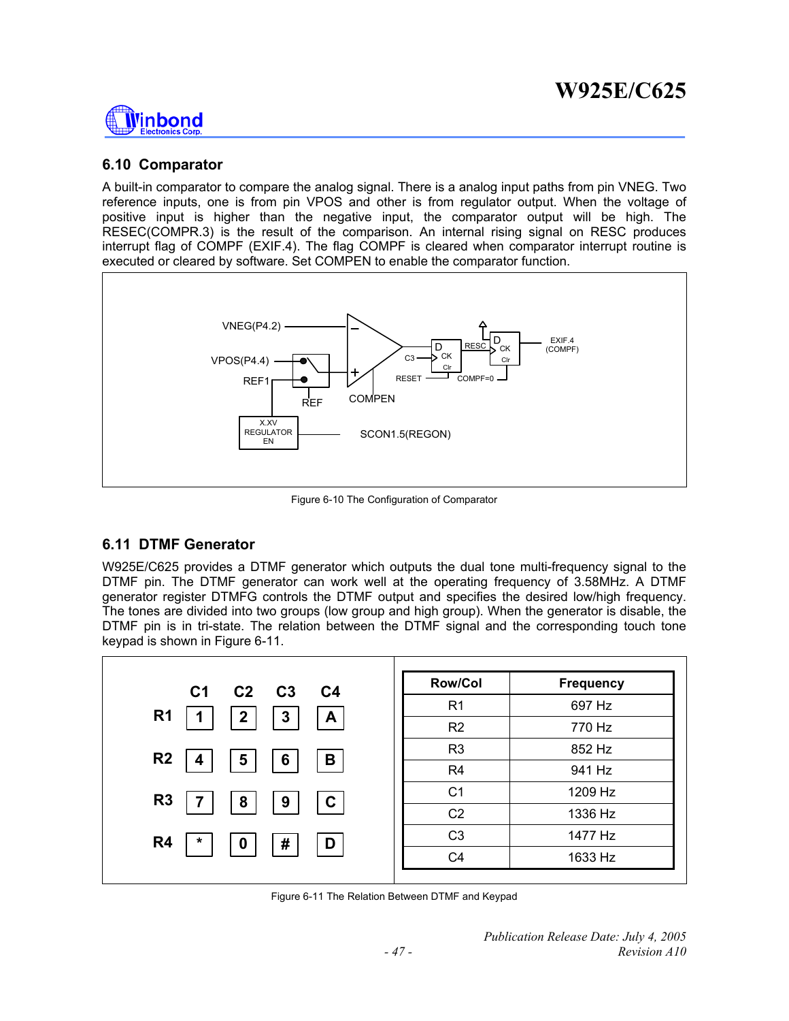

## **6.10 Comparator**

A built-in comparator to compare the analog signal. There is a analog input paths from pin VNEG. Two reference inputs, one is from pin VPOS and other is from regulator output. When the voltage of positive input is higher than the negative input, the comparator output will be high. The RESEC(COMPR.3) is the result of the comparison. An internal rising signal on RESC produces interrupt flag of COMPF (EXIF.4). The flag COMPF is cleared when comparator interrupt routine is executed or cleared by software. Set COMPEN to enable the comparator function.



Figure 6-10 The Configuration of Comparator

## **6.11 DTMF Generator**

W925E/C625 provides a DTMF generator which outputs the dual tone multi-frequency signal to the DTMF pin. The DTMF generator can work well at the operating frequency of 3.58MHz. A DTMF generator register DTMFG controls the DTMF output and specifies the desired low/high frequency. The tones are divided into two groups (low group and high group). When the generator is disable, the DTMF pin is in tri-state. The relation between the DTMF signal and the corresponding touch tone keypad is shown in Figure 6-11.

| C <sub>1</sub><br>$C2 \t C3$<br>C <sub>4</sub>  | <b>Row/Col</b> | <b>Frequency</b> |
|-------------------------------------------------|----------------|------------------|
|                                                 | R <sub>1</sub> | 697 Hz           |
| R <sub>1</sub><br>3<br>$\mathbf{2}$<br>A        | R2             | 770 Hz           |
| R <sub>2</sub><br>5<br>B<br>6                   | R <sub>3</sub> | 852 Hz           |
| 4                                               | R <sub>4</sub> | 941 Hz           |
| R <sub>3</sub><br>C<br>8<br>9                   | C <sub>1</sub> | 1209 Hz          |
|                                                 | C <sub>2</sub> | 1336 Hz          |
| R <sub>4</sub><br>#<br>$\star$<br>$\bf{0}$<br>D | C <sub>3</sub> | 1477 Hz          |
|                                                 | C <sub>4</sub> | 1633 Hz          |

Figure 6-11 The Relation Between DTMF and Keypad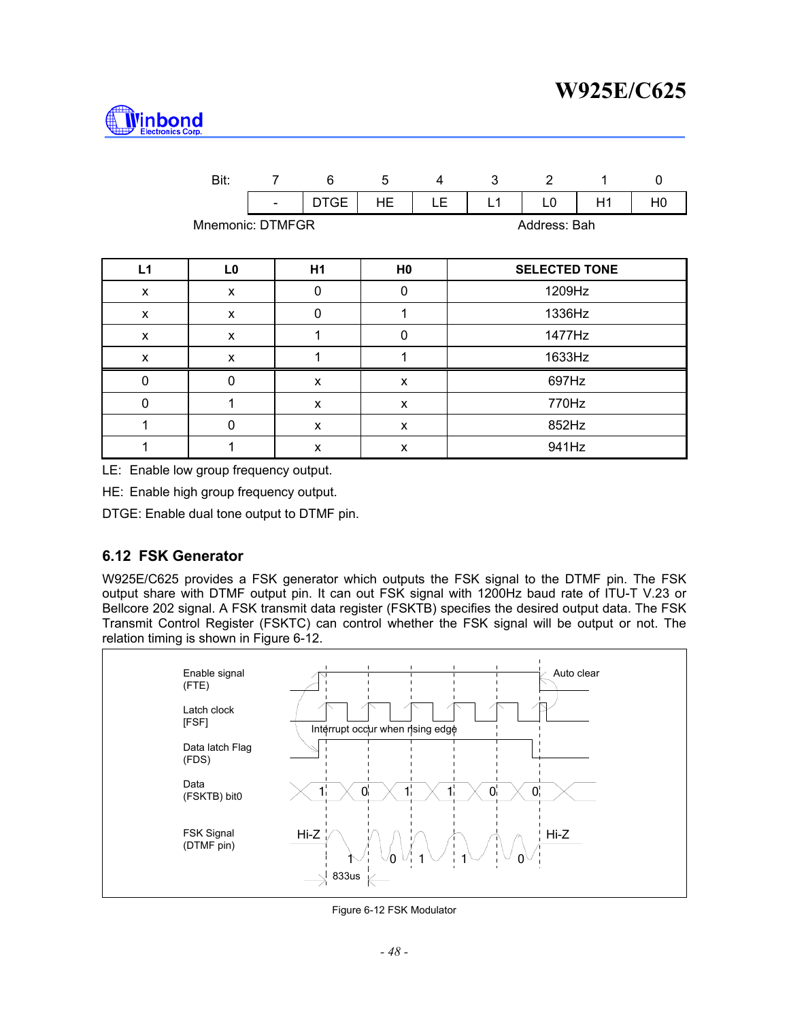

|                                  | Bit:           | $\overline{7}$ | 6           | 5              | $\overline{4}$ | 3      |  | 2                    | 1  | $\mathbf 0$    |
|----------------------------------|----------------|----------------|-------------|----------------|----------------|--------|--|----------------------|----|----------------|
|                                  |                |                | <b>DTGE</b> | <b>HE</b>      | LE.            | L1     |  | L0                   | H1 | H <sub>0</sub> |
| Mnemonic: DTMFGR<br>Address: Bah |                |                |             |                |                |        |  |                      |    |                |
| L1                               | L <sub>0</sub> |                | H1          | H <sub>0</sub> |                |        |  | <b>SELECTED TONE</b> |    |                |
| X                                | X              |                | 0           | 0              |                | 1209Hz |  |                      |    |                |
| X                                | X              |                | 0           | 1              | 1336Hz         |        |  |                      |    |                |
| X                                | X              |                | 1           | 0              |                |        |  | 1477Hz               |    |                |
| X                                | X              |                |             | 1              |                |        |  | 1633Hz               |    |                |
| 0                                | $\Omega$       |                | X           | X              |                | 697Hz  |  |                      |    |                |
| 0                                | 1              |                | X           | X              | 770Hz          |        |  |                      |    |                |
| 1                                | $\mathbf{0}$   |                | X           | X              |                | 852Hz  |  |                      |    |                |
| 1                                | 1              |                | X           | X              |                | 941Hz  |  |                      |    |                |

LE: Enable low group frequency output.

HE: Enable high group frequency output.

DTGE: Enable dual tone output to DTMF pin.

## **6.12 FSK Generator**

W925E/C625 provides a FSK generator which outputs the FSK signal to the DTMF pin. The FSK output share with DTMF output pin. It can out FSK signal with 1200Hz baud rate of ITU-T V.23 or Bellcore 202 signal. A FSK transmit data register (FSKTB) specifies the desired output data. The FSK Transmit Control Register (FSKTC) can control whether the FSK signal will be output or not. The relation timing is shown in Figure 6-12.



Figure 6-12 FSK Modulator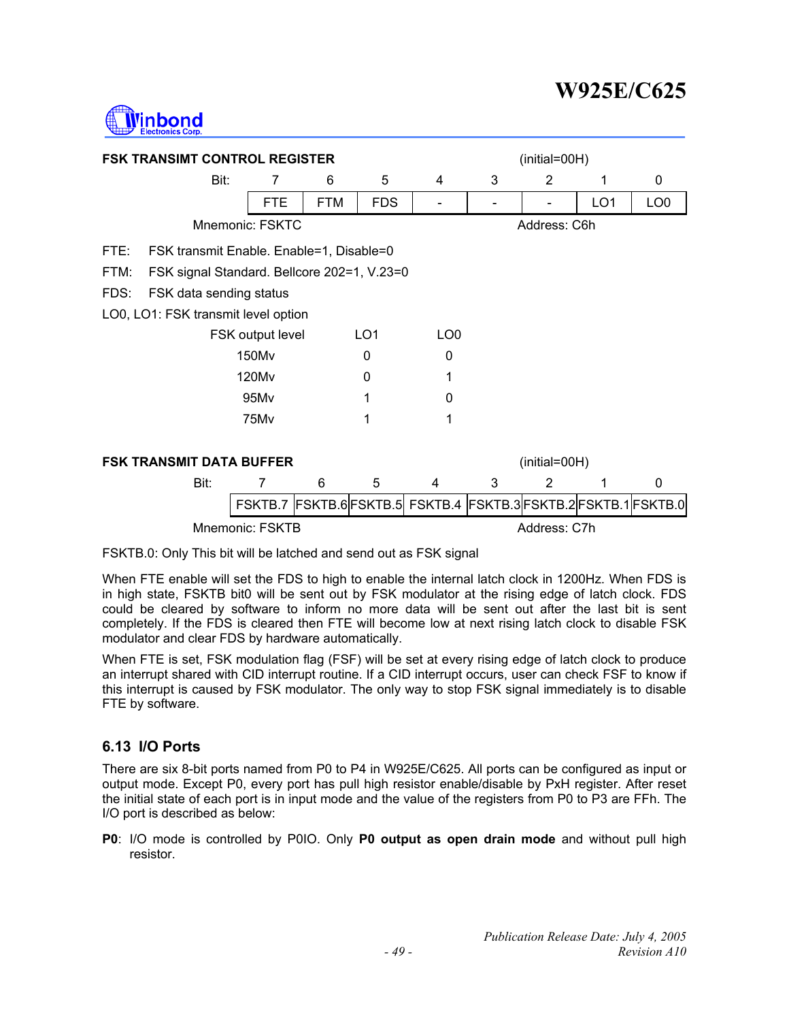

| <b>FSK TRANSIMT CONTROL REGISTER</b>             |                                                                          |            |                 | (initial=00H)   |              |               |                 |                 |  |
|--------------------------------------------------|--------------------------------------------------------------------------|------------|-----------------|-----------------|--------------|---------------|-----------------|-----------------|--|
| Bit:                                             | 7                                                                        | 6          | 5               | 4               | 3            | 2             | 1               | 0               |  |
|                                                  | <b>FTE</b>                                                               | <b>FTM</b> | <b>FDS</b>      |                 |              |               | LO <sub>1</sub> | LO <sub>0</sub> |  |
|                                                  | Mnemonic: FSKTC                                                          |            |                 |                 |              | Address: C6h  |                 |                 |  |
| FTE:<br>FSK transmit Enable. Enable=1, Disable=0 |                                                                          |            |                 |                 |              |               |                 |                 |  |
| FTM:                                             | FSK signal Standard. Bellcore 202=1, V.23=0                              |            |                 |                 |              |               |                 |                 |  |
| FDS:<br>FSK data sending status                  |                                                                          |            |                 |                 |              |               |                 |                 |  |
|                                                  | LO0, LO1: FSK transmit level option                                      |            |                 |                 |              |               |                 |                 |  |
|                                                  | FSK output level                                                         |            | LO <sub>1</sub> | LO <sub>0</sub> |              |               |                 |                 |  |
|                                                  | 150Mv                                                                    |            | 0               | 0               |              |               |                 |                 |  |
|                                                  | 120M <sub>v</sub>                                                        |            | $\Omega$        | 1               |              |               |                 |                 |  |
|                                                  | 95Mv                                                                     |            |                 | 0               |              |               |                 |                 |  |
|                                                  | 75M <sub>v</sub>                                                         |            |                 | 1               |              |               |                 |                 |  |
| <b>FSK TRANSMIT DATA BUFFER</b>                  |                                                                          |            |                 |                 |              | (initial=00H) |                 |                 |  |
| Bit:                                             | 7                                                                        | 6          | 5               | 4               | 3            | 2             | 1               | $\Omega$        |  |
|                                                  | FSKTB.7   FSKTB.6  FSKTB.5  FSKTB.4   FSKTB.3  FSKTB.2  FSKTB.1  FSKTB.0 |            |                 |                 |              |               |                 |                 |  |
|                                                  | Mnemonic: FSKTB                                                          |            |                 |                 | Address: C7h |               |                 |                 |  |

FSKTB.0: Only This bit will be latched and send out as FSK signal

When FTE enable will set the FDS to high to enable the internal latch clock in 1200Hz. When FDS is in high state, FSKTB bit0 will be sent out by FSK modulator at the rising edge of latch clock. FDS could be cleared by software to inform no more data will be sent out after the last bit is sent completely. If the FDS is cleared then FTE will become low at next rising latch clock to disable FSK modulator and clear FDS by hardware automatically.

When FTE is set, FSK modulation flag (FSF) will be set at every rising edge of latch clock to produce an interrupt shared with CID interrupt routine. If a CID interrupt occurs, user can check FSF to know if this interrupt is caused by FSK modulator. The only way to stop FSK signal immediately is to disable FTE by software.

## **6.13 I/O Ports**

There are six 8-bit ports named from P0 to P4 in W925E/C625. All ports can be configured as input or output mode. Except P0, every port has pull high resistor enable/disable by PxH register. After reset the initial state of each port is in input mode and the value of the registers from P0 to P3 are FFh. The I/O port is described as below:

**P0**: I/O mode is controlled by P0IO. Only **P0 output as open drain mode** and without pull high resistor.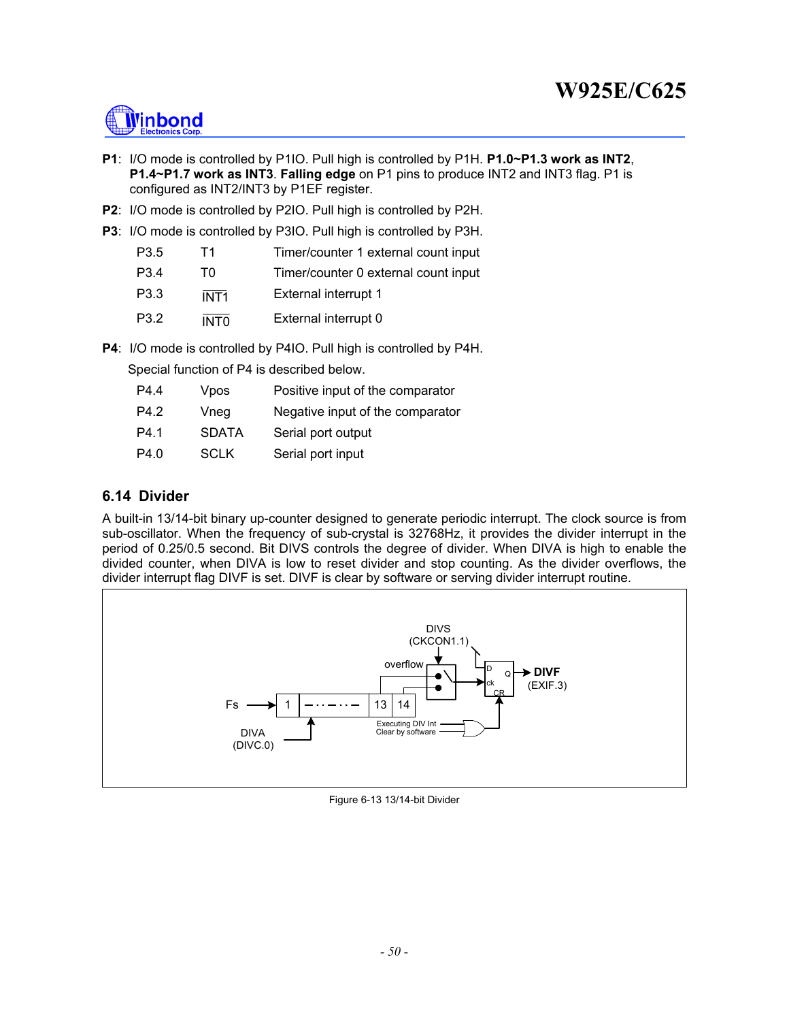

- **P1**: I/O mode is controlled by P1IO. Pull high is controlled by P1H. **P1.0~P1.3 work as INT2**, **P1.4~P1.7 work as INT3**. **Falling edge** on P1 pins to produce INT2 and INT3 flag. P1 is configured as INT2/INT3 by P1EF register.
- **P2**: I/O mode is controlled by P2IO. Pull high is controlled by P2H.
- **P3**: I/O mode is controlled by P3IO. Pull high is controlled by P3H.

| P <sub>3.5</sub> | T1.              | Timer/counter 1 external count input |
|------------------|------------------|--------------------------------------|
| P <sub>3.4</sub> | ΤO               | Timer/counter 0 external count input |
| P <sub>3.3</sub> | INT <sub>1</sub> | External interrupt 1                 |
| P3.2             | <b>INTO</b>      | External interrupt 0                 |

**P4**: I/O mode is controlled by P4IO. Pull high is controlled by P4H.

Special function of P4 is described below.

| P4.4 | Vpos         | Positive input of the comparator |
|------|--------------|----------------------------------|
| P4.2 | Vneg         | Negative input of the comparator |
| P4.1 | <b>SDATA</b> | Serial port output               |
| P4.0 | <b>SCLK</b>  | Serial port input                |

### **6.14 Divider**

A built-in 13/14-bit binary up-counter designed to generate periodic interrupt. The clock source is from sub-oscillator. When the frequency of sub-crystal is 32768Hz, it provides the divider interrupt in the period of 0.25/0.5 second. Bit DIVS controls the degree of divider. When DIVA is high to enable the divided counter, when DIVA is low to reset divider and stop counting. As the divider overflows, the divider interrupt flag DIVF is set. DIVF is clear by software or serving divider interrupt routine.



Figure 6-13 13/14-bit Divider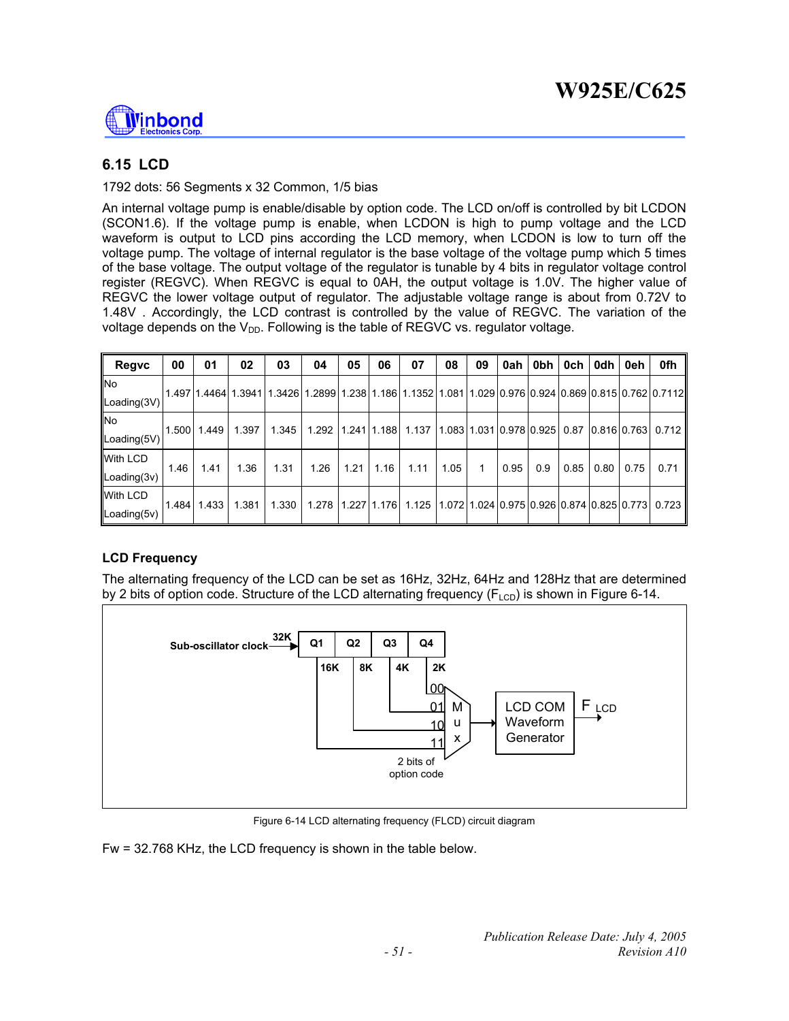

# **6.15 LCD**

### 1792 dots: 56 Segments x 32 Common, 1/5 bias

An internal voltage pump is enable/disable by option code. The LCD on/off is controlled by bit LCDON (SCON1.6). If the voltage pump is enable, when LCDON is high to pump voltage and the LCD waveform is output to LCD pins according the LCD memory, when LCDON is low to turn off the voltage pump. The voltage of internal regulator is the base voltage of the voltage pump which 5 times of the base voltage. The output voltage of the regulator is tunable by 4 bits in regulator voltage control register (REGVC). When REGVC is equal to 0AH, the output voltage is 1.0V. The higher value of REGVC the lower voltage output of regulator. The adjustable voltage range is about from 0.72V to 1.48V . Accordingly, the LCD contrast is controlled by the value of REGVC. The variation of the voltage depends on the  $V_{DD}$ . Following is the table of REGVC vs. regulator voltage.

| Regvc                    | 00    | 01          | 02    | 03                                                                                                                                  | 04    | 05            | 06   | 07                                                 | 08   | 09 | 0ah  | 0bh | 0ch  | 0dh                                       | 0eh  | 0fh       |
|--------------------------|-------|-------------|-------|-------------------------------------------------------------------------------------------------------------------------------------|-------|---------------|------|----------------------------------------------------|------|----|------|-----|------|-------------------------------------------|------|-----------|
| <b>No</b><br>Loading(3V) |       |             |       | 1.497   1.4464   1.3941   1.3426   1.2899   1.238   1.186   1.1352   1.081   1.029   0.976   0.924   0.869   0.815   0.762   0.7112 |       |               |      |                                                    |      |    |      |     |      |                                           |      |           |
| <b>INo</b>               | 1.500 | 1.449       | 1.397 | 1.345                                                                                                                               | 1.292 | 1.241 1.188   |      | 1.137                                              |      |    |      |     |      | 1.08311.03110.97810.92510.8710.81610.7631 |      | $0.712$ I |
| Loading(5V)              |       |             |       |                                                                                                                                     |       |               |      |                                                    |      |    |      |     |      |                                           |      |           |
| With LCD                 | 1.46  | 1.41        | 1.36  | 1.31                                                                                                                                | 1.26  | 1.21          | 1.16 | 1.11                                               | 1.05 |    | 0.95 | 0.9 | 0.85 | 0.80                                      | 0.75 | 0.71      |
| $\textsf{Loading}(3v)$   |       |             |       |                                                                                                                                     |       |               |      |                                                    |      |    |      |     |      |                                           |      |           |
| <b>With LCD</b>          |       | 1.484 1.433 | 1.381 | 1.330                                                                                                                               | 1.278 | $1.227$ 1.176 |      | 1.125 11.072 1.024 0.975 0.926 0.874 0.825 0.773 l |      |    |      |     |      |                                           |      | 0.723     |
| Loading(5v)              |       |             |       |                                                                                                                                     |       |               |      |                                                    |      |    |      |     |      |                                           |      |           |

## **LCD Frequency**

The alternating frequency of the LCD can be set as 16Hz, 32Hz, 64Hz and 128Hz that are determined by 2 bits of option code. Structure of the LCD alternating frequency  $(F_{\text{LCD}})$  is shown in Figure 6-14.



Figure 6-14 LCD alternating frequency (FLCD) circuit diagram

Fw = 32.768 KHz, the LCD frequency is shown in the table below.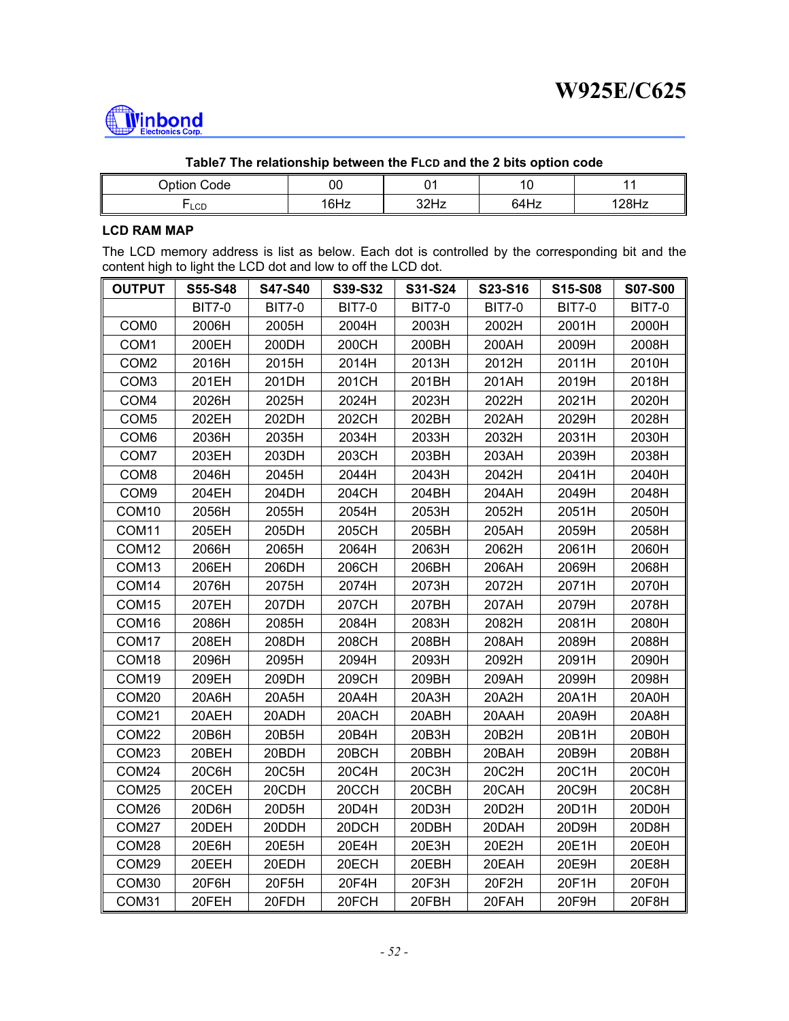

| Table7 The relationship between the FLCD and the 2 bits option code |      |      |      |          |  |  |  |  |
|---------------------------------------------------------------------|------|------|------|----------|--|--|--|--|
| Option Code<br>00                                                   |      |      |      |          |  |  |  |  |
| $\mathsf{LCD}$                                                      | 16Hz | 32Hz | 64Hz | $128$ Hz |  |  |  |  |

#### **Table7 The relationship between the FLCD and the 2 bits option code**

### **LCD RAM MAP**

The LCD memory address is list as below. Each dot is controlled by the corresponding bit and the content high to light the LCD dot and low to off the LCD dot.

| <b>OUTPUT</b>     | <b>S55-S48</b> | <b>S47-S40</b> | S39-S32       | S31-S24       | S23-S16       | S15-S08       | <b>S07-S00</b> |
|-------------------|----------------|----------------|---------------|---------------|---------------|---------------|----------------|
|                   | <b>BIT7-0</b>  | <b>BIT7-0</b>  | <b>BIT7-0</b> | <b>BIT7-0</b> | <b>BIT7-0</b> | <b>BIT7-0</b> | <b>BIT7-0</b>  |
| COM <sub>0</sub>  | 2006H          | 2005H          | 2004H         | 2003H         | 2002H         | 2001H         | 2000H          |
| COM1              | 200EH          | 200DH          | 200CH         | 200BH         | 200AH         | 2009H         | 2008H          |
| COM <sub>2</sub>  | 2016H          | 2015H          | 2014H         | 2013H         | 2012H         | 2011H         | 2010H          |
| COM <sub>3</sub>  | 201EH          | 201DH          | 201CH         | 201BH         | 201AH         | 2019H         | 2018H          |
| COM4              | 2026H          | 2025H          | 2024H         | 2023H         | 2022H         | 2021H         | 2020H          |
| COM <sub>5</sub>  | 202EH          | 202DH          | 202CH         | 202BH         | 202AH         | 2029H         | 2028H          |
| COM <sub>6</sub>  | 2036H          | 2035H          | 2034H         | 2033H         | 2032H         | 2031H         | 2030H          |
| COM7              | 203EH          | 203DH          | 203CH         | 203BH         | 203AH         | 2039H         | 2038H          |
| COM <sub>8</sub>  | 2046H          | 2045H          | 2044H         | 2043H         | 2042H         | 2041H         | 2040H          |
| COM9              | 204EH          | 204DH          | 204CH         | 204BH         | 204AH         | 2049H         | 2048H          |
| COM <sub>10</sub> | 2056H          | 2055H          | 2054H         | 2053H         | 2052H         | 2051H         | 2050H          |
| COM11             | 205EH          | 205DH          | 205CH         | 205BH         | 205AH         | 2059H         | 2058H          |
| COM <sub>12</sub> | 2066H          | 2065H          | 2064H         | 2063H         | 2062H         | 2061H         | 2060H          |
| COM <sub>13</sub> | 206EH          | 206DH          | 206CH         | 206BH         | 206AH         | 2069H         | 2068H          |
| COM14             | 2076H          | 2075H          | 2074H         | 2073H         | 2072H         | 2071H         | 2070H          |
| COM <sub>15</sub> | 207EH          | 207DH          | 207CH         | 207BH         | 207AH         | 2079H         | 2078H          |
| COM16             | 2086H          | 2085H          | 2084H         | 2083H         | 2082H         | 2081H         | 2080H          |
| COM <sub>17</sub> | 208EH          | 208DH          | 208CH         | 208BH         | 208AH         | 2089H         | 2088H          |
| COM18             | 2096H          | 2095H          | 2094H         | 2093H         | 2092H         | 2091H         | 2090H          |
| COM19             | 209EH          | 209DH          | 209CH         | 209BH         | 209AH         | 2099H         | 2098H          |
| COM20             | 20A6H          | 20A5H          | 20A4H         | 20A3H         | 20A2H         | 20A1H         | 20A0H          |
| COM21             | 20AEH          | 20ADH          | 20ACH         | 20ABH         | 20AAH         | 20A9H         | 20A8H          |
| COM22             | 20B6H          | 20B5H          | 20B4H         | 20B3H         | 20B2H         | 20B1H         | 20B0H          |
| COM23             | 20BEH          | 20BDH          | 20BCH         | 20BBH         | 20BAH         | 20B9H         | 20B8H          |
| COM24             | 20C6H          | 20C5H          | 20C4H         | 20C3H         | 20C2H         | 20C1H         | 20C0H          |
| COM <sub>25</sub> | 20CEH          | 20CDH          | 20CCH         | 20CBH         | 20CAH         | 20C9H         | 20C8H          |
| COM26             | 20D6H          | 20D5H          | 20D4H         | 20D3H         | 20D2H         | 20D1H         | 20D0H          |
| COM27             | 20DEH          | 20DDH          | 20DCH         | 20DBH         | 20DAH         | 20D9H         | 20D8H          |
| COM28             | 20E6H          | 20E5H          | 20E4H         | 20E3H         | 20E2H         | 20E1H         | 20E0H          |
| COM29             | 20EEH          | 20EDH          | 20ECH         | 20EBH         | 20EAH         | 20E9H         | 20E8H          |
| COM30             | 20F6H          | 20F5H          | 20F4H         | 20F3H         | 20F2H         | 20F1H         | 20F0H          |
| COM31             | 20FEH          | 20FDH          | 20FCH         | 20FBH         | 20FAH         | 20F9H         | 20F8H          |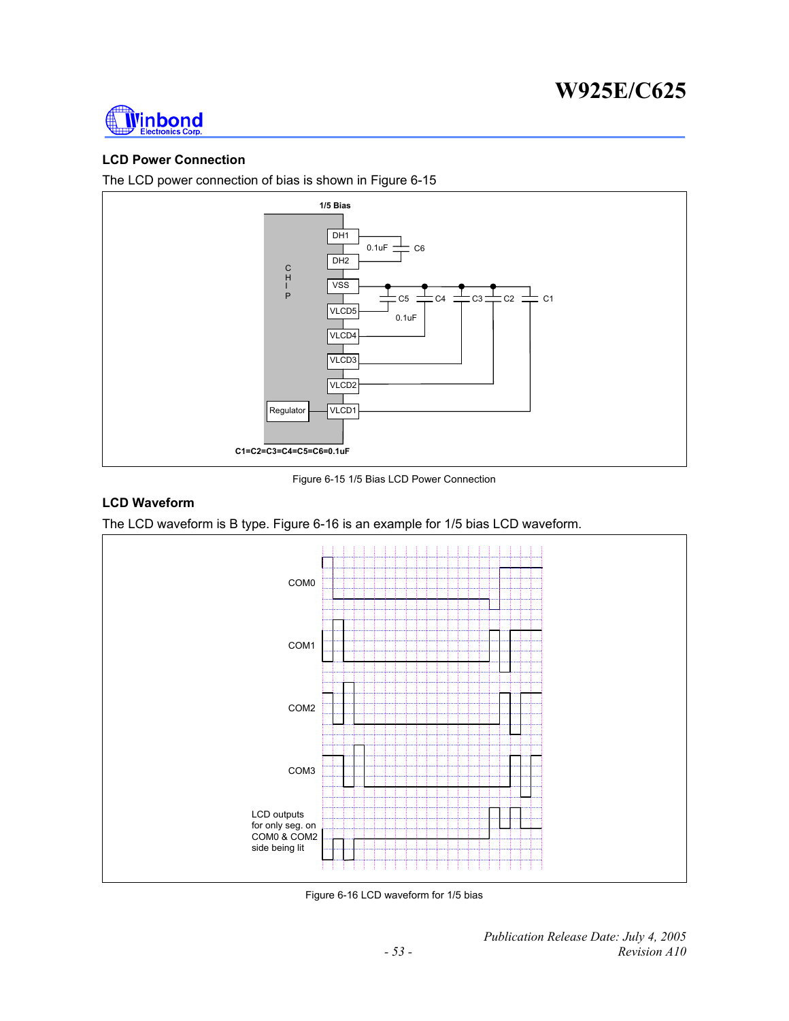

### **LCD Power Connection**

The LCD power connection of bias is shown in Figure 6-15



Figure 6-15 1/5 Bias LCD Power Connection

#### **LCD Waveform**

The LCD waveform is B type. Figure 6-16 is an example for 1/5 bias LCD waveform.



Figure 6-16 LCD waveform for 1/5 bias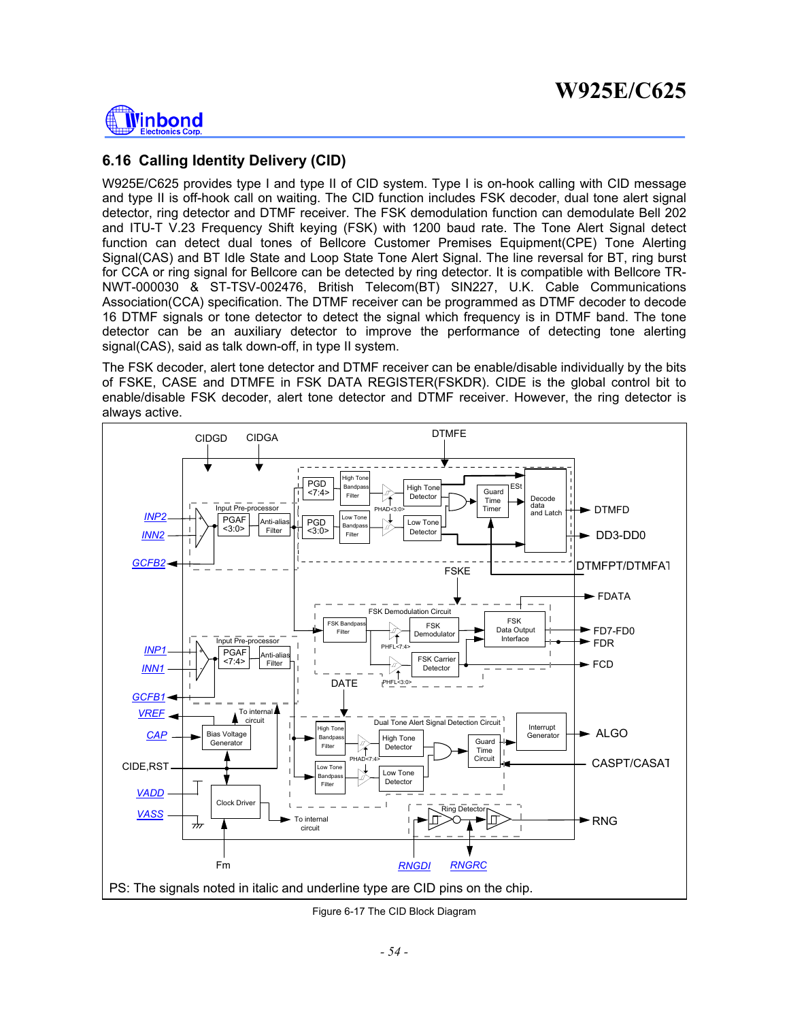

## **6.16 Calling Identity Delivery (CID)**

W925E/C625 provides type I and type II of CID system. Type I is on-hook calling with CID message and type II is off-hook call on waiting. The CID function includes FSK decoder, dual tone alert signal detector, ring detector and DTMF receiver. The FSK demodulation function can demodulate Bell 202 and ITU-T V.23 Frequency Shift keying (FSK) with 1200 baud rate. The Tone Alert Signal detect function can detect dual tones of Bellcore Customer Premises Equipment(CPE) Tone Alerting Signal(CAS) and BT Idle State and Loop State Tone Alert Signal. The line reversal for BT, ring burst for CCA or ring signal for Bellcore can be detected by ring detector. It is compatible with Bellcore TR-NWT-000030 & ST-TSV-002476, British Telecom(BT) SIN227, U.K. Cable Communications Association(CCA) specification. The DTMF receiver can be programmed as DTMF decoder to decode 16 DTMF signals or tone detector to detect the signal which frequency is in DTMF band. The tone detector can be an auxiliary detector to improve the performance of detecting tone alerting signal(CAS), said as talk down-off, in type II system.

The FSK decoder, alert tone detector and DTMF receiver can be enable/disable individually by the bits of FSKE, CASE and DTMFE in FSK DATA REGISTER(FSKDR). CIDE is the global control bit to enable/disable FSK decoder, alert tone detector and DTMF receiver. However, the ring detector is always active.



Figure 6-17 The CID Block Diagram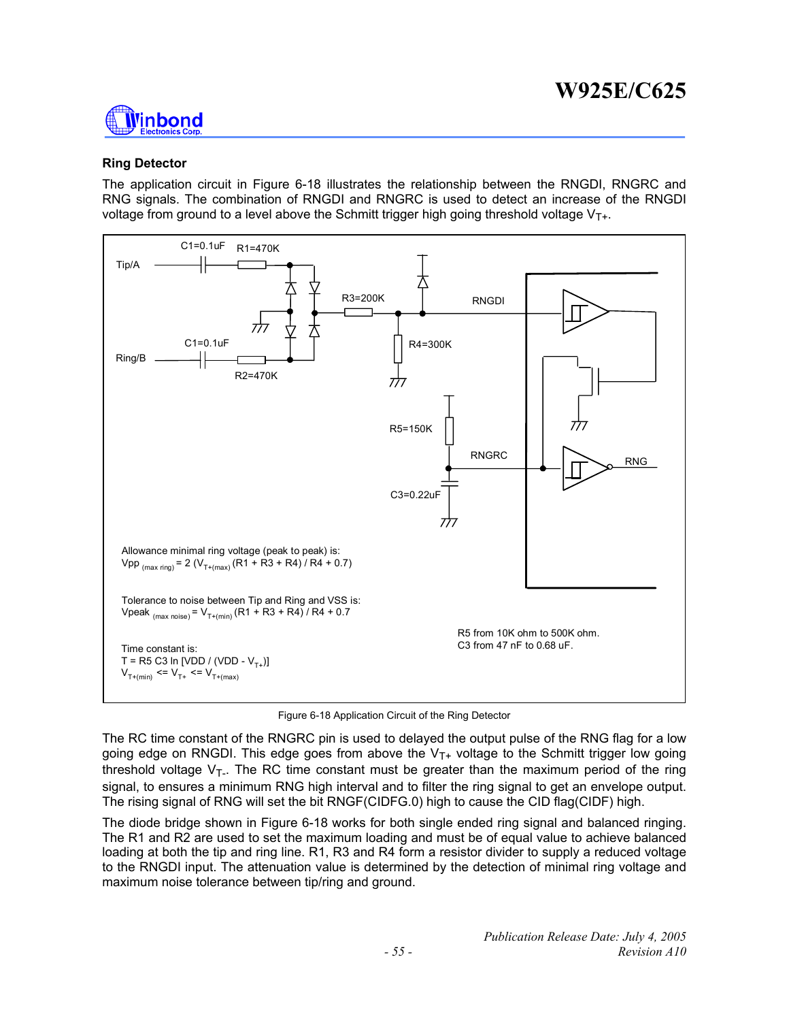

### **Ring Detector**

The application circuit in Figure 6-18 illustrates the relationship between the RNGDI, RNGRC and RNG signals. The combination of RNGDI and RNGRC is used to detect an increase of the RNGDI voltage from ground to a level above the Schmitt trigger high going threshold voltage  $V_{T+}$ .



Figure 6-18 Application Circuit of the Ring Detector

The RC time constant of the RNGRC pin is used to delayed the output pulse of the RNG flag for a low going edge on RNGDI. This edge goes from above the  $V_{T+}$  voltage to the Schmitt trigger low going threshold voltage  $V_T$ . The RC time constant must be greater than the maximum period of the ring signal, to ensures a minimum RNG high interval and to filter the ring signal to get an envelope output. The rising signal of RNG will set the bit RNGF(CIDFG.0) high to cause the CID flag(CIDF) high.

The diode bridge shown in Figure 6-18 works for both single ended ring signal and balanced ringing. The R1 and R2 are used to set the maximum loading and must be of equal value to achieve balanced loading at both the tip and ring line. R1, R3 and R4 form a resistor divider to supply a reduced voltage to the RNGDI input. The attenuation value is determined by the detection of minimal ring voltage and maximum noise tolerance between tip/ring and ground.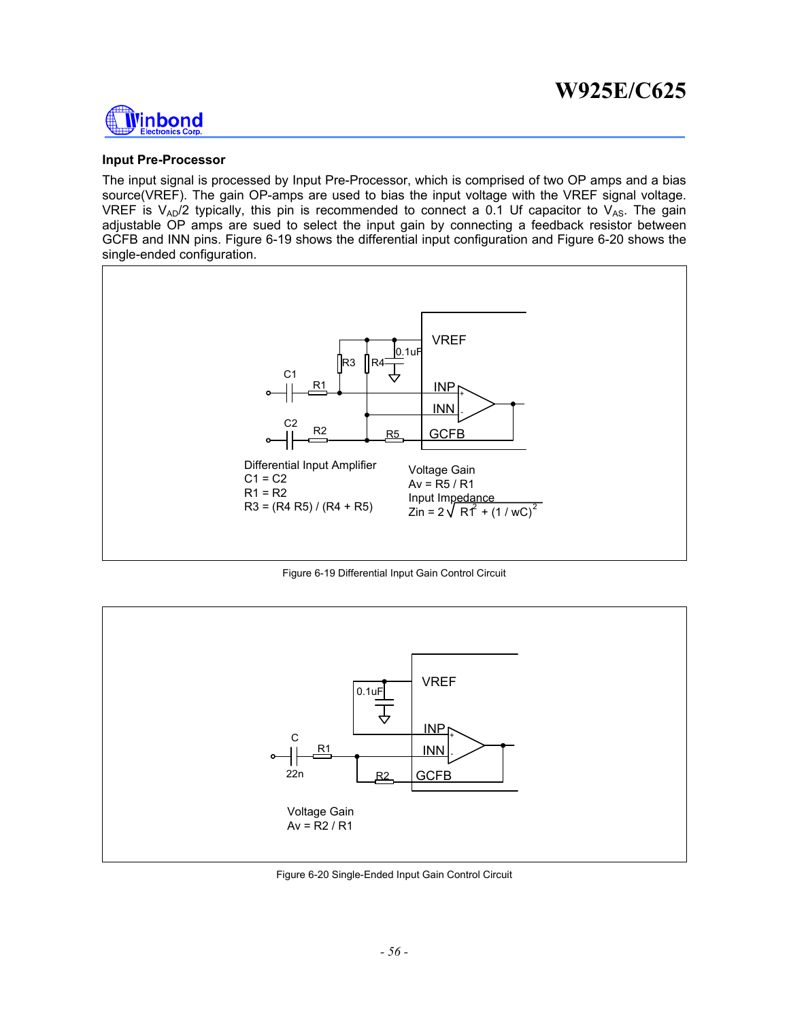

#### **Input Pre-Processor**

The input signal is processed by Input Pre-Processor, which is comprised of two OP amps and a bias source(VREF). The gain OP-amps are used to bias the input voltage with the VREF signal voltage. VREF is  $V_{AD}/2$  typically, this pin is recommended to connect a 0.1 Uf capacitor to  $V_{AS}$ . The gain adjustable OP amps are sued to select the input gain by connecting a feedback resistor between GCFB and INN pins. Figure 6-19 shows the differential input configuration and Figure 6-20 shows the single-ended configuration.



Figure 6-19 Differential Input Gain Control Circuit



Figure 6-20 Single-Ended Input Gain Control Circuit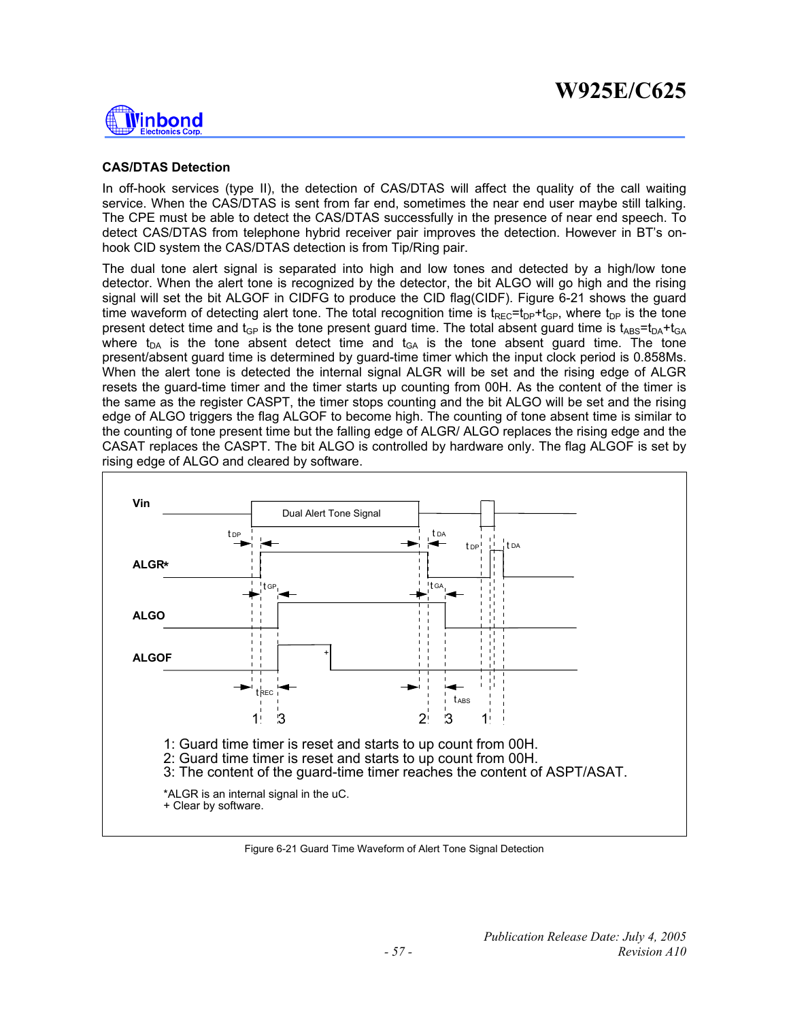

### **CAS/DTAS Detection**

In off-hook services (type II), the detection of CAS/DTAS will affect the quality of the call waiting service. When the CAS/DTAS is sent from far end, sometimes the near end user maybe still talking. The CPE must be able to detect the CAS/DTAS successfully in the presence of near end speech. To detect CAS/DTAS from telephone hybrid receiver pair improves the detection. However in BT's onhook CID system the CAS/DTAS detection is from Tip/Ring pair.

The dual tone alert signal is separated into high and low tones and detected by a high/low tone detector. When the alert tone is recognized by the detector, the bit ALGO will go high and the rising signal will set the bit ALGOF in CIDFG to produce the CID flag(CIDF). Figure 6-21 shows the guard time waveform of detecting alert tone. The total recognition time is  $t_{\text{REC}} = t_{\text{DP}} + t_{\text{GP}}$ , where  $t_{\text{DP}}$  is the tone present detect time and  $t_{GP}$  is the tone present guard time. The total absent guard time is  $t_{ABS}=t_{DA}+t_{GA}$ where  $t_{DA}$  is the tone absent detect time and  $t_{GA}$  is the tone absent guard time. The tone present/absent guard time is determined by guard-time timer which the input clock period is 0.858Ms. When the alert tone is detected the internal signal ALGR will be set and the rising edge of ALGR resets the guard-time timer and the timer starts up counting from 00H. As the content of the timer is the same as the register CASPT, the timer stops counting and the bit ALGO will be set and the rising edge of ALGO triggers the flag ALGOF to become high. The counting of tone absent time is similar to the counting of tone present time but the falling edge of ALGR/ ALGO replaces the rising edge and the CASAT replaces the CASPT. The bit ALGO is controlled by hardware only. The flag ALGOF is set by rising edge of ALGO and cleared by software.



Figure 6-21 Guard Time Waveform of Alert Tone Signal Detection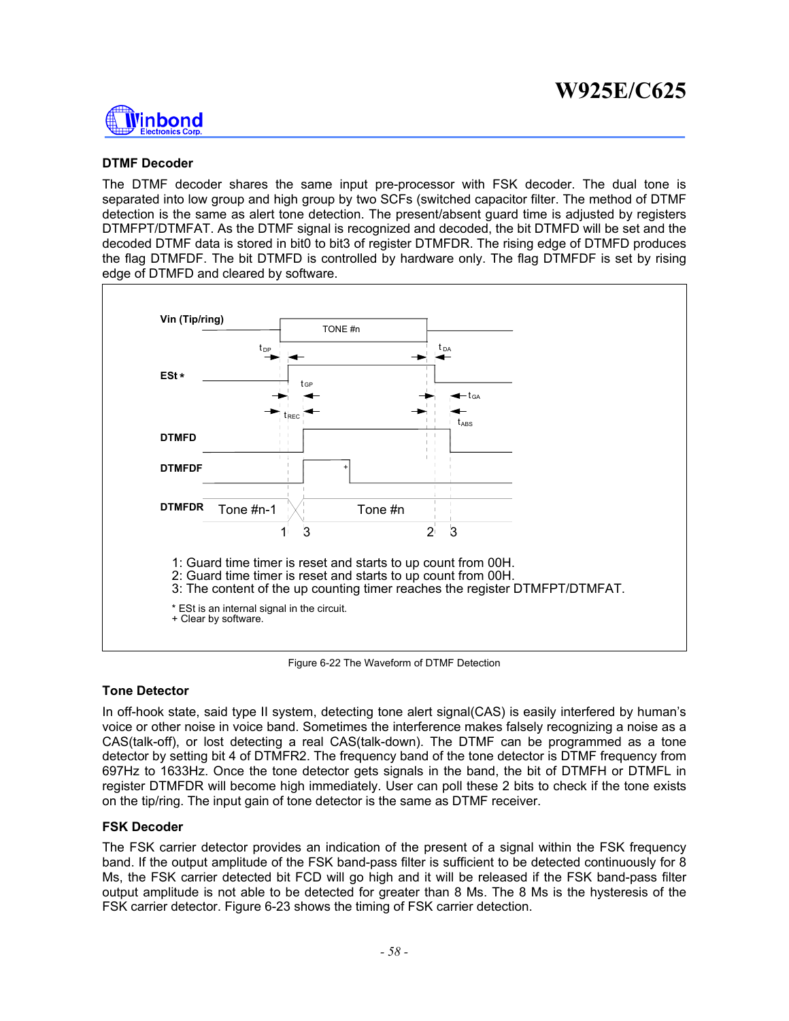

### **DTMF Decoder**

The DTMF decoder shares the same input pre-processor with FSK decoder. The dual tone is separated into low group and high group by two SCFs (switched capacitor filter. The method of DTMF detection is the same as alert tone detection. The present/absent guard time is adjusted by registers DTMFPT/DTMFAT. As the DTMF signal is recognized and decoded, the bit DTMFD will be set and the decoded DTMF data is stored in bit0 to bit3 of register DTMFDR. The rising edge of DTMFD produces the flag DTMFDF. The bit DTMFD is controlled by hardware only. The flag DTMFDF is set by rising edge of DTMFD and cleared by software.



Figure 6-22 The Waveform of DTMF Detection

#### **Tone Detector**

In off-hook state, said type II system, detecting tone alert signal(CAS) is easily interfered by human's voice or other noise in voice band. Sometimes the interference makes falsely recognizing a noise as a CAS(talk-off), or lost detecting a real CAS(talk-down). The DTMF can be programmed as a tone detector by setting bit 4 of DTMFR2. The frequency band of the tone detector is DTMF frequency from 697Hz to 1633Hz. Once the tone detector gets signals in the band, the bit of DTMFH or DTMFL in register DTMFDR will become high immediately. User can poll these 2 bits to check if the tone exists on the tip/ring. The input gain of tone detector is the same as DTMF receiver.

#### **FSK Decoder**

The FSK carrier detector provides an indication of the present of a signal within the FSK frequency band. If the output amplitude of the FSK band-pass filter is sufficient to be detected continuously for 8 Ms, the FSK carrier detected bit FCD will go high and it will be released if the FSK band-pass filter output amplitude is not able to be detected for greater than 8 Ms. The 8 Ms is the hysteresis of the FSK carrier detector. Figure 6-23 shows the timing of FSK carrier detection.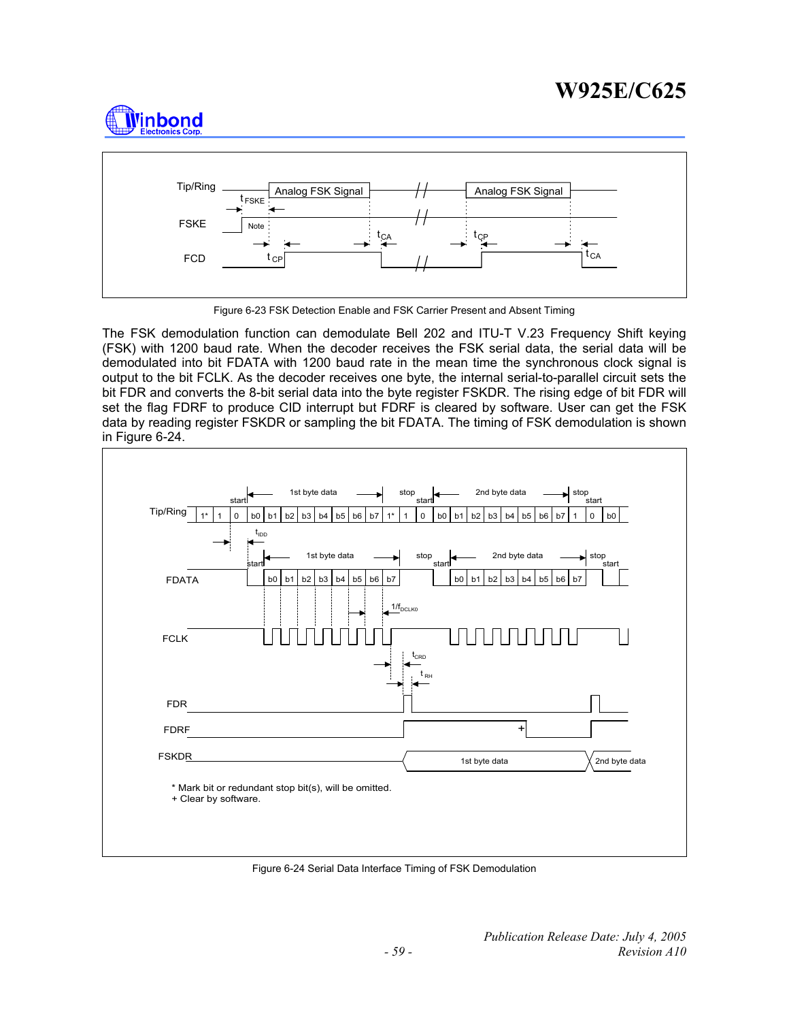



Figure 6-23 FSK Detection Enable and FSK Carrier Present and Absent Timing

The FSK demodulation function can demodulate Bell 202 and ITU-T V.23 Frequency Shift keying (FSK) with 1200 baud rate. When the decoder receives the FSK serial data, the serial data will be demodulated into bit FDATA with 1200 baud rate in the mean time the synchronous clock signal is output to the bit FCLK. As the decoder receives one byte, the internal serial-to-parallel circuit sets the bit FDR and converts the 8-bit serial data into the byte register FSKDR. The rising edge of bit FDR will set the flag FDRF to produce CID interrupt but FDRF is cleared by software. User can get the FSK data by reading register FSKDR or sampling the bit FDATA. The timing of FSK demodulation is shown in Figure 6-24.



Figure 6-24 Serial Data Interface Timing of FSK Demodulation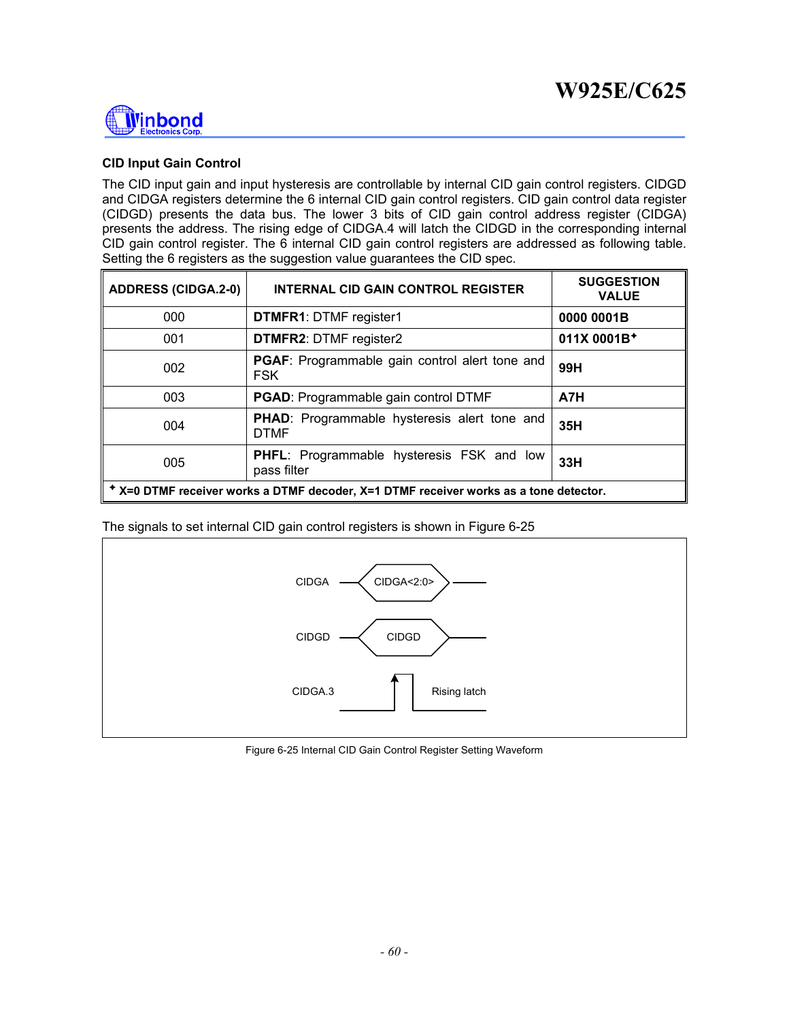

### **CID Input Gain Control**

The CID input gain and input hysteresis are controllable by internal CID gain control registers. CIDGD and CIDGA registers determine the 6 internal CID gain control registers. CID gain control data register (CIDGD) presents the data bus. The lower 3 bits of CID gain control address register (CIDGA) presents the address. The rising edge of CIDGA.4 will latch the CIDGD in the corresponding internal CID gain control register. The 6 internal CID gain control registers are addressed as following table. Setting the 6 registers as the suggestion value guarantees the CID spec.

| <b>ADDRESS (CIDGA.2-0)</b> | <b>INTERNAL CID GAIN CONTROL REGISTER</b>                                             | <b>SUGGESTION</b><br><b>VALUE</b> |
|----------------------------|---------------------------------------------------------------------------------------|-----------------------------------|
| 000                        | <b>DTMFR1: DTMF register1</b>                                                         | 0000 0001B                        |
| 001                        | <b>DTMFR2: DTMF register2</b>                                                         | 011X 0001B <sup>+</sup>           |
| 002                        | PGAF: Programmable gain control alert tone and<br><b>FSK</b>                          | 99H                               |
| 003                        | <b>PGAD:</b> Programmable gain control DTMF                                           | A7H                               |
| 004                        | <b>PHAD:</b> Programmable hysteresis alert tone and<br><b>DTMF</b>                    | 35H                               |
| 005                        | PHFL: Programmable hysteresis FSK and low<br>pass filter                              | 33H                               |
|                            | * X=0 DTMF receiver works a DTMF decoder, X=1 DTMF receiver works as a tone detector. |                                   |

The signals to set internal CID gain control registers is shown in Figure 6-25



Figure 6-25 Internal CID Gain Control Register Setting Waveform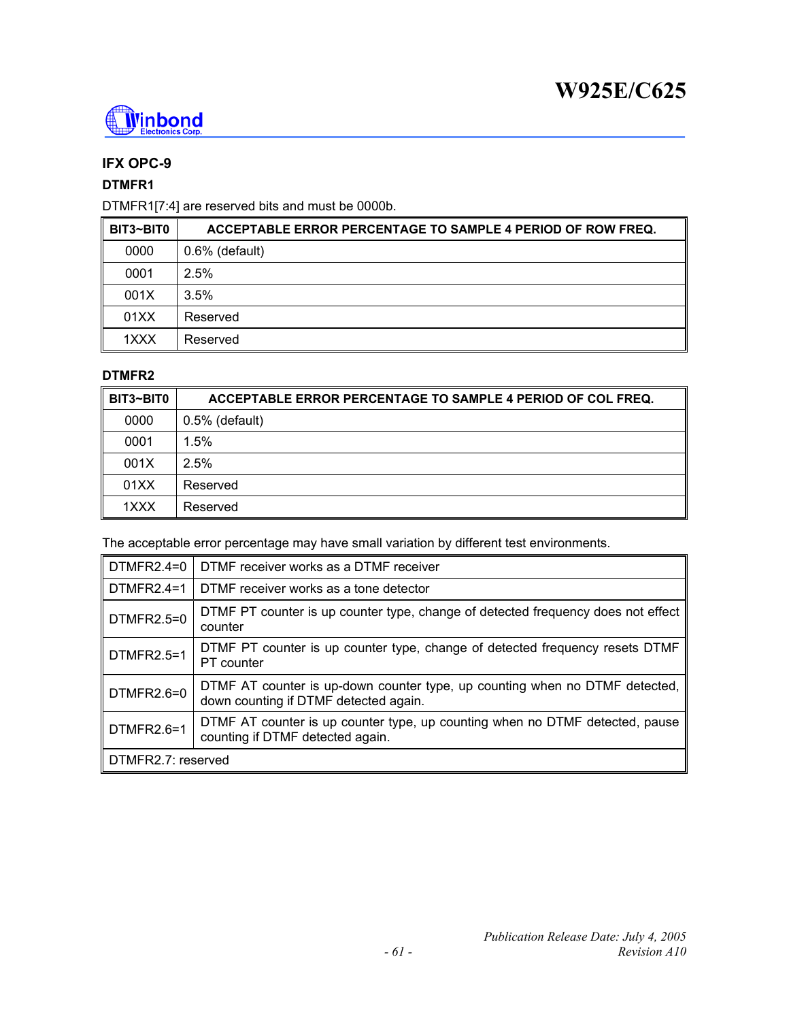

# **IFX OPC-9**

## **DTMFR1**

DTMFR1[7:4] are reserved bits and must be 0000b.

| BIT3~BIT0 | ACCEPTABLE ERROR PERCENTAGE TO SAMPLE 4 PERIOD OF ROW FREQ. |
|-----------|-------------------------------------------------------------|
| 0000      | $0.6\%$ (default)                                           |
| 0001      | 2.5%                                                        |
| 001X      | 3.5%                                                        |
| 01XX      | Reserved                                                    |
| 1XXX      | Reserved                                                    |

### **DTMFR2**

| BIT3~BIT0 | ACCEPTABLE ERROR PERCENTAGE TO SAMPLE 4 PERIOD OF COL FREQ. |
|-----------|-------------------------------------------------------------|
| 0000      | $0.5\%$ (default)                                           |
| 0001      | 1.5%                                                        |
| 001X      | 2.5%                                                        |
| 01XX      | Reserved                                                    |
| 1XXX      | Reserved                                                    |

The acceptable error percentage may have small variation by different test environments.

| DTMFR2.4=0         | DTMF receiver works as a DTMF receiver                                                                               |  |  |  |
|--------------------|----------------------------------------------------------------------------------------------------------------------|--|--|--|
| $DTMFR2.4=1$       | DTMF receiver works as a tone detector                                                                               |  |  |  |
| DTMFR2.5=0         | DTMF PT counter is up counter type, change of detected frequency does not effect<br>counter                          |  |  |  |
| DTMFR2.5=1         | DTMF PT counter is up counter type, change of detected frequency resets DTMF<br>PT counter                           |  |  |  |
| DTMFR2.6=0         | DTMF AT counter is up-down counter type, up counting when no DTMF detected,<br>down counting if DTMF detected again. |  |  |  |
| DTMFR2.6=1         | DTMF AT counter is up counter type, up counting when no DTMF detected, pause<br>counting if DTMF detected again.     |  |  |  |
| DTMFR2.7: reserved |                                                                                                                      |  |  |  |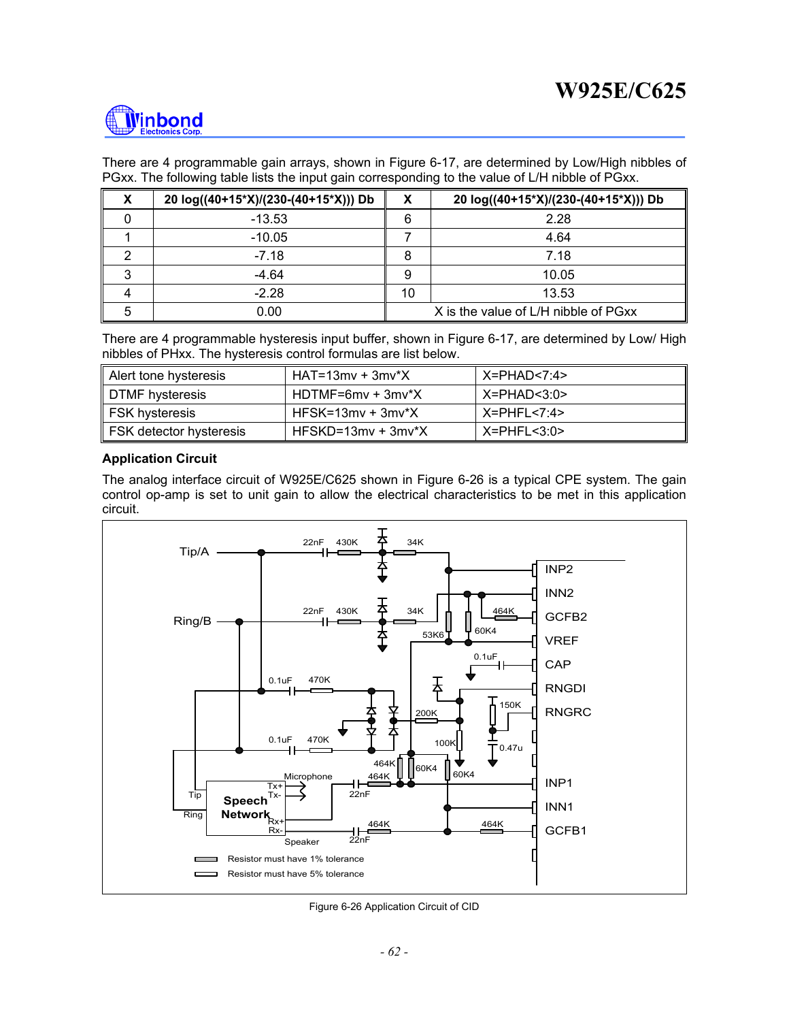

There are 4 programmable gain arrays, shown in Figure 6-17, are determined by Low/High nibbles of PGxx. The following table lists the input gain corresponding to the value of L/H nibble of PGxx.

| X | 20 log((40+15*X)/(230-(40+15*X))) Db | х                                    | 20 log((40+15*X)/(230-(40+15*X))) Db |  |  |
|---|--------------------------------------|--------------------------------------|--------------------------------------|--|--|
|   | $-13.53$                             | 6                                    | 2.28                                 |  |  |
|   | $-10.05$                             |                                      | 4.64                                 |  |  |
|   | $-7.18$                              |                                      | 7.18                                 |  |  |
| 3 | -4.64                                | 9                                    | 10.05                                |  |  |
|   | $-2.28$                              | 10                                   | 13.53                                |  |  |
|   | 0.00                                 | X is the value of L/H nibble of PGxx |                                      |  |  |

There are 4 programmable hysteresis input buffer, shown in Figure 6-17, are determined by Low/ High nibbles of PHxx. The hysteresis control formulas are list below.

| Alert tone hysteresis   | $HAT = 13mv + 3mv^*X$  | X=PHAD<7:4>      |
|-------------------------|------------------------|------------------|
| DTMF hysteresis         | HDTMF=6mv + 3mv*X      | $X = PHAD < 3:0$ |
| ∥ FSK hysteresis        | $HFSK = 13mv + 3mv^*X$ | X=PHFL<7:4>      |
| FSK detector hysteresis | $HFSKD=13mv + 3mv^*X$  | $X = PHFL < 3:0$ |

#### **Application Circuit**

The analog interface circuit of W925E/C625 shown in Figure 6-26 is a typical CPE system. The gain control op-amp is set to unit gain to allow the electrical characteristics to be met in this application circuit.



Figure 6-26 Application Circuit of CID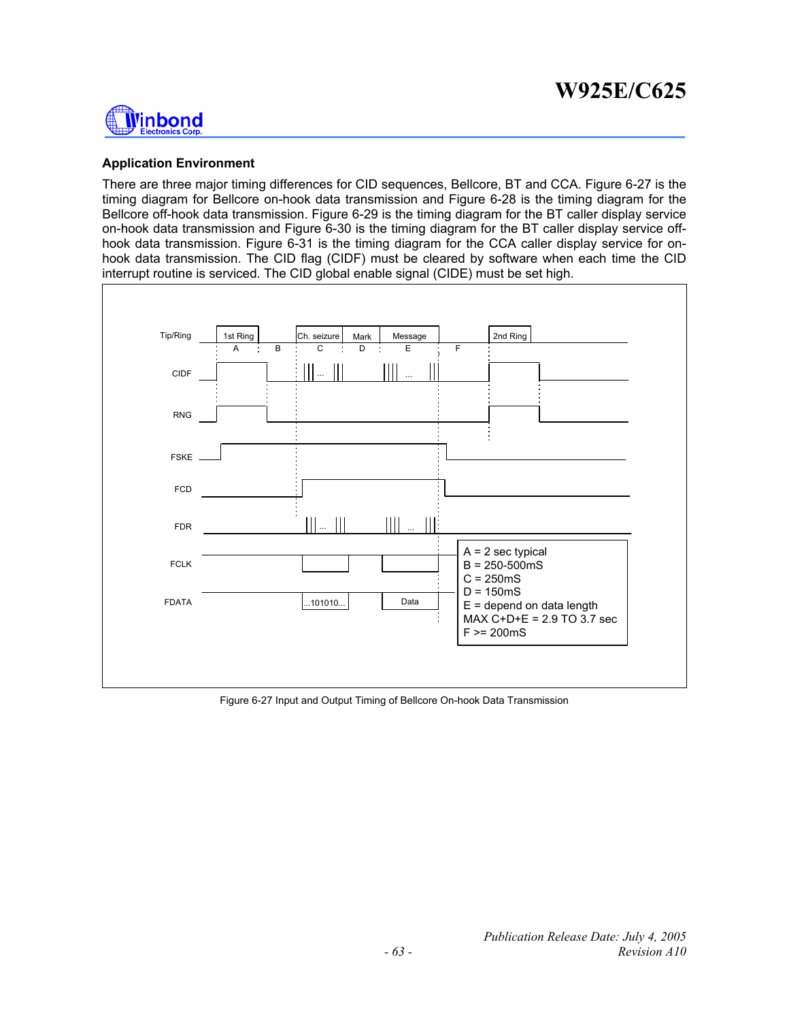

### **Application Environment**

There are three major timing differences for CID sequences, Bellcore, BT and CCA. Figure 6-27 is the timing diagram for Bellcore on-hook data transmission and Figure 6-28 is the timing diagram for the Bellcore off-hook data transmission. Figure 6-29 is the timing diagram for the BT caller display service on-hook data transmission and Figure 6-30 is the timing diagram for the BT caller display service offhook data transmission. Figure 6-31 is the timing diagram for the CCA caller display service for onhook data transmission. The CID flag (CIDF) must be cleared by software when each time the CID interrupt routine is serviced. The CID global enable signal (CIDE) must be set high.



Figure 6-27 Input and Output Timing of Bellcore On-hook Data Transmission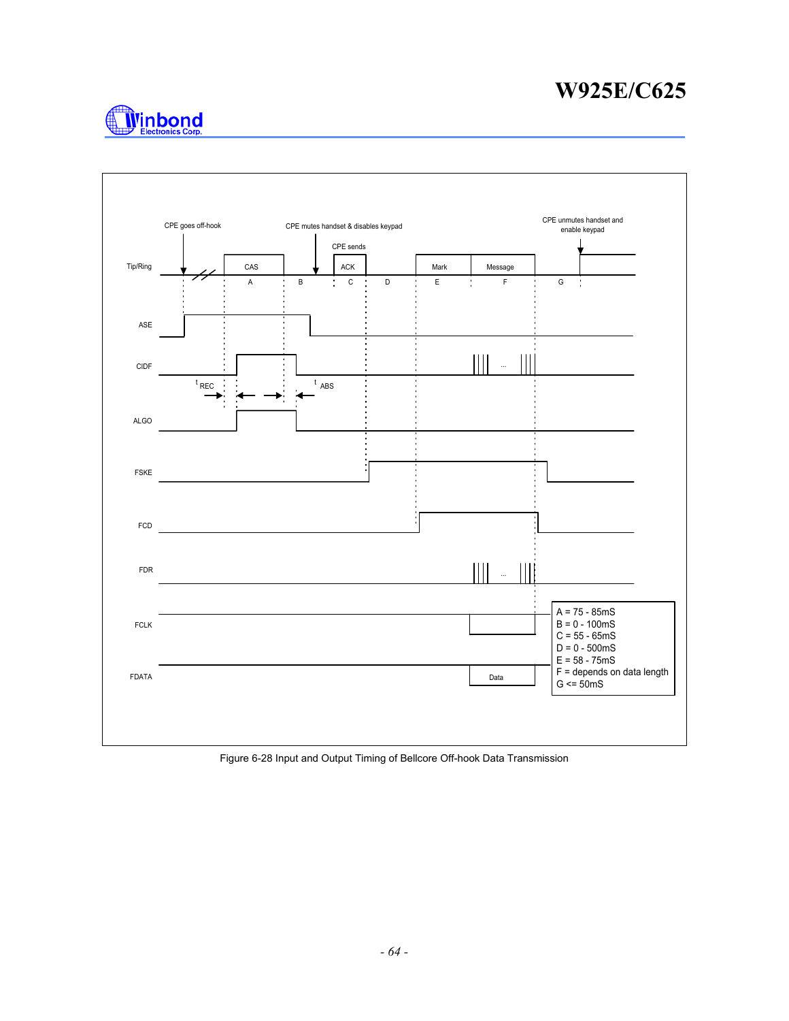



Figure 6-28 Input and Output Timing of Bellcore Off-hook Data Transmission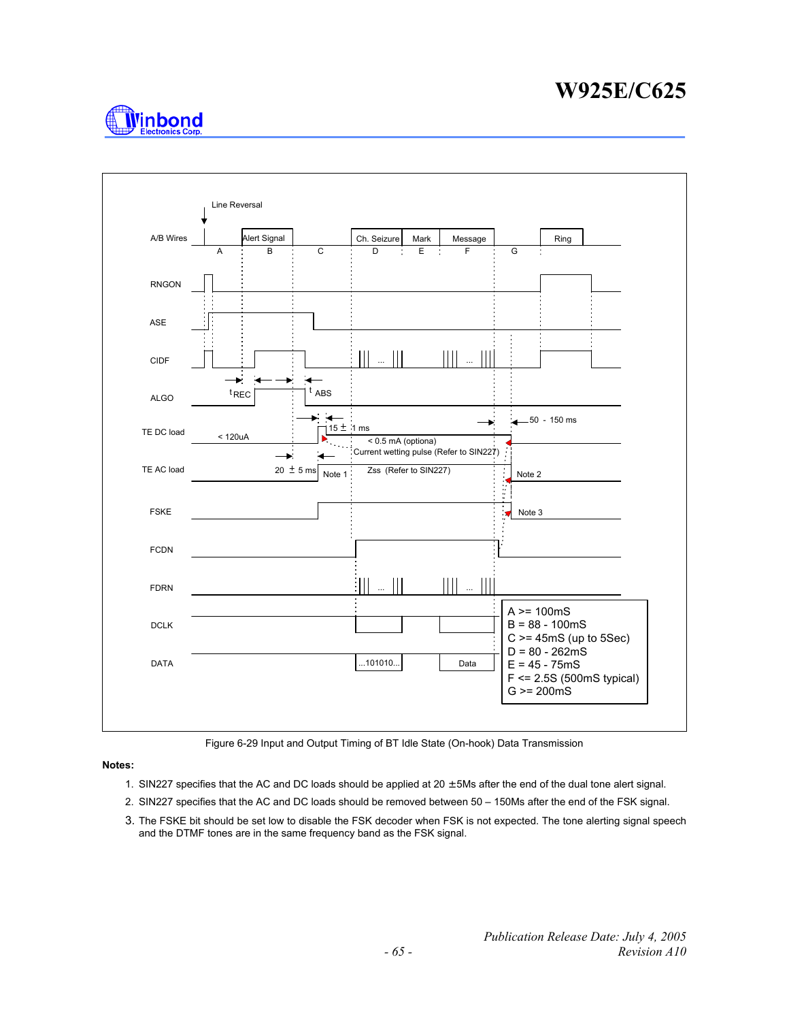



Figure 6-29 Input and Output Timing of BT Idle State (On-hook) Data Transmission

#### **Notes:**

- 1. SIN227 specifies that the AC and DC loads should be applied at  $20 \pm 5$ Ms after the end of the dual tone alert signal.
- 2. SIN227 specifies that the AC and DC loads should be removed between 50 150Ms after the end of the FSK signal.
- 3. The FSKE bit should be set low to disable the FSK decoder when FSK is not expected. The tone alerting signal speech and the DTMF tones are in the same frequency band as the FSK signal.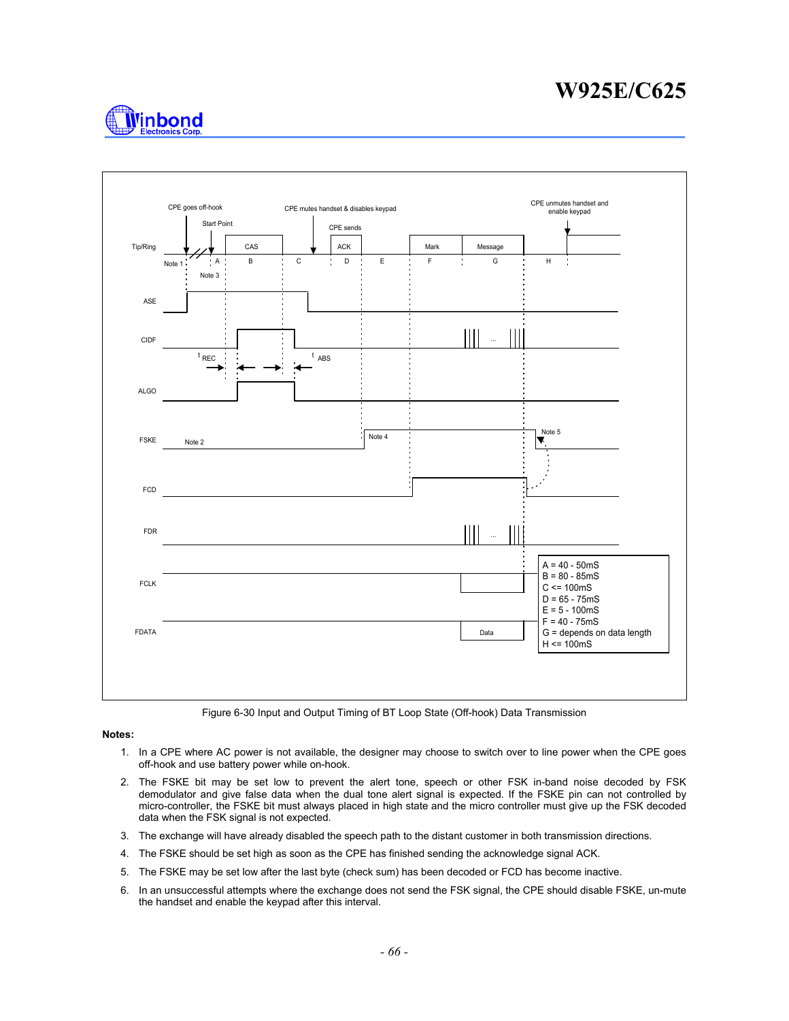



Figure 6-30 Input and Output Timing of BT Loop State (Off-hook) Data Transmission

#### **Notes:**

- 1. In a CPE where AC power is not available, the designer may choose to switch over to line power when the CPE goes off-hook and use battery power while on-hook.
- 2. The FSKE bit may be set low to prevent the alert tone, speech or other FSK in-band noise decoded by FSK demodulator and give false data when the dual tone alert signal is expected. If the FSKE pin can not controlled by micro-controller, the FSKE bit must always placed in high state and the micro controller must give up the FSK decoded data when the FSK signal is not expected.
- 3. The exchange will have already disabled the speech path to the distant customer in both transmission directions.
- 4. The FSKE should be set high as soon as the CPE has finished sending the acknowledge signal ACK.
- 5. The FSKE may be set low after the last byte (check sum) has been decoded or FCD has become inactive.
- 6. In an unsuccessful attempts where the exchange does not send the FSK signal, the CPE should disable FSKE, un-mute the handset and enable the keypad after this interval.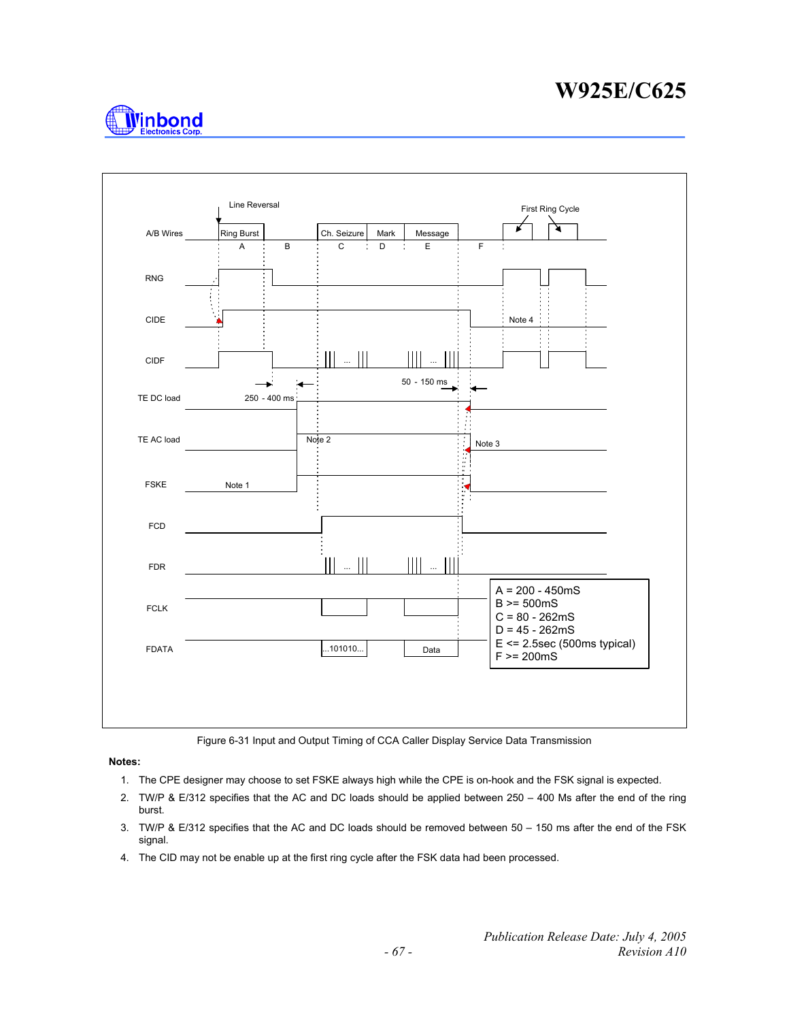



Figure 6-31 Input and Output Timing of CCA Caller Display Service Data Transmission

#### **Notes:**

- 1. The CPE designer may choose to set FSKE always high while the CPE is on-hook and the FSK signal is expected.
- 2. TW/P & E/312 specifies that the AC and DC loads should be applied between 250 400 Ms after the end of the ring burst.
- 3. TW/P & E/312 specifies that the AC and DC loads should be removed between 50 150 ms after the end of the FSK signal.
- 4. The CID may not be enable up at the first ring cycle after the FSK data had been processed.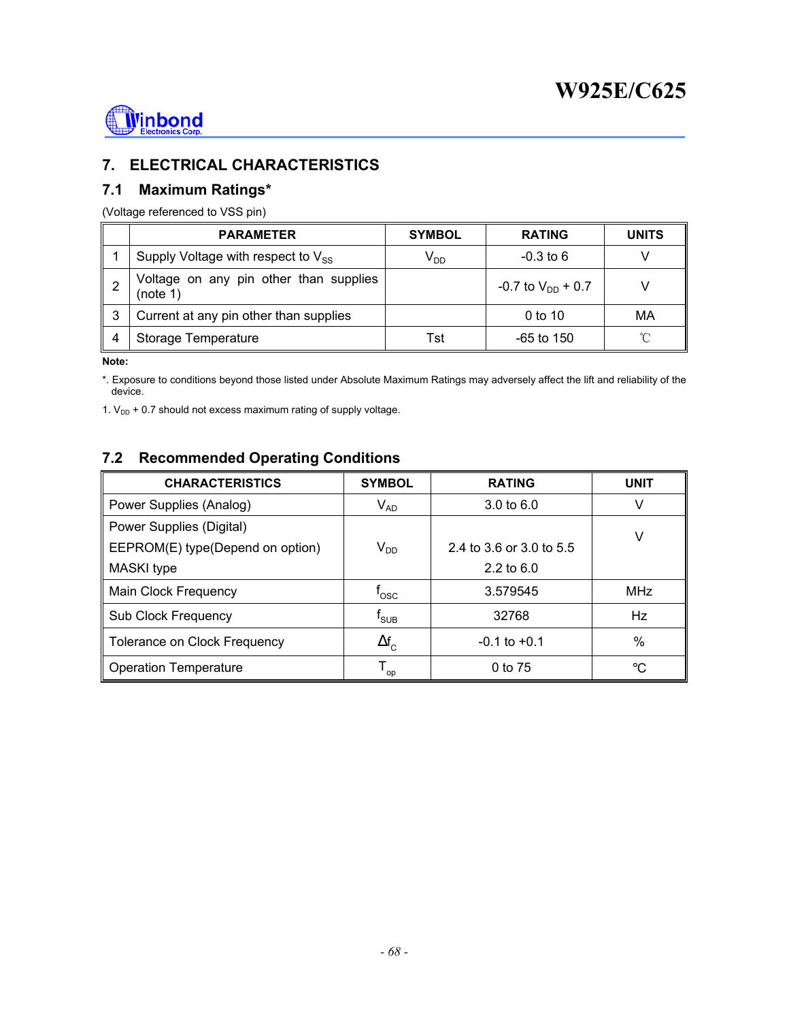

# **7. ELECTRICAL CHARACTERISTICS**

## **7.1 Maximum Ratings\***

(Voltage referenced to VSS pin)

|   | <b>PARAMETER</b>                                   | <b>SYMBOL</b> | <b>RATING</b>            | <b>UNITS</b> |
|---|----------------------------------------------------|---------------|--------------------------|--------------|
|   | Supply Voltage with respect to $V_{ss}$            | $V_{DD}$      | $-0.3$ to 6              |              |
|   | Voltage on any pin other than supplies<br>(note 1) |               | $-0.7$ to $V_{DD}$ + 0.7 |              |
| 3 | Current at any pin other than supplies             |               | 0 to 10                  | МA           |
|   | Storage Temperature                                | Tst           | $-65$ to 150             | ิ∩°          |

**Note:** 

\*. Exposure to conditions beyond those listed under Absolute Maximum Ratings may adversely affect the lift and reliability of the device.

1.  $V_{DD}$  + 0.7 should not excess maximum rating of supply voltage.

# **7.2 Recommended Operating Conditions**

| <b>CHARACTERISTICS</b>              | <b>SYMBOL</b>               | <b>RATING</b>            | <b>UNIT</b> |
|-------------------------------------|-----------------------------|--------------------------|-------------|
| Power Supplies (Analog)             | $V_{AD}$                    | $3.0 \text{ to } 6.0$    | v           |
| Power Supplies (Digital)            |                             |                          | V           |
| EEPROM(E) type(Depend on option)    | $V_{DD}$                    | 2.4 to 3.6 or 3.0 to 5.5 |             |
| MASKI type                          |                             | 2.2 to $6.0$             |             |
| Main Clock Frequency                | $\mathsf{t}_{\mathsf{osc}}$ | 3.579545                 | <b>MHz</b>  |
| <b>Sub Clock Frequency</b>          | t <sub>suв</sub>            | 32768                    | Hz          |
| <b>Tolerance on Clock Frequency</b> | $\Delta f_{\rm c}$          | $-0.1$ to $+0.1$         | $\%$        |
| <b>Operation Temperature</b>        | ${\mathsf T}_{\mathsf{op}}$ | 0 to 75                  | °C          |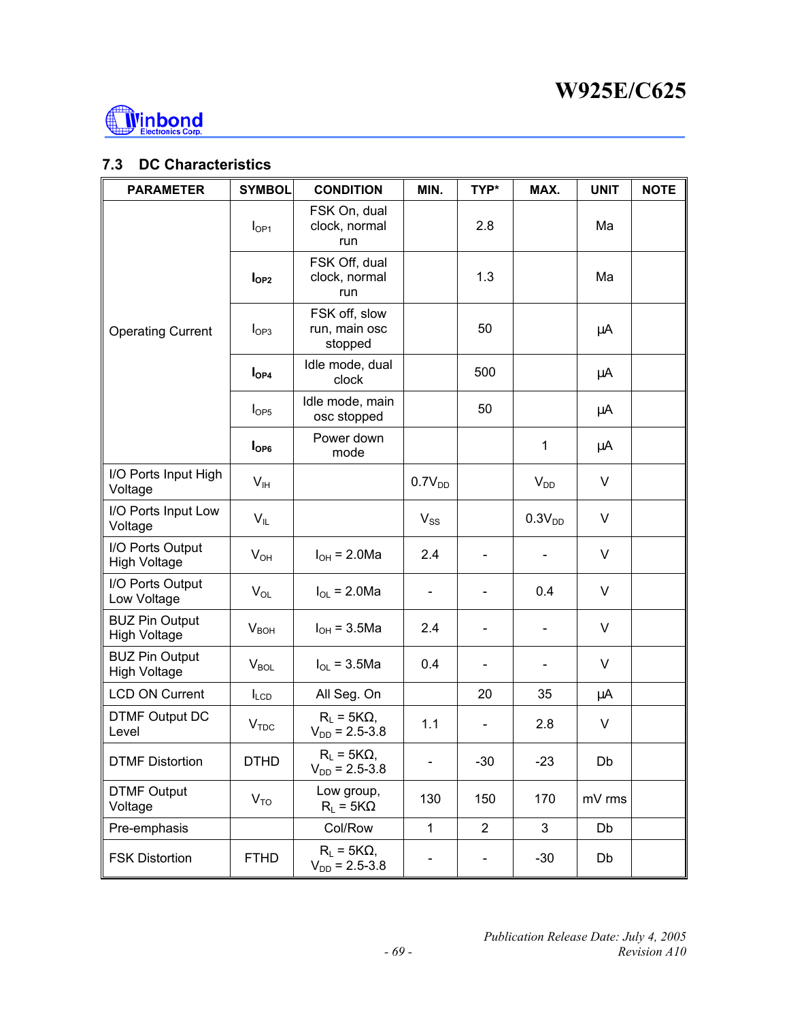

# **7.3 DC Characteristics**

| <b>PARAMETER</b>                             | <b>SYMBOL</b>    | <b>CONDITION</b>                           | MIN.                     | TYP*                         | MAX.                     | <b>UNIT</b> | <b>NOTE</b> |
|----------------------------------------------|------------------|--------------------------------------------|--------------------------|------------------------------|--------------------------|-------------|-------------|
|                                              | $I_{OP1}$        | FSK On, dual<br>clock, normal<br>run       |                          | 2.8                          |                          | Ma          |             |
|                                              | $I_{OP2}$        | FSK Off, dual<br>clock, normal<br>run      |                          | 1.3                          |                          | Ma          |             |
| <b>Operating Current</b>                     | $I_{OP3}$        | FSK off, slow<br>run, main osc<br>stopped  |                          | 50                           |                          | μA          |             |
|                                              | $I_{OP4}$        | Idle mode, dual<br>clock                   |                          | 500                          |                          | μA          |             |
|                                              | $I_{OP5}$        | Idle mode, main<br>osc stopped             |                          | 50                           |                          | μA          |             |
|                                              | I <sub>OP6</sub> | Power down<br>mode                         |                          |                              | 1                        | μA          |             |
| I/O Ports Input High<br>Voltage              | V <sub>IH</sub>  |                                            | $0.7V_{DD}$              |                              | $V_{DD}$                 | V           |             |
| I/O Ports Input Low<br>Voltage               | $V_{IL}$         |                                            | $V_{SS}$                 |                              | 0.3V <sub>DD</sub>       | $\vee$      |             |
| I/O Ports Output<br><b>High Voltage</b>      | $V_{OH}$         | $I_{OH} = 2.0 Ma$                          | 2.4                      |                              |                          | V           |             |
| I/O Ports Output<br>Low Voltage              | $V_{OL}$         | $I_{OL}$ = 2.0Ma                           | $\overline{\phantom{a}}$ | $\overline{\phantom{0}}$     | 0.4                      | V           |             |
| <b>BUZ Pin Output</b><br><b>High Voltage</b> | V <sub>BOH</sub> | $I_{OH} = 3.5$ Ma                          | 2.4                      | $\qquad \qquad \blacksquare$ | $\overline{\phantom{0}}$ | V           |             |
| <b>BUZ Pin Output</b><br><b>High Voltage</b> | $V_{BOL}$        | $I_{OL}$ = 3.5Ma                           | 0.4                      |                              |                          | V           |             |
| <b>LCD ON Current</b>                        | $I_{LCD}$        | All Seg. On                                |                          | 20                           | 35                       | μA          |             |
| <b>DTMF Output DC</b><br>Level               | V <sub>TDC</sub> | $R_L = 5K\Omega$ ,<br>$V_{DD} = 2.5 - 3.8$ | 1.1                      | $\blacksquare$               | 2.8                      | V           |             |
| <b>DTMF Distortion</b>                       | <b>DTHD</b>      | $R_L = 5K\Omega$<br>$V_{DD} = 2.5 - 3.8$   |                          | $-30$                        | $-23$                    | Db          |             |
| <b>DTMF Output</b><br>Voltage                | $V_{TO}$         | Low group,<br>$R_L = 5K\Omega$             | 130                      | 150                          | 170                      | mV rms      |             |
| Pre-emphasis                                 |                  | Col/Row                                    | $\mathbf{1}$             | $\overline{2}$               | 3                        | Db          |             |
| <b>FSK Distortion</b>                        | <b>FTHD</b>      | $R_L = 5K\Omega$<br>$V_{DD}$ = 2.5-3.8     |                          |                              | $-30$                    | Db          |             |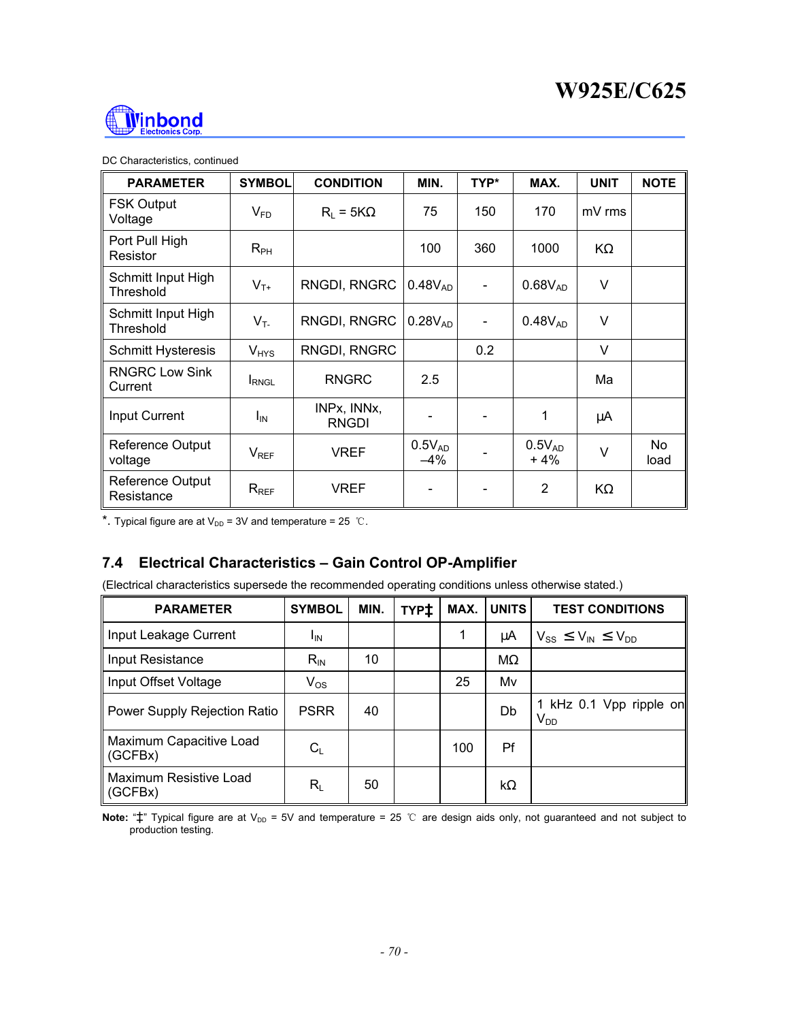

#### DC Characteristics, continued

| <b>PARAMETER</b>                 | <b>SYMBOL</b> | <b>CONDITION</b>            | MIN.                 | TYP*           | MAX.                 | <b>UNIT</b> | <b>NOTE</b> |
|----------------------------------|---------------|-----------------------------|----------------------|----------------|----------------------|-------------|-------------|
| <b>FSK Output</b><br>Voltage     | $V_{FD}$      | $R_1 = 5K\Omega$            | 75                   | 150            | 170                  | mV rms      |             |
| Port Pull High<br>Resistor       | $R_{PH}$      |                             | 100                  | 360            | 1000                 | KΩ          |             |
| Schmitt Input High<br>Threshold  | $V_{T+}$      | RNGDI, RNGRC                | $0.48V_{AD}$         | $\blacksquare$ | $0.68V_{AD}$         | V           |             |
| Schmitt Input High<br>Threshold  | $V_T$         | RNGDI, RNGRC                | $0.28V_{AD}$         |                | $0.48V_{AD}$         | V           |             |
| <b>Schmitt Hysteresis</b>        | $V_{HYS}$     | RNGDI, RNGRC                |                      | 0.2            |                      | $\vee$      |             |
| <b>RNGRC Low Sink</b><br>Current | <b>I</b> RNGL | <b>RNGRC</b>                | 2.5                  |                |                      | Ma          |             |
| <b>Input Current</b>             | $I_{IN}$      | INPx, INNx,<br><b>RNGDI</b> |                      |                | 1                    | μA          |             |
| Reference Output<br>voltage      | $V_{REF}$     | VREF                        | $0.5V_{AD}$<br>$-4%$ |                | $0.5V_{AD}$<br>$+4%$ | V           | No.<br>load |
| Reference Output<br>Resistance   | $R_{REF}$     | <b>VREF</b>                 |                      |                | $\overline{2}$       | KΩ          |             |

\*. Typical figure are at  $V_{DD}$  = 3V and temperature = 25 ℃.

# **7.4 Electrical Characteristics – Gain Control OP-Amplifier**

(Electrical characteristics supersede the recommended operating conditions unless otherwise stated.)

| <b>PARAMETER</b>                   | <b>SYMBOL</b>             | MIN. | TYP <sup>+</sup> | MAX. | <b>UNITS</b> | <b>TEST CONDITIONS</b>              |
|------------------------------------|---------------------------|------|------------------|------|--------------|-------------------------------------|
| Input Leakage Current              | <sup>I</sup> IN           |      |                  | 1    | μA           | $V_{SS} \leq V_{IN} \leq V_{DD}$    |
| Input Resistance                   | $R_{IN}$                  | 10   |                  |      | $M\Omega$    |                                     |
| Input Offset Voltage               | $V_{OS}$                  |      |                  | 25   | Mv           |                                     |
| Power Supply Rejection Ratio       | <b>PSRR</b>               | 40   |                  |      | Db           | 1 kHz 0.1 Vpp ripple on<br>$V_{DD}$ |
| Maximum Capacitive Load<br>(GCFBx) | $C_L$                     |      |                  | 100  | Pf           |                                     |
| Maximum Resistive Load<br>(GCFBx)  | $\mathsf{R}_{\mathsf{L}}$ | 50   |                  |      | $k\Omega$    |                                     |

Note: "‡" Typical figure are at V<sub>DD</sub> = 5V and temperature = 25 ℃ are design aids only, not guaranteed and not subject to production testing.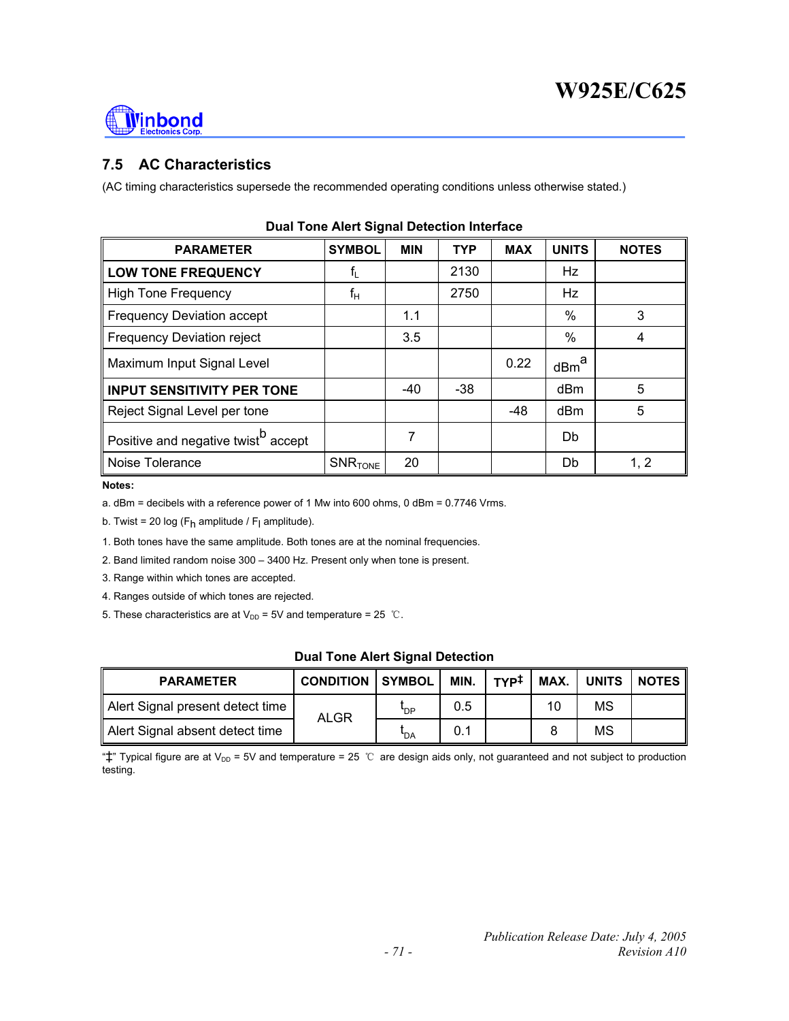

# **7.5 AC Characteristics**

(AC timing characteristics supersede the recommended operating conditions unless otherwise stated.)

| <b>PARAMETER</b>                                | <b>SYMBOL</b>             | <b>MIN</b> | <b>TYP</b> | <b>MAX</b> | <b>UNITS</b>     | <b>NOTES</b> |
|-------------------------------------------------|---------------------------|------------|------------|------------|------------------|--------------|
| <b>LOW TONE FREQUENCY</b>                       | $\mathsf{f}_{\mathsf{L}}$ |            | 2130       |            | <b>Hz</b>        |              |
| <b>High Tone Frequency</b>                      | $f_H$                     |            | 2750       |            | <b>Hz</b>        |              |
| Frequency Deviation accept                      |                           | 1.1        |            |            | %                | 3            |
| <b>Frequency Deviation reject</b>               |                           | 3.5        |            |            | %                | 4            |
| Maximum Input Signal Level                      |                           |            |            | 0.22       | dBm <sup>a</sup> |              |
| <b>INPUT SENSITIVITY PER TONE</b>               |                           | $-40$      | $-38$      |            | dBm              | 5            |
| Reject Signal Level per tone                    |                           |            |            | $-48$      | dBm              | 5            |
| Positive and negative twist <sup>b</sup> accept |                           | 7          |            |            | Db               |              |
| Noise Tolerance                                 | $SNR$ TONE                | 20         |            |            | Db               | 1, 2         |

|  |  | <b>Dual Tone Alert Signal Detection Interface</b> |  |
|--|--|---------------------------------------------------|--|
|  |  |                                                   |  |

**Notes:** 

a. dBm = decibels with a reference power of 1 Mw into 600 ohms, 0 dBm = 0.7746 Vrms.

b. Twist = 20 log (F<sub>h</sub> amplitude / F<sub>l</sub> amplitude).

1. Both tones have the same amplitude. Both tones are at the nominal frequencies.

2. Band limited random noise 300 – 3400 Hz. Present only when tone is present.

3. Range within which tones are accepted.

4. Ranges outside of which tones are rejected.

5. These characteristics are at  $V_{DD}$  = 5V and temperature = 25 ℃.

#### **Dual Tone Alert Signal Detection**

| <b>PARAMETER</b>                 | <b>CONDITION   SYMBOL  </b> |            | MIN. | түр‡ |    |    | $\parallel$ MAX. $\parallel$ UNITS $\parallel$ NOTES $\parallel$ |
|----------------------------------|-----------------------------|------------|------|------|----|----|------------------------------------------------------------------|
| Alert Signal present detect time | ALGR                        | <b>P</b>   | 0.5  |      | 10 | MS |                                                                  |
| Alert Signal absent detect time  |                             | <b>PDA</b> | 0.1  |      |    | MS |                                                                  |

" $\ddagger$ " Typical figure are at V<sub>DD</sub> = 5V and temperature = 25 ℃ are design aids only, not guaranteed and not subject to production testing.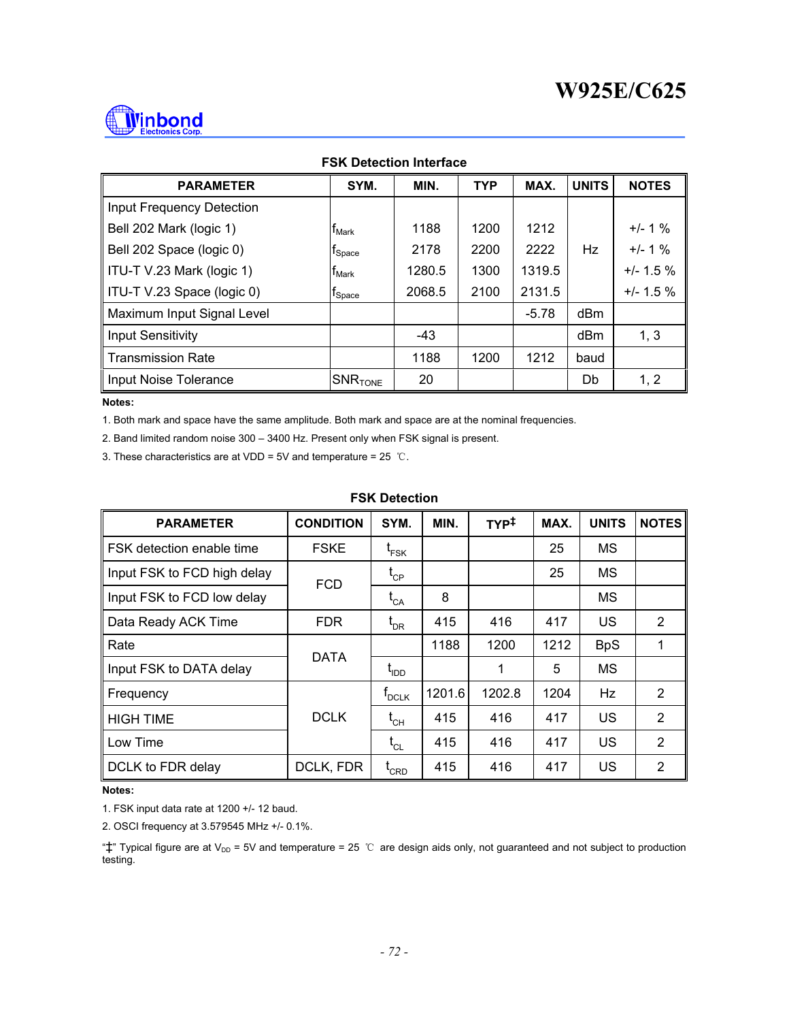

| <b>FSK Detection Interface</b> |                               |        |            |         |                 |              |  |  |  |
|--------------------------------|-------------------------------|--------|------------|---------|-----------------|--------------|--|--|--|
| <b>PARAMETER</b>               | SYM.                          | MIN.   | <b>TYP</b> | MAX.    | <b>UNITS</b>    | <b>NOTES</b> |  |  |  |
| Input Frequency Detection      |                               |        |            |         |                 |              |  |  |  |
| Bell 202 Mark (logic 1)        | <b>T</b> Mark                 | 1188   | 1200       | 1212    |                 | $+/- 1 \%$   |  |  |  |
| Bell 202 Space (logic 0)       | $t_{\footnotesize \rm Space}$ | 2178   | 2200       | 2222    | Hz              | $+/- 1 \%$   |  |  |  |
| ITU-T V.23 Mark (logic 1)      | <b>T</b> Mark                 | 1280.5 | 1300       | 1319.5  |                 | $+/- 1.5 \%$ |  |  |  |
| ITU-T V.23 Space (logic 0)     | $t_{\footnotesize \rm Space}$ | 2068.5 | 2100       | 2131.5  |                 | $+/- 1.5 \%$ |  |  |  |
| Maximum Input Signal Level     |                               |        |            | $-5.78$ | dBm             |              |  |  |  |
| <b>Input Sensitivity</b>       |                               | $-43$  |            |         | dB <sub>m</sub> | 1, 3         |  |  |  |
| <b>Transmission Rate</b>       |                               | 1188   | 1200       | 1212    | baud            |              |  |  |  |
| Input Noise Tolerance          | $ {\sf SNR}_{\sf TONE} $      | 20     |            |         | Db              | 1, 2         |  |  |  |

**Notes:** 

1. Both mark and space have the same amplitude. Both mark and space are at the nominal frequencies.

2. Band limited random noise 300 – 3400 Hz. Present only when FSK signal is present.

3. These characteristics are at VDD = 5V and temperature =  $25$  °C.

#### **FSK Detection**

| <b>PARAMETER</b>            | <b>CONDITION</b> | SYM.                             | MIN.   | $TYP^{\ddagger}$ | MAX. | <b>UNITS</b> | <b>NOTES</b>   |
|-----------------------------|------------------|----------------------------------|--------|------------------|------|--------------|----------------|
| FSK detection enable time   | <b>FSKE</b>      | <sup>L</sup> FSK                 |        |                  | 25   | MS           |                |
| Input FSK to FCD high delay | <b>FCD</b>       | $\mathfrak{t}_{\mathrm{CP}}$     |        |                  | 25   | MS           |                |
| Input FSK to FCD low delay  |                  | $\mathfrak{t}_{_{\text{CA}}}$    | 8      |                  |      | MS           |                |
| Data Ready ACK Time         | <b>FDR</b>       | $\mathfrak{t}_{\textsf{DR}}$     | 415    | 416              | 417  | US           | 2              |
| Rate                        |                  |                                  | 1188   | 1200             | 1212 | <b>BpS</b>   | 1              |
| Input FSK to DATA delay     | <b>DATA</b>      | $I_{\text{IDD}}$                 |        | 1                | 5    | MS           |                |
| Frequency                   | <b>DCLK</b>      | $f_{\text{DCLK}}$                | 1201.6 | 1202.8           | 1204 | Hz           | 2              |
| <b>HIGH TIME</b>            |                  | $\mathfrak{t}_{\textsf{CH}}$     | 415    | 416              | 417  | <b>US</b>    | $\overline{2}$ |
| Low Time                    |                  | $\mathfrak{t}_{\text{\tiny CL}}$ | 415    | 416              | 417  | <b>US</b>    | 2              |
| DCLK to FDR delay           | DCLK, FDR        | $L_{CRD}$                        | 415    | 416              | 417  | US           | 2              |

**Notes:** 

1. FSK input data rate at 1200 +/- 12 baud.

2. OSCI frequency at 3.579545 MHz +/- 0.1%.

" $\ddagger$ " Typical figure are at V<sub>DD</sub> = 5V and temperature = 25 ℃ are design aids only, not guaranteed and not subject to production testing.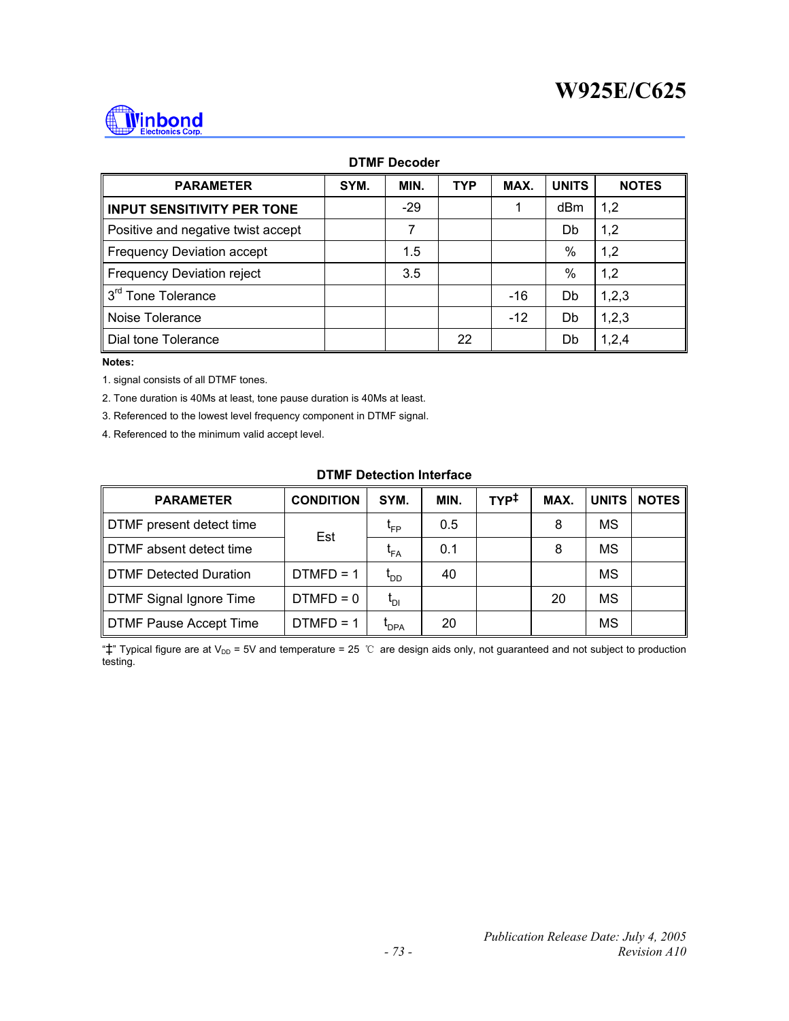

#### **DTMF Decoder**

| <b>PARAMETER</b>                   | SYM. | MIN.  | <b>TYP</b> | MAX.  | <b>UNITS</b> | <b>NOTES</b> |
|------------------------------------|------|-------|------------|-------|--------------|--------------|
| <b>INPUT SENSITIVITY PER TONE</b>  |      | $-29$ |            |       | dBm          | 1,2          |
| Positive and negative twist accept |      |       |            |       | Db           | 1,2          |
| <b>Frequency Deviation accept</b>  |      | 1.5   |            |       | %            | 1,2          |
| <b>Frequency Deviation reject</b>  |      | 3.5   |            |       | %            | 1,2          |
| 3 <sup>rd</sup> Tone Tolerance     |      |       |            | $-16$ | Db           | 1,2,3        |
| Noise Tolerance                    |      |       |            | $-12$ | Db           | 1,2,3        |
| Dial tone Tolerance                |      |       | 22         |       | Db           | 1,2,4        |

#### **Notes:**

1. signal consists of all DTMF tones.

2. Tone duration is 40Ms at least, tone pause duration is 40Ms at least.

3. Referenced to the lowest level frequency component in DTMF signal.

4. Referenced to the minimum valid accept level.

### **DTMF Detection Interface**

| <b>PARAMETER</b>               | <b>CONDITION</b> | SYM.                              | MIN. | TYP <sup>‡</sup> | MAX. | <b>UNITS</b> | <b>NOTES</b> |
|--------------------------------|------------------|-----------------------------------|------|------------------|------|--------------|--------------|
| DTMF present detect time       | Est              | Կ⊧P                               | 0.5  |                  | 8    | ΜS           |              |
| DTMF absent detect time        |                  | <b>FA</b>                         | 0.1  |                  | 8    | ΜS           |              |
| <b>DTMF Detected Duration</b>  | $DTMFD = 1$      | OD,                               | 40   |                  |      | ΜS           |              |
| <b>DTMF Signal Ignore Time</b> | $DTMFD = 0$      | $\mathfrak{r}_{\text{\tiny{DI}}}$ |      |                  | 20   | ΜS           |              |
| <b>DTMF Pause Accept Time</b>  | $DTMFD = 1$      | <b>PDPA</b>                       | 20   |                  |      | MS           |              |

" $\ddagger$ " Typical figure are at V<sub>DD</sub> = 5V and temperature = 25 ℃ are design aids only, not guaranteed and not subject to production testing.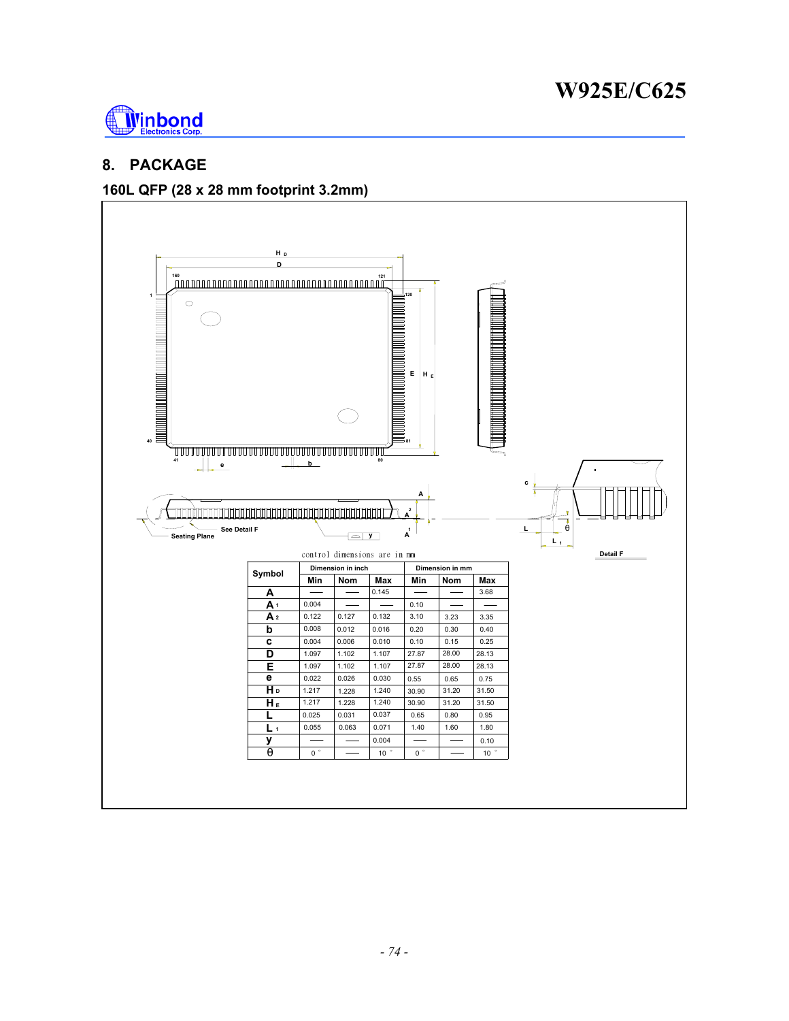

# **8. PACKAGE**

### **160L QFP (28 x 28 mm footprint 3.2mm)**